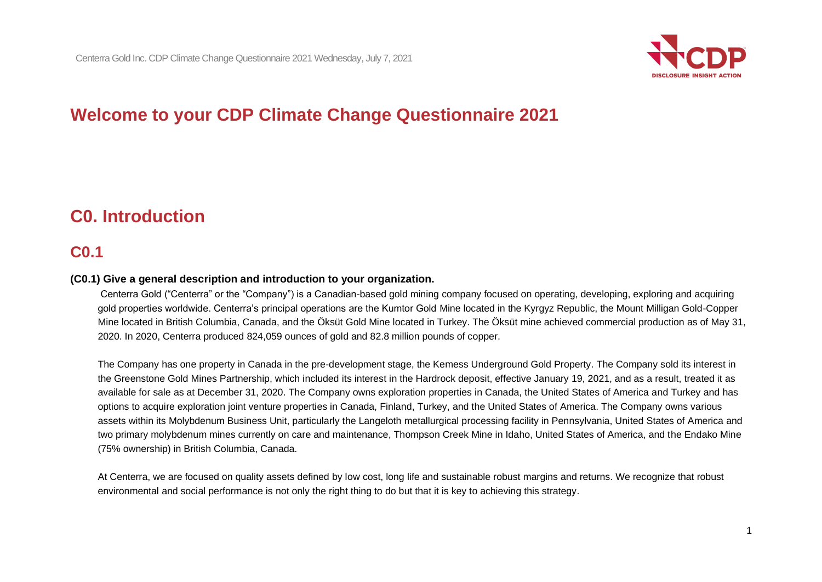

# **Welcome to your CDP Climate Change Questionnaire 2021**

# **C0. Introduction**

## **C0.1**

#### **(C0.1) Give a general description and introduction to your organization.**

Centerra Gold ("Centerra" or the "Company") is a Canadian-based gold mining company focused on operating, developing, exploring and acquiring gold properties worldwide. Centerra's principal operations are the Kumtor Gold Mine located in the Kyrgyz Republic, the Mount Milligan Gold-Copper Mine located in British Columbia, Canada, and the Öksüt Gold Mine located in Turkey. The Öksüt mine achieved commercial production as of May 31, 2020. In 2020, Centerra produced 824,059 ounces of gold and 82.8 million pounds of copper.

The Company has one property in Canada in the pre-development stage, the Kemess Underground Gold Property. The Company sold its interest in the Greenstone Gold Mines Partnership, which included its interest in the Hardrock deposit, effective January 19, 2021, and as a result, treated it as available for sale as at December 31, 2020. The Company owns exploration properties in Canada, the United States of America and Turkey and has options to acquire exploration joint venture properties in Canada, Finland, Turkey, and the United States of America. The Company owns various assets within its Molybdenum Business Unit, particularly the Langeloth metallurgical processing facility in Pennsylvania, United States of America and two primary molybdenum mines currently on care and maintenance, Thompson Creek Mine in Idaho, United States of America, and the Endako Mine (75% ownership) in British Columbia, Canada.

At Centerra, we are focused on quality assets defined by low cost, long life and sustainable robust margins and returns. We recognize that robust environmental and social performance is not only the right thing to do but that it is key to achieving this strategy.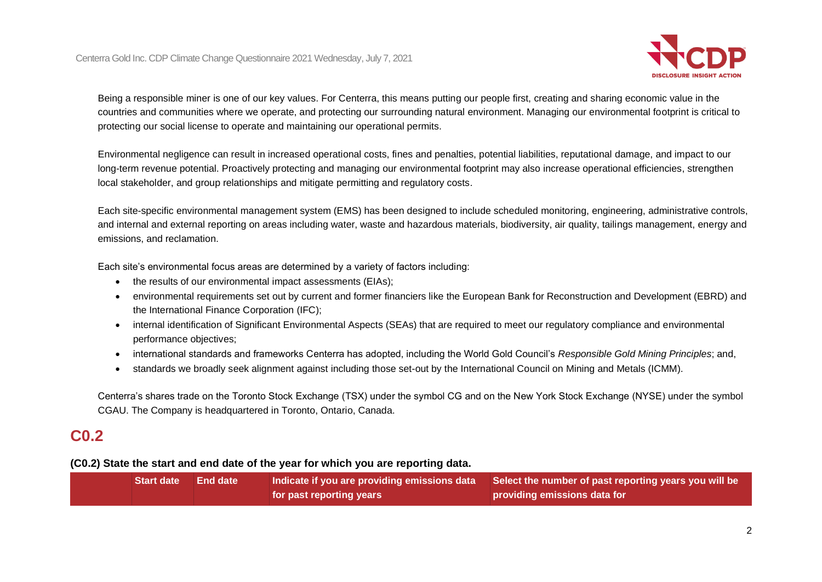

Being a responsible miner is one of our key values. For Centerra, this means putting our people first, creating and sharing economic value in the countries and communities where we operate, and protecting our surrounding natural environment. Managing our environmental footprint is critical to protecting our social license to operate and maintaining our operational permits.

Environmental negligence can result in increased operational costs, fines and penalties, potential liabilities, reputational damage, and impact to our long-term revenue potential. Proactively protecting and managing our environmental footprint may also increase operational efficiencies, strengthen local stakeholder, and group relationships and mitigate permitting and regulatory costs.

Each site-specific environmental management system (EMS) has been designed to include scheduled monitoring, engineering, administrative controls, and internal and external reporting on areas including water, waste and hazardous materials, biodiversity, air quality, tailings management, energy and emissions, and reclamation.

Each site's environmental focus areas are determined by a variety of factors including:

- the results of our environmental impact assessments (EIAs);
- environmental requirements set out by current and former financiers like the European Bank for Reconstruction and Development (EBRD) and the International Finance Corporation (IFC);
- internal identification of Significant Environmental Aspects (SEAs) that are required to meet our regulatory compliance and environmental performance objectives;
- international standards and frameworks Centerra has adopted, including the World Gold Council's *Responsible Gold Mining Principles*; and,
- standards we broadly seek alignment against including those set-out by the International Council on Mining and Metals (ICMM).

Centerra's shares trade on the Toronto Stock Exchange (TSX) under the symbol CG and on the New York Stock Exchange (NYSE) under the symbol CGAU. The Company is headquartered in Toronto, Ontario, Canada.

## **C0.2**

#### **(C0.2) State the start and end date of the year for which you are reporting data.**

| 'Start date  End date, |                          | $\mathsf I$ Indicate if you are providing emissions data $\mathsf I$ Select the number of past reporting years you will be $\mathsf I$ |  |
|------------------------|--------------------------|----------------------------------------------------------------------------------------------------------------------------------------|--|
|                        | for past reporting years | providing emissions data for                                                                                                           |  |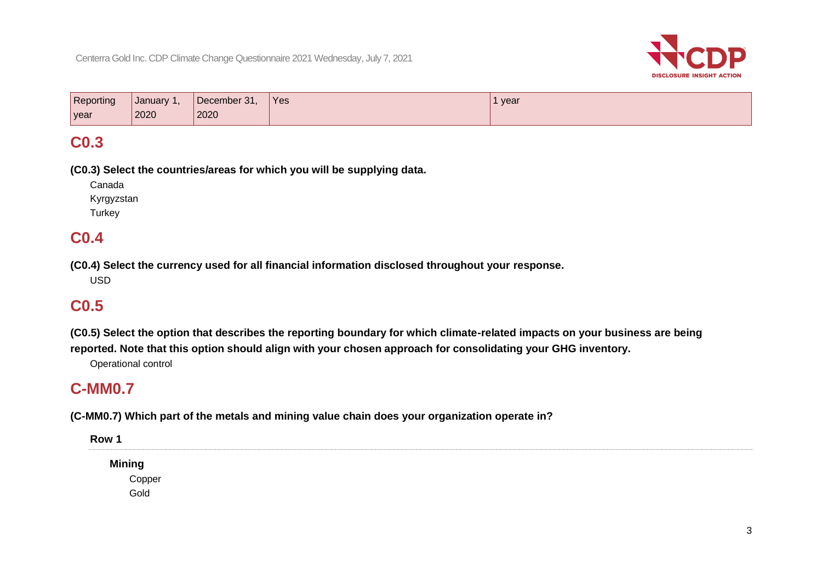

| Reporting | January 1, | December 31, | <sup>1</sup> Yes | 1 year |
|-----------|------------|--------------|------------------|--------|
| year      | 2020       | 2020         |                  |        |

## **C0.3**

**(C0.3) Select the countries/areas for which you will be supplying data.**

Canada Kyrgyzstan

**Turkey** 

## **C0.4**

**(C0.4) Select the currency used for all financial information disclosed throughout your response.**

USD

# **C0.5**

**(C0.5) Select the option that describes the reporting boundary for which climate-related impacts on your business are being reported. Note that this option should align with your chosen approach for consolidating your GHG inventory.**

Operational control

## **C-MM0.7**

**(C-MM0.7) Which part of the metals and mining value chain does your organization operate in?**

**Row 1 Mining** Copper Gold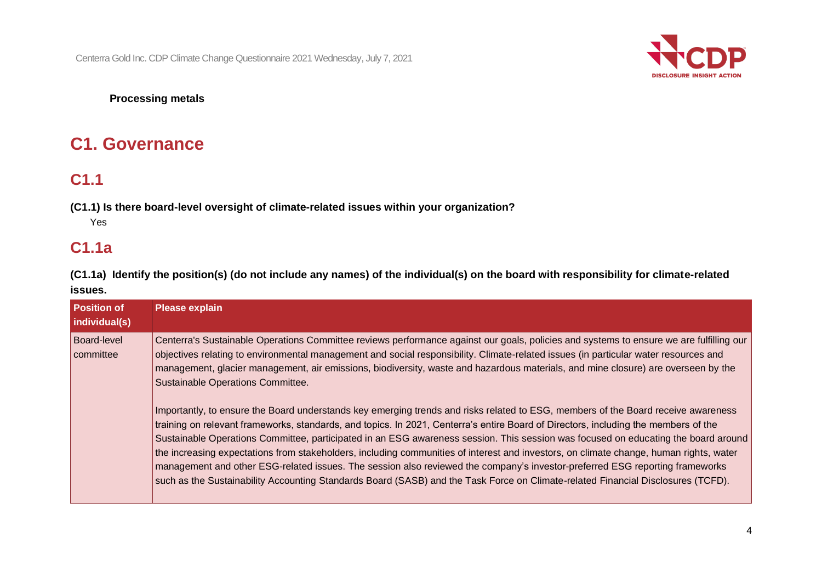

### **Processing metals**

# **C1. Governance**

# **C1.1**

**(C1.1) Is there board-level oversight of climate-related issues within your organization?** Yes

## **C1.1a**

**(C1.1a) Identify the position(s) (do not include any names) of the individual(s) on the board with responsibility for climate-related issues.**

| <b>Position of</b><br>individual(s) | <b>Please explain</b>                                                                                                                                                                                                                                                                                                                                                                                                                                                                                                                                                                                                                                                                                                                                                                                                                                                                                                                                                                                                                                                                                                                                                                                                                                                                     |
|-------------------------------------|-------------------------------------------------------------------------------------------------------------------------------------------------------------------------------------------------------------------------------------------------------------------------------------------------------------------------------------------------------------------------------------------------------------------------------------------------------------------------------------------------------------------------------------------------------------------------------------------------------------------------------------------------------------------------------------------------------------------------------------------------------------------------------------------------------------------------------------------------------------------------------------------------------------------------------------------------------------------------------------------------------------------------------------------------------------------------------------------------------------------------------------------------------------------------------------------------------------------------------------------------------------------------------------------|
| <b>Board-level</b><br>committee     | Centerra's Sustainable Operations Committee reviews performance against our goals, policies and systems to ensure we are fulfilling our<br>objectives relating to environmental management and social responsibility. Climate-related issues (in particular water resources and<br>management, glacier management, air emissions, biodiversity, waste and hazardous materials, and mine closure) are overseen by the<br>Sustainable Operations Committee.<br>Importantly, to ensure the Board understands key emerging trends and risks related to ESG, members of the Board receive awareness<br>training on relevant frameworks, standards, and topics. In 2021, Centerra's entire Board of Directors, including the members of the<br>Sustainable Operations Committee, participated in an ESG awareness session. This session was focused on educating the board around<br>the increasing expectations from stakeholders, including communities of interest and investors, on climate change, human rights, water<br>management and other ESG-related issues. The session also reviewed the company's investor-preferred ESG reporting frameworks<br>such as the Sustainability Accounting Standards Board (SASB) and the Task Force on Climate-related Financial Disclosures (TCFD). |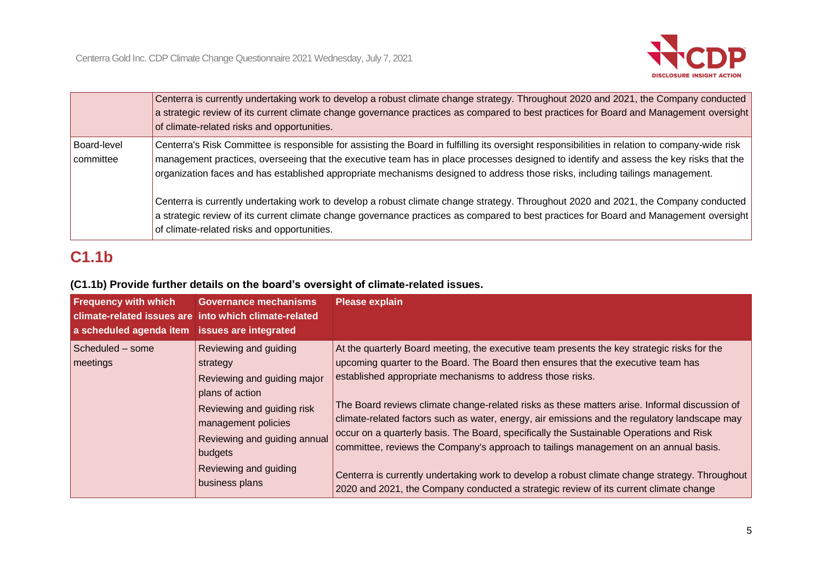

|                          | Centerra is currently undertaking work to develop a robust climate change strategy. Throughout 2020 and 2021, the Company conducted<br>a strategic review of its current climate change governance practices as compared to best practices for Board and Management oversight<br>of climate-related risks and opportunities.                                                                                              |
|--------------------------|---------------------------------------------------------------------------------------------------------------------------------------------------------------------------------------------------------------------------------------------------------------------------------------------------------------------------------------------------------------------------------------------------------------------------|
| Board-level<br>committee | Centerra's Risk Committee is responsible for assisting the Board in fulfilling its oversight responsibilities in relation to company-wide risk<br>management practices, overseeing that the executive team has in place processes designed to identify and assess the key risks that the<br>organization faces and has established appropriate mechanisms designed to address those risks, including tailings management. |
|                          | Centerra is currently undertaking work to develop a robust climate change strategy. Throughout 2020 and 2021, the Company conducted<br>a strategic review of its current climate change governance practices as compared to best practices for Board and Management oversight<br>of climate-related risks and opportunities.                                                                                              |

# **C1.1b**

## **(C1.1b) Provide further details on the board's oversight of climate-related issues.**

| <b>Frequency with which</b><br>a scheduled agenda item issues are integrated | <b>Governance mechanisms</b><br>climate-related issues are into which climate-related        | <b>Please explain</b>                                                                                                                                                                                                                                                                                                                                                             |
|------------------------------------------------------------------------------|----------------------------------------------------------------------------------------------|-----------------------------------------------------------------------------------------------------------------------------------------------------------------------------------------------------------------------------------------------------------------------------------------------------------------------------------------------------------------------------------|
| Scheduled - some<br>meetings                                                 | Reviewing and guiding<br>strategy<br>Reviewing and guiding major<br>plans of action          | At the quarterly Board meeting, the executive team presents the key strategic risks for the<br>upcoming quarter to the Board. The Board then ensures that the executive team has<br>established appropriate mechanisms to address those risks.                                                                                                                                    |
|                                                                              | Reviewing and guiding risk<br>management policies<br>Reviewing and guiding annual<br>budgets | The Board reviews climate change-related risks as these matters arise. Informal discussion of<br>climate-related factors such as water, energy, air emissions and the regulatory landscape may<br>occur on a quarterly basis. The Board, specifically the Sustainable Operations and Risk<br>committee, reviews the Company's approach to tailings management on an annual basis. |
|                                                                              | Reviewing and guiding<br>business plans                                                      | Centerra is currently undertaking work to develop a robust climate change strategy. Throughout<br>2020 and 2021, the Company conducted a strategic review of its current climate change                                                                                                                                                                                           |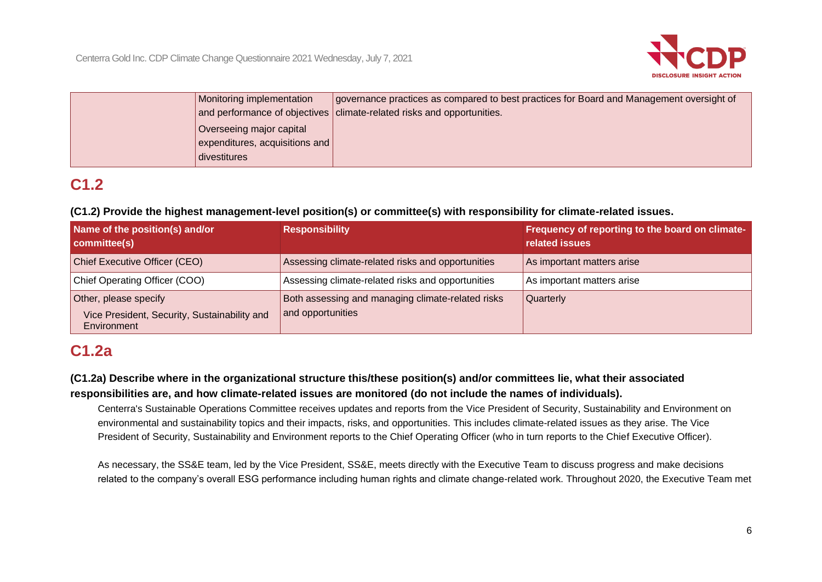

| Monitoring implementation                      | or governance practices as compared to best practices for Board and Management oversight of |
|------------------------------------------------|---------------------------------------------------------------------------------------------|
|                                                | and performance of objectives   climate-related risks and opportunities.                    |
| Overseeing major capital                       |                                                                                             |
| $\vert$ expenditures, acquisitions and $\vert$ |                                                                                             |
| divestitures                                   |                                                                                             |

# **C1.2**

## **(C1.2) Provide the highest management-level position(s) or committee(s) with responsibility for climate-related issues.**

| Name of the position(s) and/or<br>committee(s)                                       | <b>Responsibility</b>                                                  | Frequency of reporting to the board on climate-<br>related issues |
|--------------------------------------------------------------------------------------|------------------------------------------------------------------------|-------------------------------------------------------------------|
| Chief Executive Officer (CEO)                                                        | Assessing climate-related risks and opportunities                      | As important matters arise                                        |
| Chief Operating Officer (COO)                                                        | Assessing climate-related risks and opportunities                      | As important matters arise                                        |
| Other, please specify<br>Vice President, Security, Sustainability and<br>Environment | Both assessing and managing climate-related risks<br>and opportunities | Quarterly                                                         |

# **C1.2a**

## **(C1.2a) Describe where in the organizational structure this/these position(s) and/or committees lie, what their associated responsibilities are, and how climate-related issues are monitored (do not include the names of individuals).**

Centerra's Sustainable Operations Committee receives updates and reports from the Vice President of Security, Sustainability and Environment on environmental and sustainability topics and their impacts, risks, and opportunities. This includes climate-related issues as they arise. The Vice President of Security, Sustainability and Environment reports to the Chief Operating Officer (who in turn reports to the Chief Executive Officer).

As necessary, the SS&E team, led by the Vice President, SS&E, meets directly with the Executive Team to discuss progress and make decisions related to the company's overall ESG performance including human rights and climate change-related work. Throughout 2020, the Executive Team met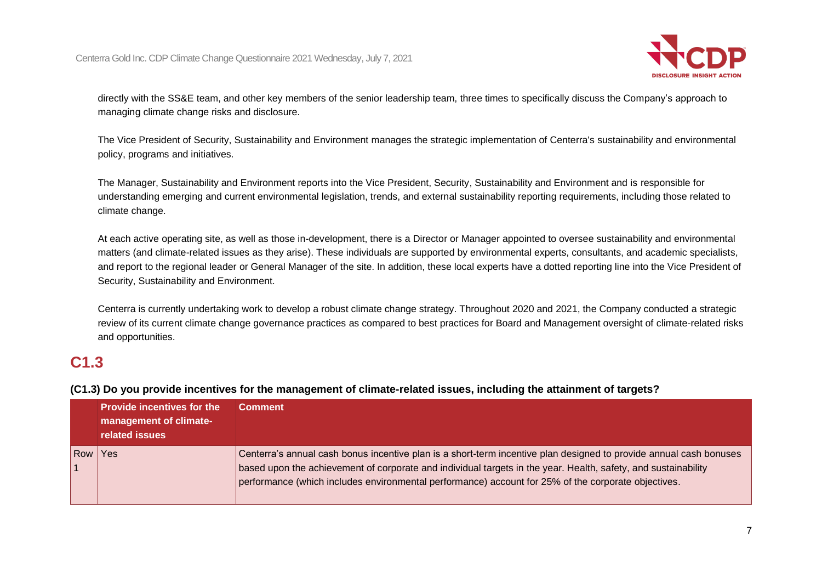

directly with the SS&E team, and other key members of the senior leadership team, three times to specifically discuss the Company's approach to managing climate change risks and disclosure.

The Vice President of Security, Sustainability and Environment manages the strategic implementation of Centerra's sustainability and environmental policy, programs and initiatives.

The Manager, Sustainability and Environment reports into the Vice President, Security, Sustainability and Environment and is responsible for understanding emerging and current environmental legislation, trends, and external sustainability reporting requirements, including those related to climate change.

At each active operating site, as well as those in-development, there is a Director or Manager appointed to oversee sustainability and environmental matters (and climate-related issues as they arise). These individuals are supported by environmental experts, consultants, and academic specialists, and report to the regional leader or General Manager of the site. In addition, these local experts have a dotted reporting line into the Vice President of Security, Sustainability and Environment.

Centerra is currently undertaking work to develop a robust climate change strategy. Throughout 2020 and 2021, the Company conducted a strategic review of its current climate change governance practices as compared to best practices for Board and Management oversight of climate-related risks and opportunities.

## **C1.3**

|     | <b>Provide incentives for the</b><br>management of climate-<br>related issues | <b>Comment</b>                                                                                                                                                                                                                                                                                                                              |
|-----|-------------------------------------------------------------------------------|---------------------------------------------------------------------------------------------------------------------------------------------------------------------------------------------------------------------------------------------------------------------------------------------------------------------------------------------|
| Row | Yes                                                                           | Centerra's annual cash bonus incentive plan is a short-term incentive plan designed to provide annual cash bonuses<br>based upon the achievement of corporate and individual targets in the year. Health, safety, and sustainability<br>performance (which includes environmental performance) account for 25% of the corporate objectives. |

**(C1.3) Do you provide incentives for the management of climate-related issues, including the attainment of targets?**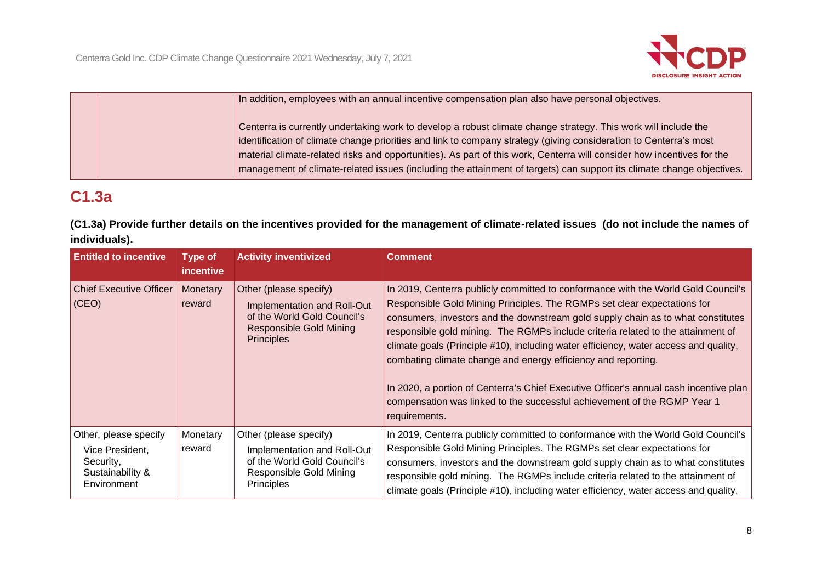

|  | In addition, employees with an annual incentive compensation plan also have personal objectives.                                                                                                                                                                                                                                                                                                                                                                                         |
|--|------------------------------------------------------------------------------------------------------------------------------------------------------------------------------------------------------------------------------------------------------------------------------------------------------------------------------------------------------------------------------------------------------------------------------------------------------------------------------------------|
|  | Centerra is currently undertaking work to develop a robust climate change strategy. This work will include the<br>identification of climate change priorities and link to company strategy (giving consideration to Centerra's most<br>material climate-related risks and opportunities). As part of this work, Centerra will consider how incentives for the<br>  management of climate-related issues (including the attainment of targets) can support its climate change objectives. |

# **C1.3a**

**(C1.3a) Provide further details on the incentives provided for the management of climate-related issues (do not include the names of individuals).**

| <b>Entitled to incentive</b>                                                             | <b>Type of</b><br>incentive | <b>Activity inventivized</b>                                                                                                                | <b>Comment</b>                                                                                                                                                                                                                                                                                                                                                                                                                                                                                                                                                                                                                                                                       |
|------------------------------------------------------------------------------------------|-----------------------------|---------------------------------------------------------------------------------------------------------------------------------------------|--------------------------------------------------------------------------------------------------------------------------------------------------------------------------------------------------------------------------------------------------------------------------------------------------------------------------------------------------------------------------------------------------------------------------------------------------------------------------------------------------------------------------------------------------------------------------------------------------------------------------------------------------------------------------------------|
| <b>Chief Executive Officer</b><br>$ $ (CEO)                                              | Monetary<br>reward          | Other (please specify)<br>Implementation and Roll-Out<br>of the World Gold Council's<br><b>Responsible Gold Mining</b><br><b>Principles</b> | In 2019, Centerra publicly committed to conformance with the World Gold Council's<br>Responsible Gold Mining Principles. The RGMPs set clear expectations for<br>consumers, investors and the downstream gold supply chain as to what constitutes<br>responsible gold mining. The RGMPs include criteria related to the attainment of<br>climate goals (Principle #10), including water efficiency, water access and quality,<br>combating climate change and energy efficiency and reporting.<br>In 2020, a portion of Centerra's Chief Executive Officer's annual cash incentive plan<br>compensation was linked to the successful achievement of the RGMP Year 1<br>requirements. |
| Other, please specify<br>Vice President,<br>Security,<br>Sustainability &<br>Environment | Monetary<br>reward          | Other (please specify)<br>Implementation and Roll-Out<br>of the World Gold Council's<br>Responsible Gold Mining<br><b>Principles</b>        | In 2019, Centerra publicly committed to conformance with the World Gold Council's<br>Responsible Gold Mining Principles. The RGMPs set clear expectations for<br>consumers, investors and the downstream gold supply chain as to what constitutes<br>responsible gold mining. The RGMPs include criteria related to the attainment of<br>climate goals (Principle #10), including water efficiency, water access and quality,                                                                                                                                                                                                                                                        |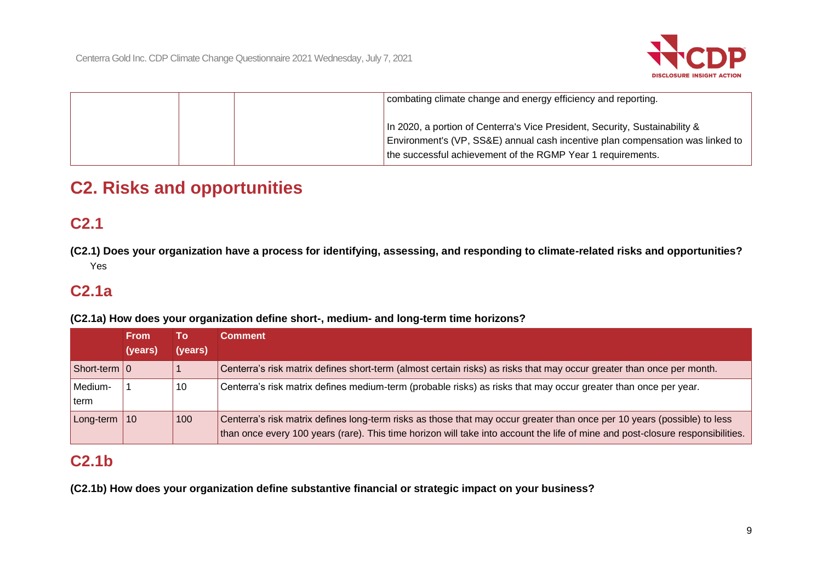

|  | combating climate change and energy efficiency and reporting.                                                                                                                                                                |
|--|------------------------------------------------------------------------------------------------------------------------------------------------------------------------------------------------------------------------------|
|  | In 2020, a portion of Centerra's Vice President, Security, Sustainability &<br>Environment's (VP, SS&E) annual cash incentive plan compensation was linked to<br>the successful achievement of the RGMP Year 1 requirements. |

# **C2. Risks and opportunities**

# **C2.1**

**(C2.1) Does your organization have a process for identifying, assessing, and responding to climate-related risks and opportunities?** Yes

## **C2.1a**

**(C2.1a) How does your organization define short-, medium- and long-term time horizons?**

|                  | <b>From</b><br>(years) | Τo<br>(years) | Comment                                                                                                                                                                                                                                                    |
|------------------|------------------------|---------------|------------------------------------------------------------------------------------------------------------------------------------------------------------------------------------------------------------------------------------------------------------|
| Short-term   0   |                        |               | Centerra's risk matrix defines short-term (almost certain risks) as risks that may occur greater than once per month.                                                                                                                                      |
| Medium-<br>lterm |                        | 10            | Centerra's risk matrix defines medium-term (probable risks) as risks that may occur greater than once per year.                                                                                                                                            |
| Long-term $ 10 $ |                        | 100           | Centerra's risk matrix defines long-term risks as those that may occur greater than once per 10 years (possible) to less<br>than once every 100 years (rare). This time horizon will take into account the life of mine and post-closure responsibilities. |

# **C2.1b**

**(C2.1b) How does your organization define substantive financial or strategic impact on your business?**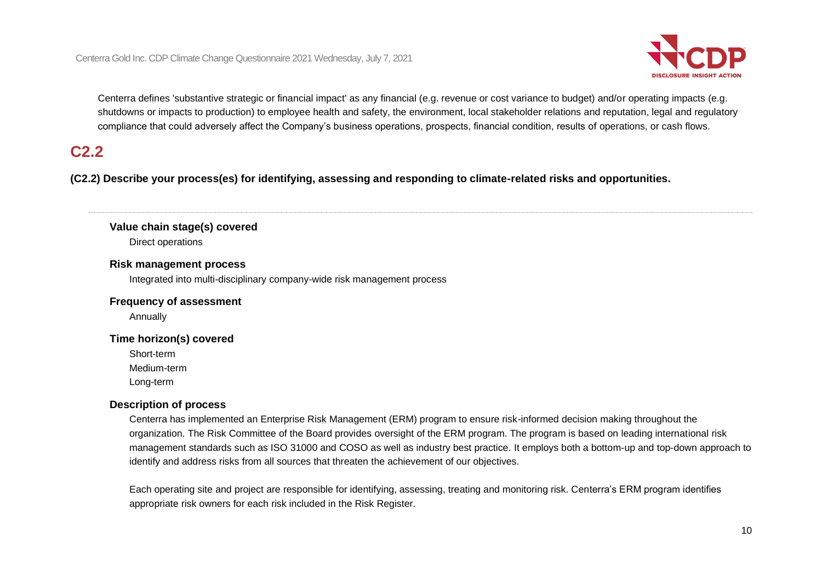

Centerra defines 'substantive strategic or financial impact' as any financial (e.g. revenue or cost variance to budget) and/or operating impacts (e.g. shutdowns or impacts to production) to employee health and safety, the environment, local stakeholder relations and reputation, legal and regulatory compliance that could adversely affect the Company's business operations, prospects, financial condition, results of operations, or cash flows.

# **C2.2**

**(C2.2) Describe your process(es) for identifying, assessing and responding to climate-related risks and opportunities.**

#### **Value chain stage(s) covered**

Direct operations

#### **Risk management process**

Integrated into multi-disciplinary company-wide risk management process

#### **Frequency of assessment**

Annually

#### **Time horizon(s) covered**

Short-term

Medium-term

Long-term

#### **Description of process**

Centerra has implemented an Enterprise Risk Management (ERM) program to ensure risk-informed decision making throughout the organization. The Risk Committee of the Board provides oversight of the ERM program. The program is based on leading international risk management standards such as ISO 31000 and COSO as well as industry best practice. It employs both a bottom-up and top-down approach to identify and address risks from all sources that threaten the achievement of our objectives.

Each operating site and project are responsible for identifying, assessing, treating and monitoring risk. Centerra's ERM program identifies appropriate risk owners for each risk included in the Risk Register.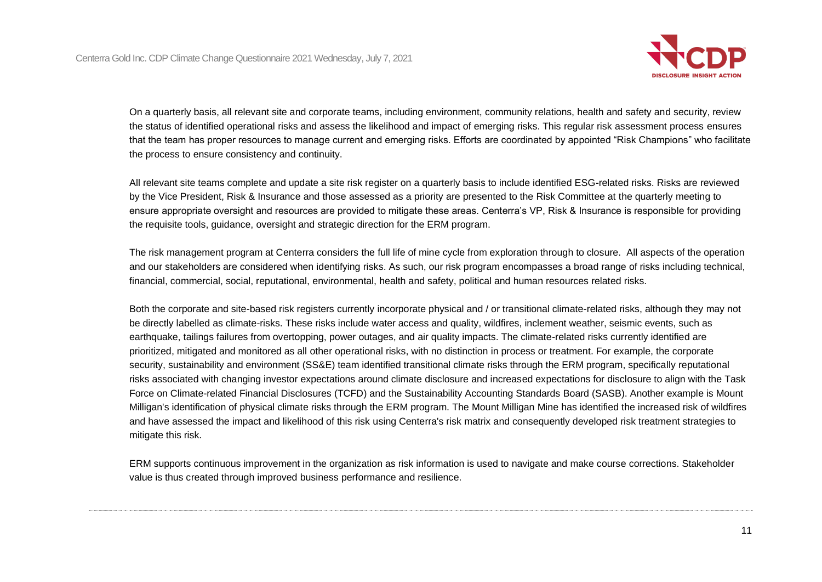

On a quarterly basis, all relevant site and corporate teams, including environment, community relations, health and safety and security, review the status of identified operational risks and assess the likelihood and impact of emerging risks. This regular risk assessment process ensures that the team has proper resources to manage current and emerging risks. Efforts are coordinated by appointed "Risk Champions" who facilitate the process to ensure consistency and continuity.

All relevant site teams complete and update a site risk register on a quarterly basis to include identified ESG-related risks. Risks are reviewed by the Vice President, Risk & Insurance and those assessed as a priority are presented to the Risk Committee at the quarterly meeting to ensure appropriate oversight and resources are provided to mitigate these areas. Centerra's VP, Risk & Insurance is responsible for providing the requisite tools, guidance, oversight and strategic direction for the ERM program.

The risk management program at Centerra considers the full life of mine cycle from exploration through to closure. All aspects of the operation and our stakeholders are considered when identifying risks. As such, our risk program encompasses a broad range of risks including technical, financial, commercial, social, reputational, environmental, health and safety, political and human resources related risks.

Both the corporate and site-based risk registers currently incorporate physical and / or transitional climate-related risks, although they may not be directly labelled as climate-risks. These risks include water access and quality, wildfires, inclement weather, seismic events, such as earthquake, tailings failures from overtopping, power outages, and air quality impacts. The climate-related risks currently identified are prioritized, mitigated and monitored as all other operational risks, with no distinction in process or treatment. For example, the corporate security, sustainability and environment (SS&E) team identified transitional climate risks through the ERM program, specifically reputational risks associated with changing investor expectations around climate disclosure and increased expectations for disclosure to align with the Task Force on Climate-related Financial Disclosures (TCFD) and the Sustainability Accounting Standards Board (SASB). Another example is Mount Milligan's identification of physical climate risks through the ERM program. The Mount Milligan Mine has identified the increased risk of wildfires and have assessed the impact and likelihood of this risk using Centerra's risk matrix and consequently developed risk treatment strategies to mitigate this risk.

ERM supports continuous improvement in the organization as risk information is used to navigate and make course corrections. Stakeholder value is thus created through improved business performance and resilience.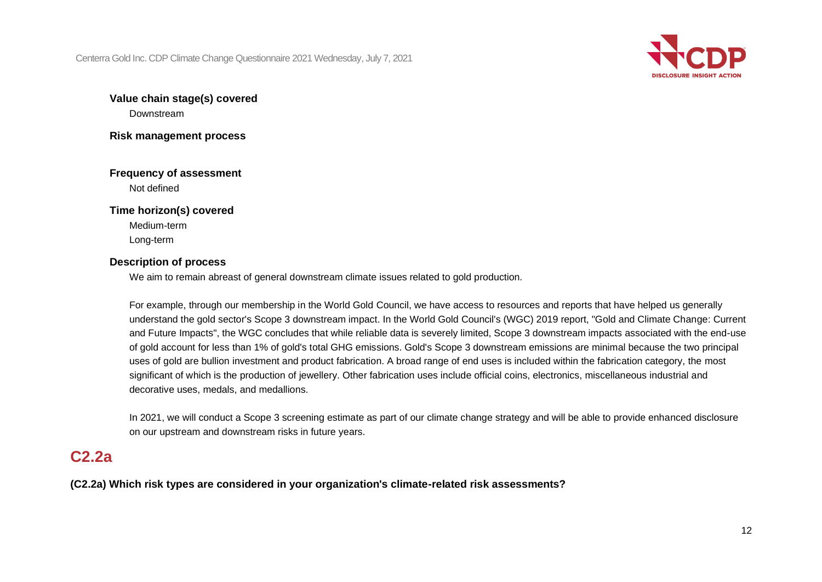

## **Value chain stage(s) covered**

Downstream

**Risk management process**

## **Frequency of assessment**

Not defined

### **Time horizon(s) covered**

Medium-term Long-term

### **Description of process**

We aim to remain abreast of general downstream climate issues related to gold production.

For example, through our membership in the World Gold Council, we have access to resources and reports that have helped us generally understand the gold sector's Scope 3 downstream impact. In the World Gold Council's (WGC) 2019 report, "Gold and Climate Change: Current and Future Impacts", the WGC concludes that while reliable data is severely limited, Scope 3 downstream impacts associated with the end-use of gold account for less than 1% of gold's total GHG emissions. Gold's Scope 3 downstream emissions are minimal because the two principal uses of gold are bullion investment and product fabrication. A broad range of end uses is included within the fabrication category, the most significant of which is the production of jewellery. Other fabrication uses include official coins, electronics, miscellaneous industrial and decorative uses, medals, and medallions.

In 2021, we will conduct a Scope 3 screening estimate as part of our climate change strategy and will be able to provide enhanced disclosure on our upstream and downstream risks in future years.

## **C2.2a**

**(C2.2a) Which risk types are considered in your organization's climate-related risk assessments?**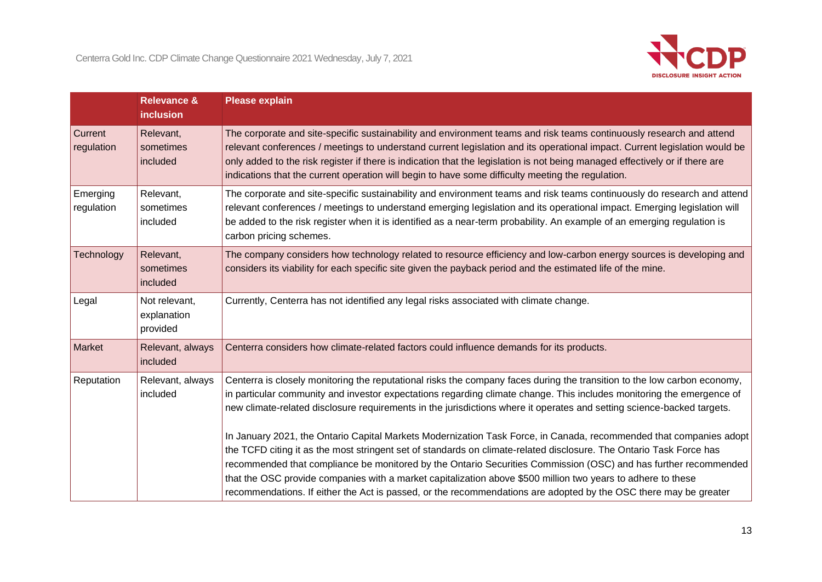

|                        | <b>Relevance &amp;</b><br>inclusion      | <b>Please explain</b>                                                                                                                                                                                                                                                                                                                                                                                                                                                                                                                                                                                                                                                                                                                                                                                                                                                                                                                                                           |
|------------------------|------------------------------------------|---------------------------------------------------------------------------------------------------------------------------------------------------------------------------------------------------------------------------------------------------------------------------------------------------------------------------------------------------------------------------------------------------------------------------------------------------------------------------------------------------------------------------------------------------------------------------------------------------------------------------------------------------------------------------------------------------------------------------------------------------------------------------------------------------------------------------------------------------------------------------------------------------------------------------------------------------------------------------------|
| Current<br>regulation  | Relevant,<br>sometimes<br>included       | The corporate and site-specific sustainability and environment teams and risk teams continuously research and attend<br>relevant conferences / meetings to understand current legislation and its operational impact. Current legislation would be<br>only added to the risk register if there is indication that the legislation is not being managed effectively or if there are<br>indications that the current operation will begin to have some difficulty meeting the regulation.                                                                                                                                                                                                                                                                                                                                                                                                                                                                                         |
| Emerging<br>regulation | Relevant,<br>sometimes<br>included       | The corporate and site-specific sustainability and environment teams and risk teams continuously do research and attend<br>relevant conferences / meetings to understand emerging legislation and its operational impact. Emerging legislation will<br>be added to the risk register when it is identified as a near-term probability. An example of an emerging regulation is<br>carbon pricing schemes.                                                                                                                                                                                                                                                                                                                                                                                                                                                                                                                                                                       |
| Technology             | Relevant,<br>sometimes<br>included       | The company considers how technology related to resource efficiency and low-carbon energy sources is developing and<br>considers its viability for each specific site given the payback period and the estimated life of the mine.                                                                                                                                                                                                                                                                                                                                                                                                                                                                                                                                                                                                                                                                                                                                              |
| Legal                  | Not relevant,<br>explanation<br>provided | Currently, Centerra has not identified any legal risks associated with climate change.                                                                                                                                                                                                                                                                                                                                                                                                                                                                                                                                                                                                                                                                                                                                                                                                                                                                                          |
| Market                 | Relevant, always<br>included             | Centerra considers how climate-related factors could influence demands for its products.                                                                                                                                                                                                                                                                                                                                                                                                                                                                                                                                                                                                                                                                                                                                                                                                                                                                                        |
| Reputation             | Relevant, always<br>included             | Centerra is closely monitoring the reputational risks the company faces during the transition to the low carbon economy,<br>in particular community and investor expectations regarding climate change. This includes monitoring the emergence of<br>new climate-related disclosure requirements in the jurisdictions where it operates and setting science-backed targets.<br>In January 2021, the Ontario Capital Markets Modernization Task Force, in Canada, recommended that companies adopt<br>the TCFD citing it as the most stringent set of standards on climate-related disclosure. The Ontario Task Force has<br>recommended that compliance be monitored by the Ontario Securities Commission (OSC) and has further recommended<br>that the OSC provide companies with a market capitalization above \$500 million two years to adhere to these<br>recommendations. If either the Act is passed, or the recommendations are adopted by the OSC there may be greater |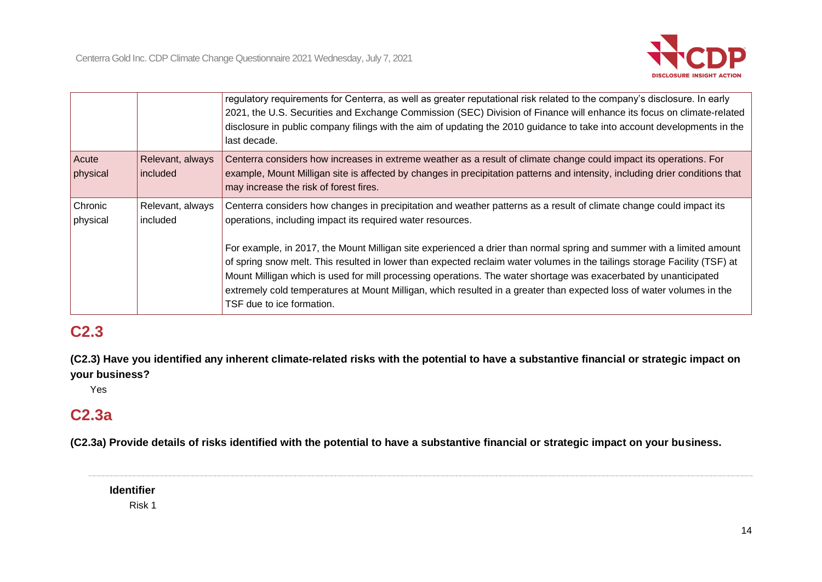

|                     |                              | regulatory requirements for Centerra, as well as greater reputational risk related to the company's disclosure. In early<br>2021, the U.S. Securities and Exchange Commission (SEC) Division of Finance will enhance its focus on climate-related<br>disclosure in public company filings with the aim of updating the 2010 guidance to take into account developments in the<br>last decade.       |
|---------------------|------------------------------|-----------------------------------------------------------------------------------------------------------------------------------------------------------------------------------------------------------------------------------------------------------------------------------------------------------------------------------------------------------------------------------------------------|
| Acute<br>physical   | Relevant, always<br>included | Centerra considers how increases in extreme weather as a result of climate change could impact its operations. For<br>example, Mount Milligan site is affected by changes in precipitation patterns and intensity, including drier conditions that<br>may increase the risk of forest fires.                                                                                                        |
| Chronic<br>physical | Relevant, always<br>included | Centerra considers how changes in precipitation and weather patterns as a result of climate change could impact its<br>operations, including impact its required water resources.<br>For example, in 2017, the Mount Milligan site experienced a drier than normal spring and summer with a limited amount                                                                                          |
|                     |                              | of spring snow melt. This resulted in lower than expected reclaim water volumes in the tailings storage Facility (TSF) at<br>Mount Milligan which is used for mill processing operations. The water shortage was exacerbated by unanticipated<br>extremely cold temperatures at Mount Milligan, which resulted in a greater than expected loss of water volumes in the<br>TSF due to ice formation. |

# **C2.3**

**(C2.3) Have you identified any inherent climate-related risks with the potential to have a substantive financial or strategic impact on your business?**

Yes

## **C2.3a**

**(C2.3a) Provide details of risks identified with the potential to have a substantive financial or strategic impact on your business.**

**Identifier**

Risk 1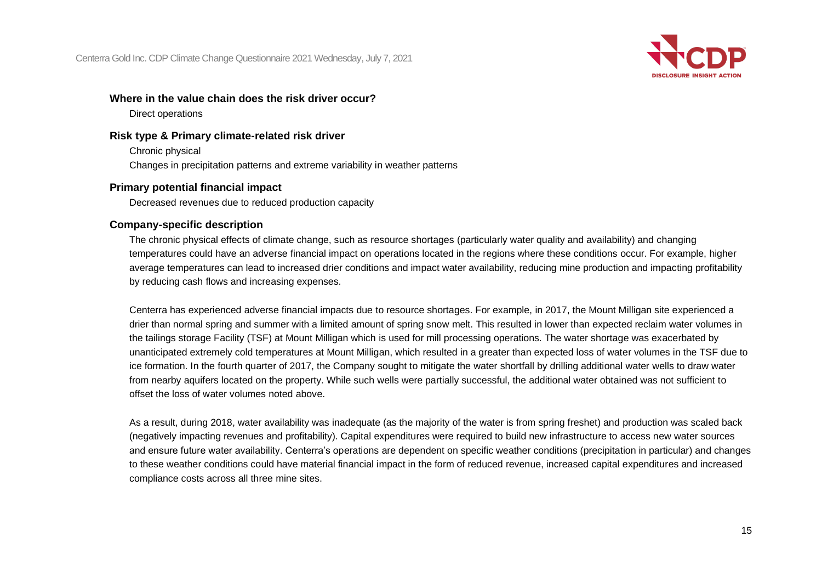

#### **Where in the value chain does the risk driver occur?**

Direct operations

### **Risk type & Primary climate-related risk driver**

Chronic physical Changes in precipitation patterns and extreme variability in weather patterns

#### **Primary potential financial impact**

Decreased revenues due to reduced production capacity

#### **Company-specific description**

The chronic physical effects of climate change, such as resource shortages (particularly water quality and availability) and changing temperatures could have an adverse financial impact on operations located in the regions where these conditions occur. For example, higher average temperatures can lead to increased drier conditions and impact water availability, reducing mine production and impacting profitability by reducing cash flows and increasing expenses.

Centerra has experienced adverse financial impacts due to resource shortages. For example, in 2017, the Mount Milligan site experienced a drier than normal spring and summer with a limited amount of spring snow melt. This resulted in lower than expected reclaim water volumes in the tailings storage Facility (TSF) at Mount Milligan which is used for mill processing operations. The water shortage was exacerbated by unanticipated extremely cold temperatures at Mount Milligan, which resulted in a greater than expected loss of water volumes in the TSF due to ice formation. In the fourth quarter of 2017, the Company sought to mitigate the water shortfall by drilling additional water wells to draw water from nearby aquifers located on the property. While such wells were partially successful, the additional water obtained was not sufficient to offset the loss of water volumes noted above.

As a result, during 2018, water availability was inadequate (as the majority of the water is from spring freshet) and production was scaled back (negatively impacting revenues and profitability). Capital expenditures were required to build new infrastructure to access new water sources and ensure future water availability. Centerra's operations are dependent on specific weather conditions (precipitation in particular) and changes to these weather conditions could have material financial impact in the form of reduced revenue, increased capital expenditures and increased compliance costs across all three mine sites.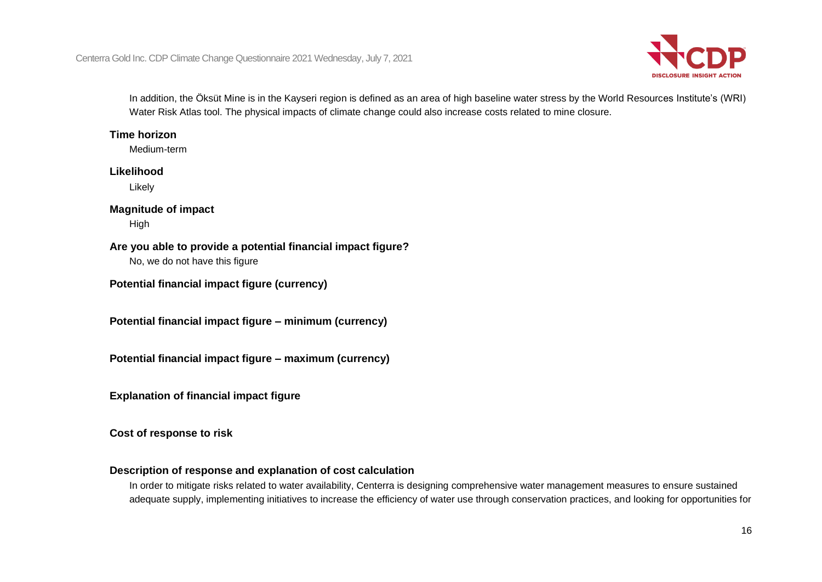

In addition, the Öksüt Mine is in the Kayseri region is defined as an area of high baseline water stress by the World Resources Institute's (WRI) Water Risk Atlas tool. The physical impacts of climate change could also increase costs related to mine closure.

### **Time horizon**

Medium-term

#### **Likelihood**

Likely

### **Magnitude of impact**

High

### **Are you able to provide a potential financial impact figure?**

No, we do not have this figure

**Potential financial impact figure (currency)**

**Potential financial impact figure – minimum (currency)**

**Potential financial impact figure – maximum (currency)**

**Explanation of financial impact figure**

**Cost of response to risk**

### **Description of response and explanation of cost calculation**

In order to mitigate risks related to water availability, Centerra is designing comprehensive water management measures to ensure sustained adequate supply, implementing initiatives to increase the efficiency of water use through conservation practices, and looking for opportunities for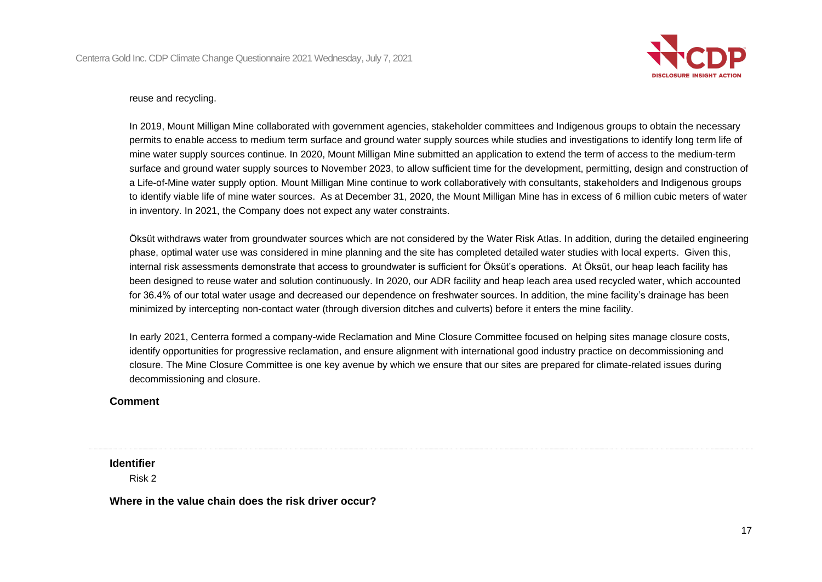

#### reuse and recycling.

In 2019, Mount Milligan Mine collaborated with government agencies, stakeholder committees and Indigenous groups to obtain the necessary permits to enable access to medium term surface and ground water supply sources while studies and investigations to identify long term life of mine water supply sources continue. In 2020, Mount Milligan Mine submitted an application to extend the term of access to the medium-term surface and ground water supply sources to November 2023, to allow sufficient time for the development, permitting, design and construction of a Life-of-Mine water supply option. Mount Milligan Mine continue to work collaboratively with consultants, stakeholders and Indigenous groups to identify viable life of mine water sources. As at December 31, 2020, the Mount Milligan Mine has in excess of 6 million cubic meters of water in inventory. In 2021, the Company does not expect any water constraints.

Öksüt withdraws water from groundwater sources which are not considered by the Water Risk Atlas. In addition, during the detailed engineering phase, optimal water use was considered in mine planning and the site has completed detailed water studies with local experts. Given this, internal risk assessments demonstrate that access to groundwater is sufficient for Öksüt's operations. At Öksüt, our heap leach facility has been designed to reuse water and solution continuously. In 2020, our ADR facility and heap leach area used recycled water, which accounted for 36.4% of our total water usage and decreased our dependence on freshwater sources. In addition, the mine facility's drainage has been minimized by intercepting non-contact water (through diversion ditches and culverts) before it enters the mine facility.

In early 2021, Centerra formed a company-wide Reclamation and Mine Closure Committee focused on helping sites manage closure costs, identify opportunities for progressive reclamation, and ensure alignment with international good industry practice on decommissioning and closure. The Mine Closure Committee is one key avenue by which we ensure that our sites are prepared for climate-related issues during decommissioning and closure.

#### **Comment**

**Identifier**

Risk 2

**Where in the value chain does the risk driver occur?**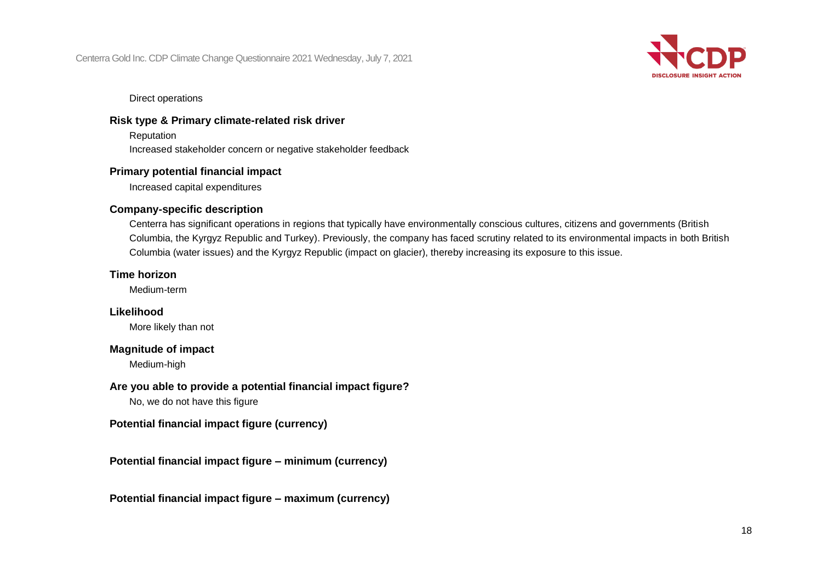

Direct operations

### **Risk type & Primary climate-related risk driver**

Reputation

Increased stakeholder concern or negative stakeholder feedback

#### **Primary potential financial impact**

Increased capital expenditures

#### **Company-specific description**

Centerra has significant operations in regions that typically have environmentally conscious cultures, citizens and governments (British Columbia, the Kyrgyz Republic and Turkey). Previously, the company has faced scrutiny related to its environmental impacts in both British Columbia (water issues) and the Kyrgyz Republic (impact on glacier), thereby increasing its exposure to this issue.

#### **Time horizon**

Medium-term

### **Likelihood**

More likely than not

#### **Magnitude of impact**

Medium-high

### **Are you able to provide a potential financial impact figure?**

No, we do not have this figure

### **Potential financial impact figure (currency)**

**Potential financial impact figure – minimum (currency)**

**Potential financial impact figure – maximum (currency)**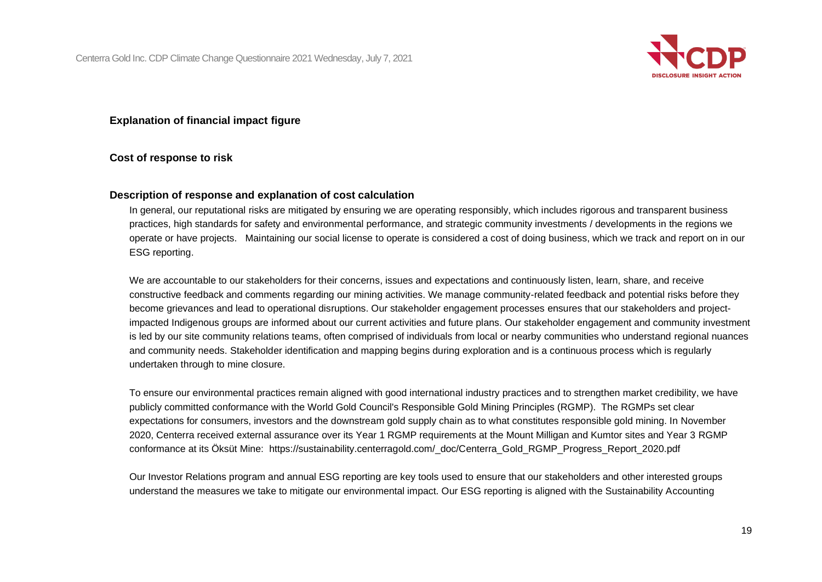

#### **Explanation of financial impact figure**

#### **Cost of response to risk**

#### **Description of response and explanation of cost calculation**

In general, our reputational risks are mitigated by ensuring we are operating responsibly, which includes rigorous and transparent business practices, high standards for safety and environmental performance, and strategic community investments / developments in the regions we operate or have projects. Maintaining our social license to operate is considered a cost of doing business, which we track and report on in our ESG reporting.

We are accountable to our stakeholders for their concerns, issues and expectations and continuously listen, learn, share, and receive constructive feedback and comments regarding our mining activities. We manage community-related feedback and potential risks before they become grievances and lead to operational disruptions. Our stakeholder engagement processes ensures that our stakeholders and projectimpacted Indigenous groups are informed about our current activities and future plans. Our stakeholder engagement and community investment is led by our site community relations teams, often comprised of individuals from local or nearby communities who understand regional nuances and community needs. Stakeholder identification and mapping begins during exploration and is a continuous process which is regularly undertaken through to mine closure.

To ensure our environmental practices remain aligned with good international industry practices and to strengthen market credibility, we have publicly committed conformance with the World Gold Council's Responsible Gold Mining Principles (RGMP). The RGMPs set clear expectations for consumers, investors and the downstream gold supply chain as to what constitutes responsible gold mining. In November 2020, Centerra received external assurance over its Year 1 RGMP requirements at the Mount Milligan and Kumtor sites and Year 3 RGMP conformance at its Öksüt Mine: https://sustainability.centerragold.com/\_doc/Centerra\_Gold\_RGMP\_Progress\_Report\_2020.pdf

Our Investor Relations program and annual ESG reporting are key tools used to ensure that our stakeholders and other interested groups understand the measures we take to mitigate our environmental impact. Our ESG reporting is aligned with the Sustainability Accounting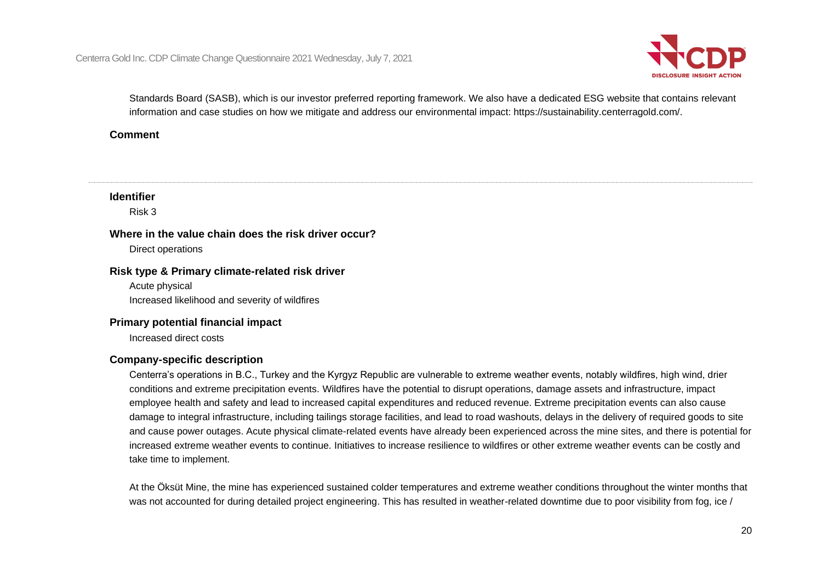

Standards Board (SASB), which is our investor preferred reporting framework. We also have a dedicated ESG website that contains relevant information and case studies on how we mitigate and address our environmental impact: https://sustainability.centerragold.com/.

### **Comment**

### **Identifier**

Risk 3

## **Where in the value chain does the risk driver occur?**

Direct operations

### **Risk type & Primary climate-related risk driver**

Acute physical Increased likelihood and severity of wildfires

#### **Primary potential financial impact**

Increased direct costs

### **Company-specific description**

Centerra's operations in B.C., Turkey and the Kyrgyz Republic are vulnerable to extreme weather events, notably wildfires, high wind, drier conditions and extreme precipitation events. Wildfires have the potential to disrupt operations, damage assets and infrastructure, impact employee health and safety and lead to increased capital expenditures and reduced revenue. Extreme precipitation events can also cause damage to integral infrastructure, including tailings storage facilities, and lead to road washouts, delays in the delivery of required goods to site and cause power outages. Acute physical climate-related events have already been experienced across the mine sites, and there is potential for increased extreme weather events to continue. Initiatives to increase resilience to wildfires or other extreme weather events can be costly and take time to implement.

At the Öksüt Mine, the mine has experienced sustained colder temperatures and extreme weather conditions throughout the winter months that was not accounted for during detailed project engineering. This has resulted in weather-related downtime due to poor visibility from fog, ice /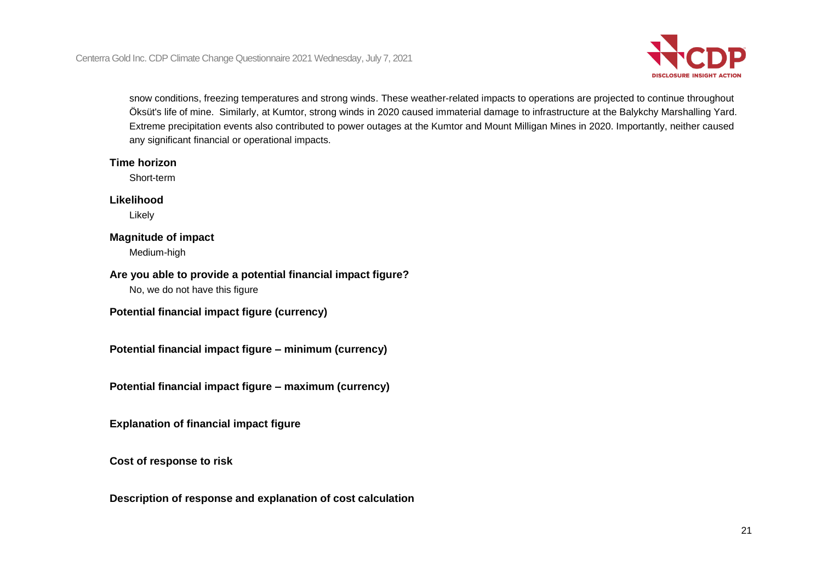

snow conditions, freezing temperatures and strong winds. These weather-related impacts to operations are projected to continue throughout Öksüt's life of mine. Similarly, at Kumtor, strong winds in 2020 caused immaterial damage to infrastructure at the Balykchy Marshalling Yard. Extreme precipitation events also contributed to power outages at the Kumtor and Mount Milligan Mines in 2020. Importantly, neither caused any significant financial or operational impacts.

#### **Time horizon**

Short-term

### **Likelihood**

Likely

### **Magnitude of impact**

Medium-high

### **Are you able to provide a potential financial impact figure?**

No, we do not have this figure

**Potential financial impact figure (currency)**

**Potential financial impact figure – minimum (currency)**

**Potential financial impact figure – maximum (currency)**

**Explanation of financial impact figure**

**Cost of response to risk**

**Description of response and explanation of cost calculation**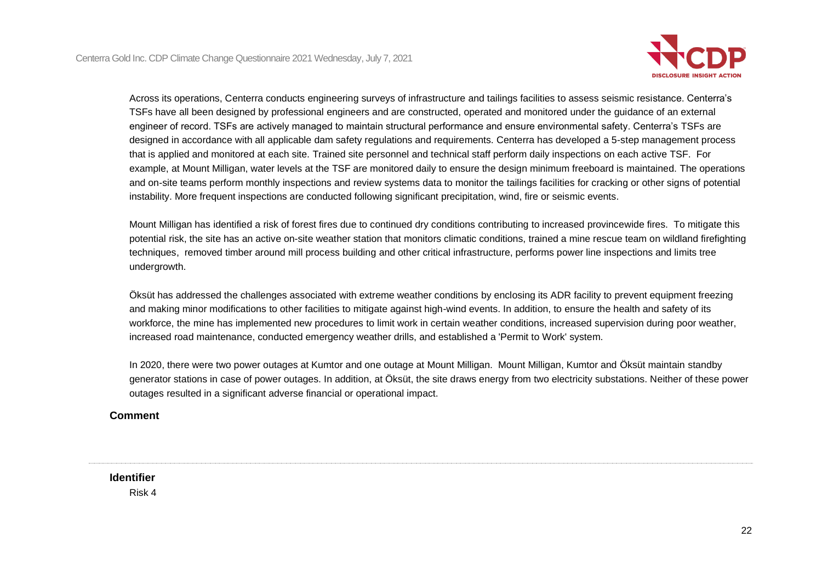

Across its operations, Centerra conducts engineering surveys of infrastructure and tailings facilities to assess seismic resistance. Centerra's TSFs have all been designed by professional engineers and are constructed, operated and monitored under the guidance of an external engineer of record. TSFs are actively managed to maintain structural performance and ensure environmental safety. Centerra's TSFs are designed in accordance with all applicable dam safety regulations and requirements. Centerra has developed a 5-step management process that is applied and monitored at each site. Trained site personnel and technical staff perform daily inspections on each active TSF. For example, at Mount Milligan, water levels at the TSF are monitored daily to ensure the design minimum freeboard is maintained. The operations and on-site teams perform monthly inspections and review systems data to monitor the tailings facilities for cracking or other signs of potential instability. More frequent inspections are conducted following significant precipitation, wind, fire or seismic events.

Mount Milligan has identified a risk of forest fires due to continued dry conditions contributing to increased provincewide fires. To mitigate this potential risk, the site has an active on-site weather station that monitors climatic conditions, trained a mine rescue team on wildland firefighting techniques, removed timber around mill process building and other critical infrastructure, performs power line inspections and limits tree undergrowth.

Öksüt has addressed the challenges associated with extreme weather conditions by enclosing its ADR facility to prevent equipment freezing and making minor modifications to other facilities to mitigate against high-wind events. In addition, to ensure the health and safety of its workforce, the mine has implemented new procedures to limit work in certain weather conditions, increased supervision during poor weather, increased road maintenance, conducted emergency weather drills, and established a 'Permit to Work' system.

In 2020, there were two power outages at Kumtor and one outage at Mount Milligan. Mount Milligan, Kumtor and Öksüt maintain standby generator stations in case of power outages. In addition, at Öksüt, the site draws energy from two electricity substations. Neither of these power outages resulted in a significant adverse financial or operational impact.

### **Comment**

**Identifier**

Risk 4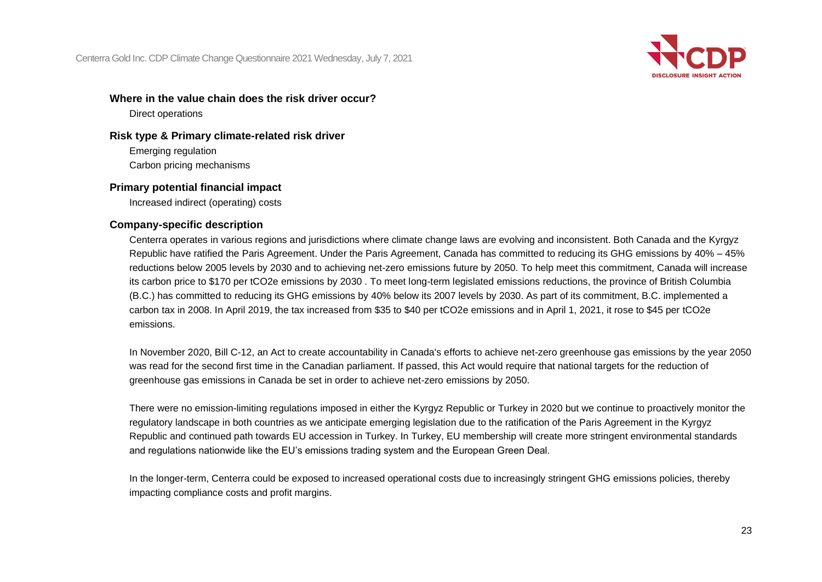

#### **Where in the value chain does the risk driver occur?**

Direct operations

### **Risk type & Primary climate-related risk driver**

Emerging regulation Carbon pricing mechanisms

### **Primary potential financial impact**

Increased indirect (operating) costs

#### **Company-specific description**

Centerra operates in various regions and jurisdictions where climate change laws are evolving and inconsistent. Both Canada and the Kyrgyz Republic have ratified the Paris Agreement. Under the Paris Agreement, Canada has committed to reducing its GHG emissions by 40% – 45% reductions below 2005 levels by 2030 and to achieving net-zero emissions future by 2050. To help meet this commitment, Canada will increase its carbon price to \$170 per tCO2e emissions by 2030 . To meet long-term legislated emissions reductions, the province of British Columbia (B.C.) has committed to reducing its GHG emissions by 40% below its 2007 levels by 2030. As part of its commitment, B.C. implemented a carbon tax in 2008. In April 2019, the tax increased from \$35 to \$40 per tCO2e emissions and in April 1, 2021, it rose to \$45 per tCO2e emissions.

In November 2020, Bill C-12, an Act to create accountability in Canada's efforts to achieve net-zero greenhouse gas emissions by the year 2050 was read for the second first time in the Canadian parliament. If passed, this Act would require that national targets for the reduction of greenhouse gas emissions in Canada be set in order to achieve net-zero emissions by 2050.

There were no emission-limiting regulations imposed in either the Kyrgyz Republic or Turkey in 2020 but we continue to proactively monitor the regulatory landscape in both countries as we anticipate emerging legislation due to the ratification of the Paris Agreement in the Kyrgyz Republic and continued path towards EU accession in Turkey. In Turkey, EU membership will create more stringent environmental standards and regulations nationwide like the EU's emissions trading system and the European Green Deal.

In the longer-term, Centerra could be exposed to increased operational costs due to increasingly stringent GHG emissions policies, thereby impacting compliance costs and profit margins.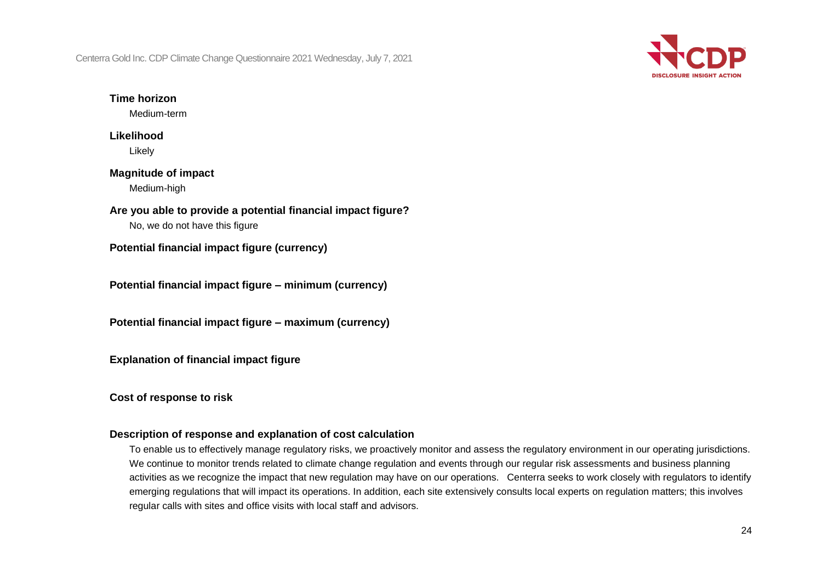

#### **Time horizon**

Medium-term

### **Likelihood** Likely

## **Magnitude of impact** Medium-high

**Are you able to provide a potential financial impact figure?**

No, we do not have this figure

**Potential financial impact figure (currency)**

**Potential financial impact figure – minimum (currency)**

**Potential financial impact figure – maximum (currency)**

**Explanation of financial impact figure**

**Cost of response to risk**

### **Description of response and explanation of cost calculation**

To enable us to effectively manage regulatory risks, we proactively monitor and assess the regulatory environment in our operating jurisdictions. We continue to monitor trends related to climate change regulation and events through our regular risk assessments and business planning activities as we recognize the impact that new regulation may have on our operations. Centerra seeks to work closely with regulators to identify emerging regulations that will impact its operations. In addition, each site extensively consults local experts on regulation matters; this involves regular calls with sites and office visits with local staff and advisors.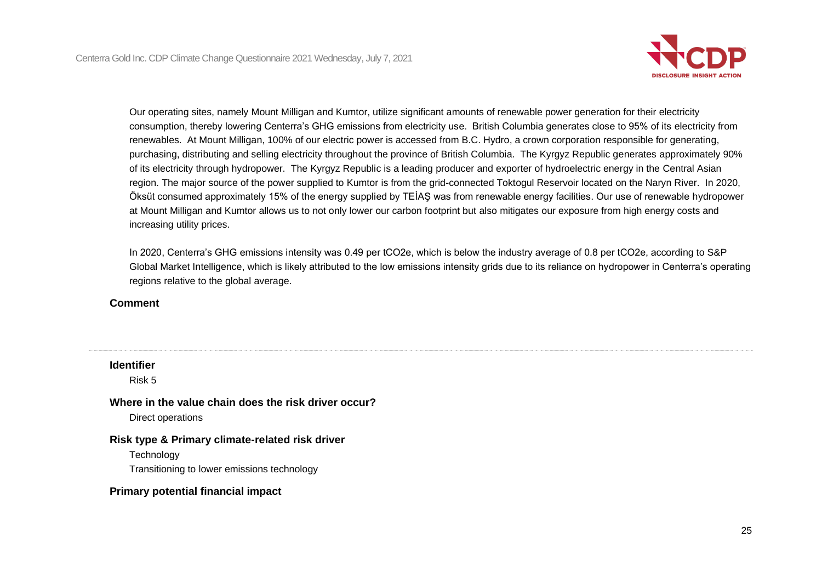

Our operating sites, namely Mount Milligan and Kumtor, utilize significant amounts of renewable power generation for their electricity consumption, thereby lowering Centerra's GHG emissions from electricity use. British Columbia generates close to 95% of its electricity from renewables. At Mount Milligan, 100% of our electric power is accessed from B.C. Hydro, a crown corporation responsible for generating, purchasing, distributing and selling electricity throughout the province of British Columbia. The Kyrgyz Republic generates approximately 90% of its electricity through hydropower. The Kyrgyz Republic is a leading producer and exporter of hydroelectric energy in the Central Asian region. The major source of the power supplied to Kumtor is from the grid-connected Toktogul Reservoir located on the Naryn River. In 2020, Öksüt consumed approximately 15% of the energy supplied by TEİAŞ was from renewable energy facilities. Our use of renewable hydropower at Mount Milligan and Kumtor allows us to not only lower our carbon footprint but also mitigates our exposure from high energy costs and increasing utility prices.

In 2020, Centerra's GHG emissions intensity was 0.49 per tCO2e, which is below the industry average of 0.8 per tCO2e, according to S&P Global Market Intelligence, which is likely attributed to the low emissions intensity grids due to its reliance on hydropower in Centerra's operating regions relative to the global average.

#### **Comment**

| <b>Identifier</b><br>Risk 5                                                                                  |
|--------------------------------------------------------------------------------------------------------------|
| Where in the value chain does the risk driver occur?<br>Direct operations                                    |
| Risk type & Primary climate-related risk driver<br>Technology<br>Transitioning to lower emissions technology |
| <b>Primary potential financial impact</b>                                                                    |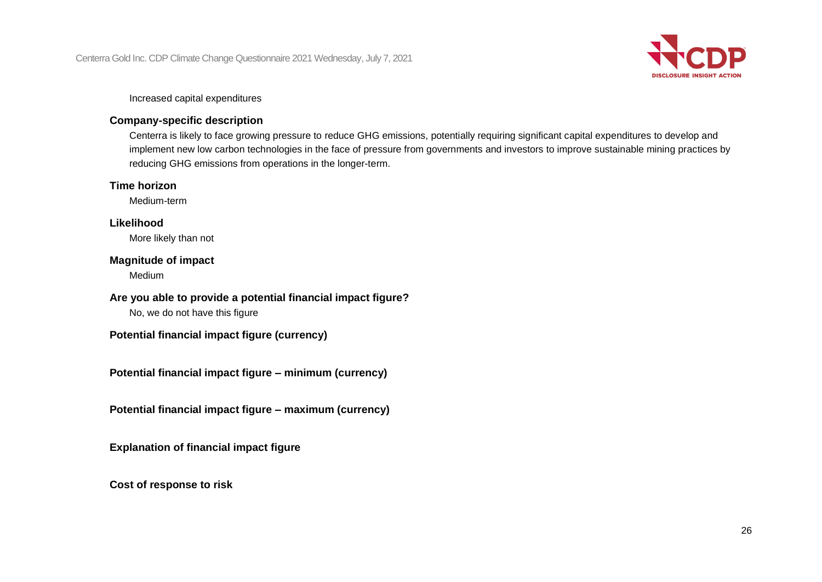

#### Increased capital expenditures

### **Company-specific description**

Centerra is likely to face growing pressure to reduce GHG emissions, potentially requiring significant capital expenditures to develop and implement new low carbon technologies in the face of pressure from governments and investors to improve sustainable mining practices by reducing GHG emissions from operations in the longer-term.

#### **Time horizon**

Medium-term

### **Likelihood**

More likely than not

#### **Magnitude of impact**

Medium

#### **Are you able to provide a potential financial impact figure?**

No, we do not have this figure

## **Potential financial impact figure (currency)**

**Potential financial impact figure – minimum (currency)**

**Potential financial impact figure – maximum (currency)**

**Explanation of financial impact figure**

**Cost of response to risk**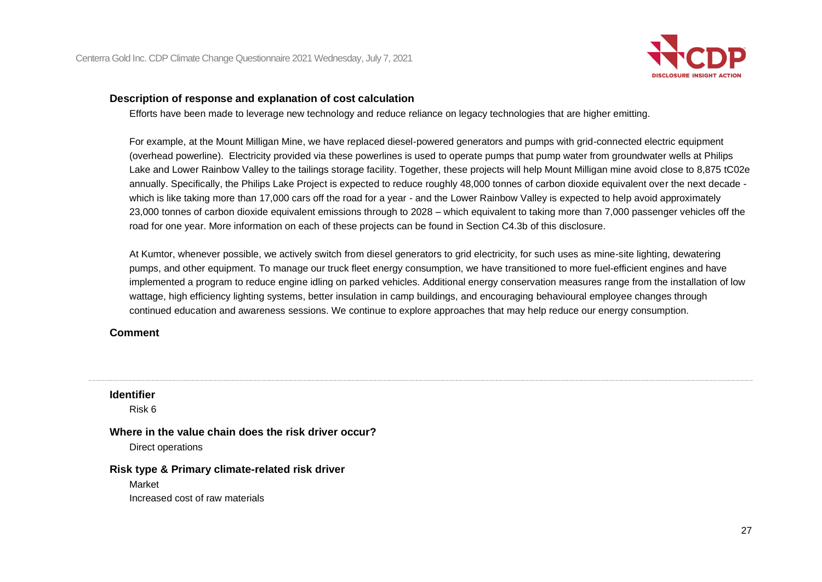

#### **Description of response and explanation of cost calculation**

Efforts have been made to leverage new technology and reduce reliance on legacy technologies that are higher emitting.

For example, at the Mount Milligan Mine, we have replaced diesel-powered generators and pumps with grid-connected electric equipment (overhead powerline). Electricity provided via these powerlines is used to operate pumps that pump water from groundwater wells at Philips Lake and Lower Rainbow Valley to the tailings storage facility. Together, these projects will help Mount Milligan mine avoid close to 8,875 tC02e annually. Specifically, the Philips Lake Project is expected to reduce roughly 48,000 tonnes of carbon dioxide equivalent over the next decade which is like taking more than 17,000 cars off the road for a year - and the Lower Rainbow Valley is expected to help avoid approximately 23,000 tonnes of carbon dioxide equivalent emissions through to 2028 – which equivalent to taking more than 7,000 passenger vehicles off the road for one year. More information on each of these projects can be found in Section C4.3b of this disclosure.

At Kumtor, whenever possible, we actively switch from diesel generators to grid electricity, for such uses as mine-site lighting, dewatering pumps, and other equipment. To manage our truck fleet energy consumption, we have transitioned to more fuel-efficient engines and have implemented a program to reduce engine idling on parked vehicles. Additional energy conservation measures range from the installation of low wattage, high efficiency lighting systems, better insulation in camp buildings, and encouraging behavioural employee changes through continued education and awareness sessions. We continue to explore approaches that may help reduce our energy consumption.

#### **Comment**

#### **Identifier**

Risk 6

#### **Where in the value chain does the risk driver occur?**

Direct operations

#### **Risk type & Primary climate-related risk driver**

Market

Increased cost of raw materials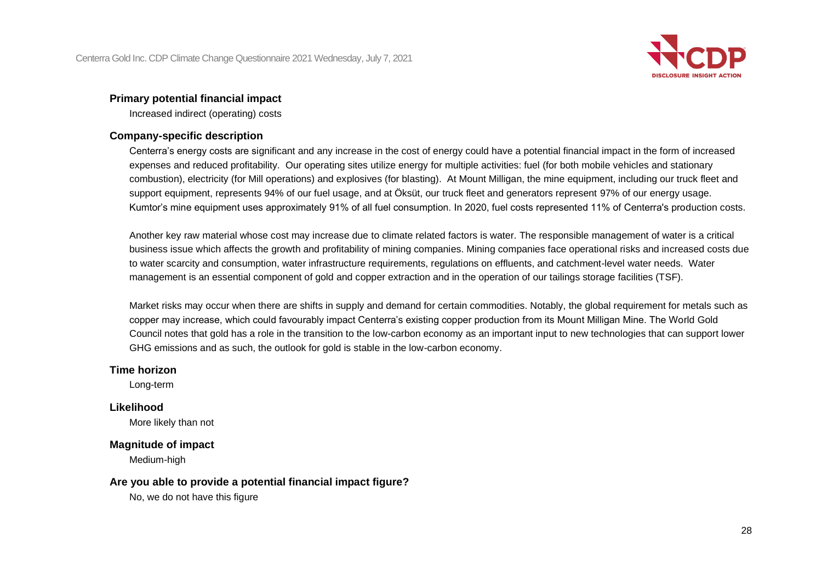

#### **Primary potential financial impact**

Increased indirect (operating) costs

### **Company-specific description**

Centerra's energy costs are significant and any increase in the cost of energy could have a potential financial impact in the form of increased expenses and reduced profitability. Our operating sites utilize energy for multiple activities: fuel (for both mobile vehicles and stationary combustion), electricity (for Mill operations) and explosives (for blasting). At Mount Milligan, the mine equipment, including our truck fleet and support equipment, represents 94% of our fuel usage, and at Öksüt, our truck fleet and generators represent 97% of our energy usage. Kumtor's mine equipment uses approximately 91% of all fuel consumption. In 2020, fuel costs represented 11% of Centerra's production costs.

Another key raw material whose cost may increase due to climate related factors is water. The responsible management of water is a critical business issue which affects the growth and profitability of mining companies. Mining companies face operational risks and increased costs due to water scarcity and consumption, water infrastructure requirements, regulations on effluents, and catchment-level water needs. Water management is an essential component of gold and copper extraction and in the operation of our tailings storage facilities (TSF).

Market risks may occur when there are shifts in supply and demand for certain commodities. Notably, the global requirement for metals such as copper may increase, which could favourably impact Centerra's existing copper production from its Mount Milligan Mine. The World Gold Council notes that gold has a role in the transition to the low-carbon economy as an important input to new technologies that can support lower GHG emissions and as such, the outlook for gold is stable in the low-carbon economy.

#### **Time horizon**

Long-term

#### **Likelihood**

More likely than not

#### **Magnitude of impact**

Medium-high

#### **Are you able to provide a potential financial impact figure?**

No, we do not have this figure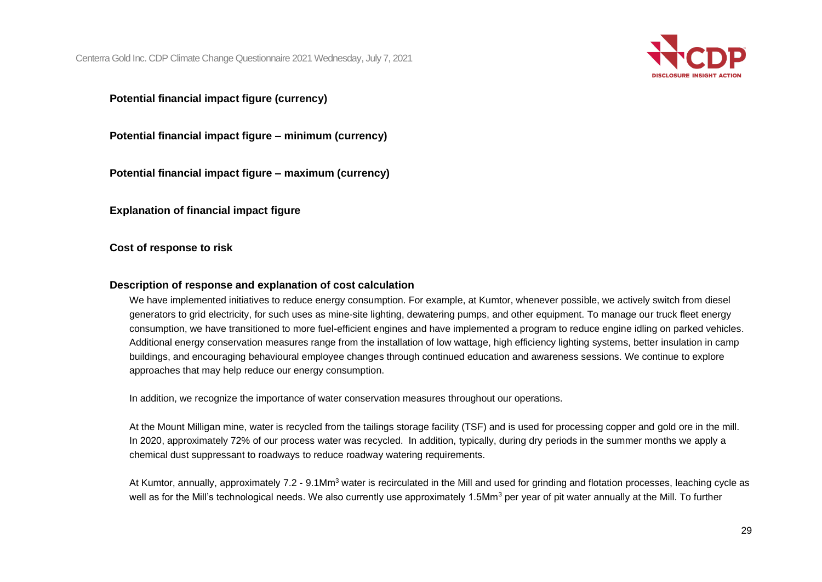

**Potential financial impact figure (currency)**

**Potential financial impact figure – minimum (currency)**

**Potential financial impact figure – maximum (currency)**

**Explanation of financial impact figure**

**Cost of response to risk**

#### **Description of response and explanation of cost calculation**

We have implemented initiatives to reduce energy consumption. For example, at Kumtor, whenever possible, we actively switch from diesel generators to grid electricity, for such uses as mine-site lighting, dewatering pumps, and other equipment. To manage our truck fleet energy consumption, we have transitioned to more fuel-efficient engines and have implemented a program to reduce engine idling on parked vehicles. Additional energy conservation measures range from the installation of low wattage, high efficiency lighting systems, better insulation in camp buildings, and encouraging behavioural employee changes through continued education and awareness sessions. We continue to explore approaches that may help reduce our energy consumption.

In addition, we recognize the importance of water conservation measures throughout our operations.

At the Mount Milligan mine, water is recycled from the tailings storage facility (TSF) and is used for processing copper and gold ore in the mill. In 2020, approximately 72% of our process water was recycled. In addition, typically, during dry periods in the summer months we apply a chemical dust suppressant to roadways to reduce roadway watering requirements.

At Kumtor, annually, approximately 7.2 - 9.1Mm<sup>3</sup> water is recirculated in the Mill and used for grinding and flotation processes, leaching cycle as well as for the Mill's technological needs. We also currently use approximately 1.5Mm<sup>3</sup> per year of pit water annually at the Mill. To further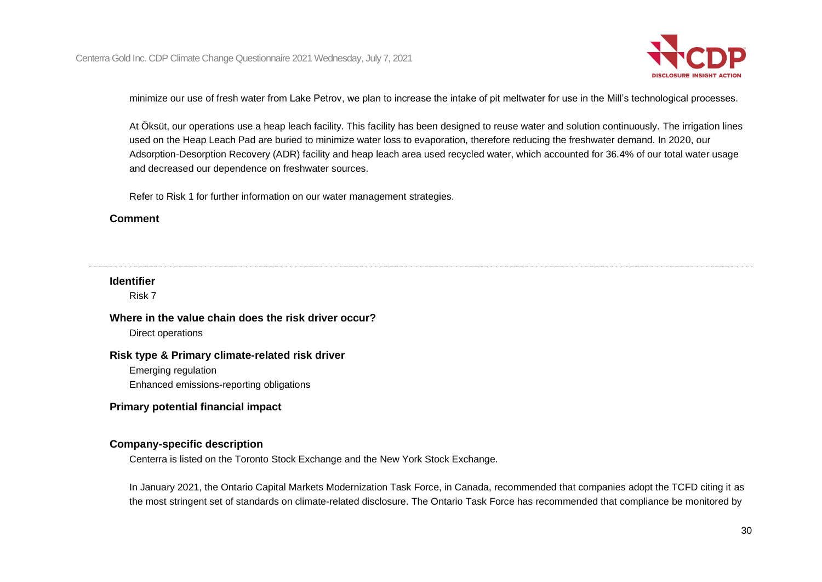

minimize our use of fresh water from Lake Petrov, we plan to increase the intake of pit meltwater for use in the Mill's technological processes.

At Öksüt, our operations use a heap leach facility. This facility has been designed to reuse water and solution continuously. The irrigation lines used on the Heap Leach Pad are buried to minimize water loss to evaporation, therefore reducing the freshwater demand. In 2020, our Adsorption-Desorption Recovery (ADR) facility and heap leach area used recycled water, which accounted for 36.4% of our total water usage and decreased our dependence on freshwater sources.

Refer to Risk 1 for further information on our water management strategies.

#### **Comment**

### **Identifier**

Risk 7

#### **Where in the value chain does the risk driver occur?**

Direct operations

#### **Risk type & Primary climate-related risk driver**

Emerging regulation

Enhanced emissions-reporting obligations

### **Primary potential financial impact**

#### **Company-specific description**

Centerra is listed on the Toronto Stock Exchange and the New York Stock Exchange.

In January 2021, the Ontario Capital Markets Modernization Task Force, in Canada, recommended that companies adopt the TCFD citing it as the most stringent set of standards on climate-related disclosure. The Ontario Task Force has recommended that compliance be monitored by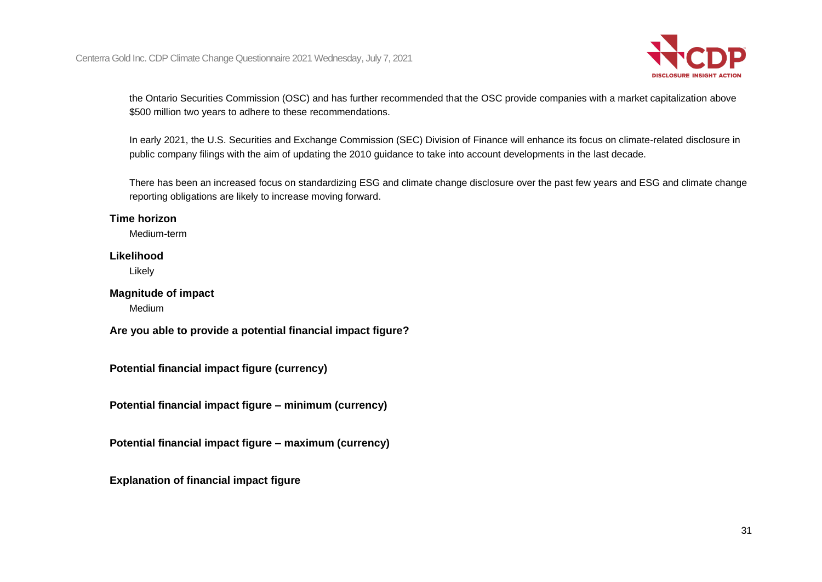

the Ontario Securities Commission (OSC) and has further recommended that the OSC provide companies with a market capitalization above \$500 million two years to adhere to these recommendations.

In early 2021, the U.S. Securities and Exchange Commission (SEC) Division of Finance will enhance its focus on climate-related disclosure in public company filings with the aim of updating the 2010 guidance to take into account developments in the last decade.

There has been an increased focus on standardizing ESG and climate change disclosure over the past few years and ESG and climate change reporting obligations are likely to increase moving forward.

#### **Time horizon**

Medium-term

### **Likelihood**

Likely

#### **Magnitude of impact**

Medium

**Are you able to provide a potential financial impact figure?**

**Potential financial impact figure (currency)**

**Potential financial impact figure – minimum (currency)**

**Potential financial impact figure – maximum (currency)**

**Explanation of financial impact figure**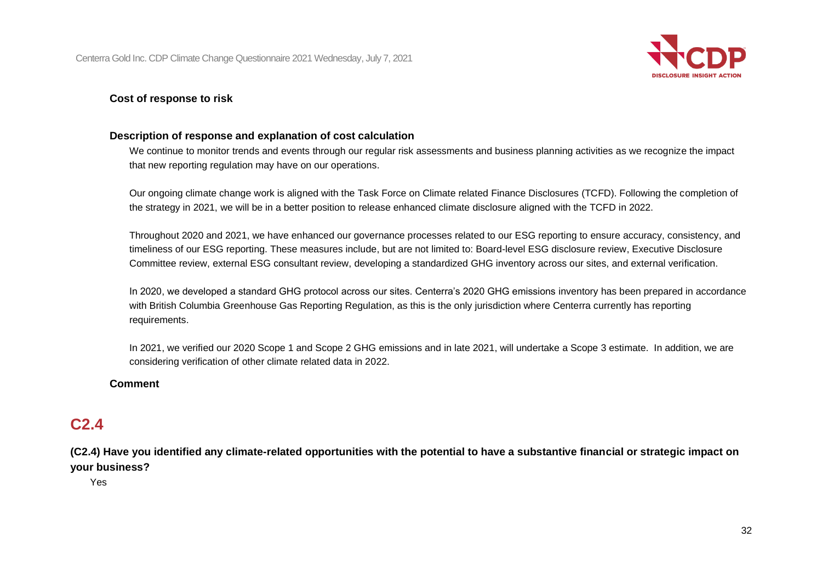

### **Cost of response to risk**

### **Description of response and explanation of cost calculation**

We continue to monitor trends and events through our regular risk assessments and business planning activities as we recognize the impact that new reporting regulation may have on our operations.

Our ongoing climate change work is aligned with the Task Force on Climate related Finance Disclosures (TCFD). Following the completion of the strategy in 2021, we will be in a better position to release enhanced climate disclosure aligned with the TCFD in 2022.

Throughout 2020 and 2021, we have enhanced our governance processes related to our ESG reporting to ensure accuracy, consistency, and timeliness of our ESG reporting. These measures include, but are not limited to: Board-level ESG disclosure review, Executive Disclosure Committee review, external ESG consultant review, developing a standardized GHG inventory across our sites, and external verification.

In 2020, we developed a standard GHG protocol across our sites. Centerra's 2020 GHG emissions inventory has been prepared in accordance with British Columbia Greenhouse Gas Reporting Regulation, as this is the only jurisdiction where Centerra currently has reporting requirements.

In 2021, we verified our 2020 Scope 1 and Scope 2 GHG emissions and in late 2021, will undertake a Scope 3 estimate. In addition, we are considering verification of other climate related data in 2022.

#### **Comment**

# **C2.4**

**(C2.4) Have you identified any climate-related opportunities with the potential to have a substantive financial or strategic impact on your business?**

Yes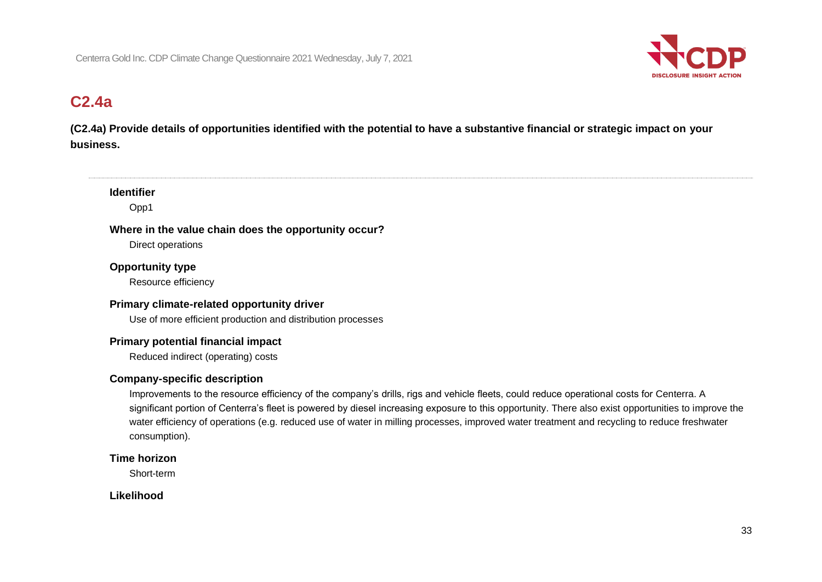

# **C2.4a**

**(C2.4a) Provide details of opportunities identified with the potential to have a substantive financial or strategic impact on your business.**

#### **Identifier**

Opp1

# **Where in the value chain does the opportunity occur?**

Direct operations

## **Opportunity type**

Resource efficiency

## **Primary climate-related opportunity driver**

Use of more efficient production and distribution processes

## **Primary potential financial impact**

Reduced indirect (operating) costs

## **Company-specific description**

Improvements to the resource efficiency of the company's drills, rigs and vehicle fleets, could reduce operational costs for Centerra. A significant portion of Centerra's fleet is powered by diesel increasing exposure to this opportunity. There also exist opportunities to improve the water efficiency of operations (e.g. reduced use of water in milling processes, improved water treatment and recycling to reduce freshwater consumption).

### **Time horizon**

Short-term

## **Likelihood**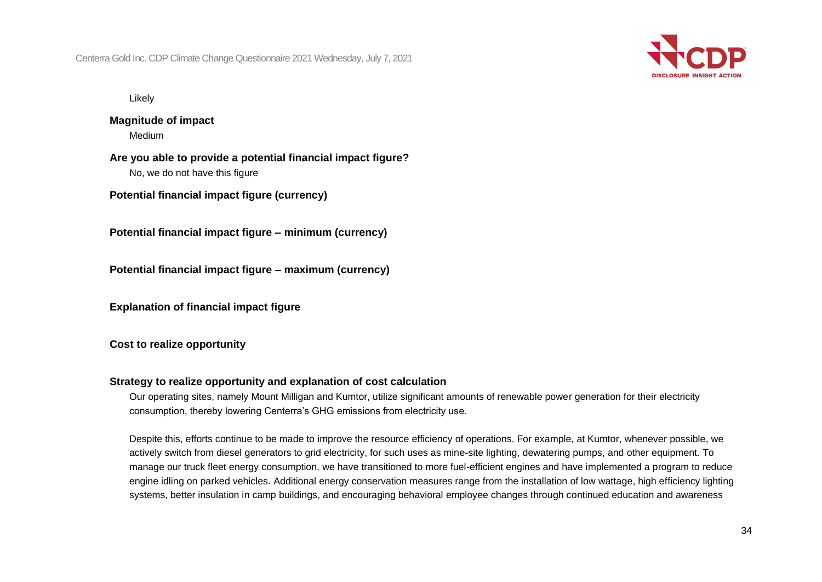

Likely

**Magnitude of impact** Medium

**Are you able to provide a potential financial impact figure?** No, we do not have this figure

**Potential financial impact figure (currency)**

**Potential financial impact figure – minimum (currency)**

**Potential financial impact figure – maximum (currency)**

**Explanation of financial impact figure**

#### **Cost to realize opportunity**

#### **Strategy to realize opportunity and explanation of cost calculation**

Our operating sites, namely Mount Milligan and Kumtor, utilize significant amounts of renewable power generation for their electricity consumption, thereby lowering Centerra's GHG emissions from electricity use.

Despite this, efforts continue to be made to improve the resource efficiency of operations. For example, at Kumtor, whenever possible, we actively switch from diesel generators to grid electricity, for such uses as mine-site lighting, dewatering pumps, and other equipment. To manage our truck fleet energy consumption, we have transitioned to more fuel-efficient engines and have implemented a program to reduce engine idling on parked vehicles. Additional energy conservation measures range from the installation of low wattage, high efficiency lighting systems, better insulation in camp buildings, and encouraging behavioral employee changes through continued education and awareness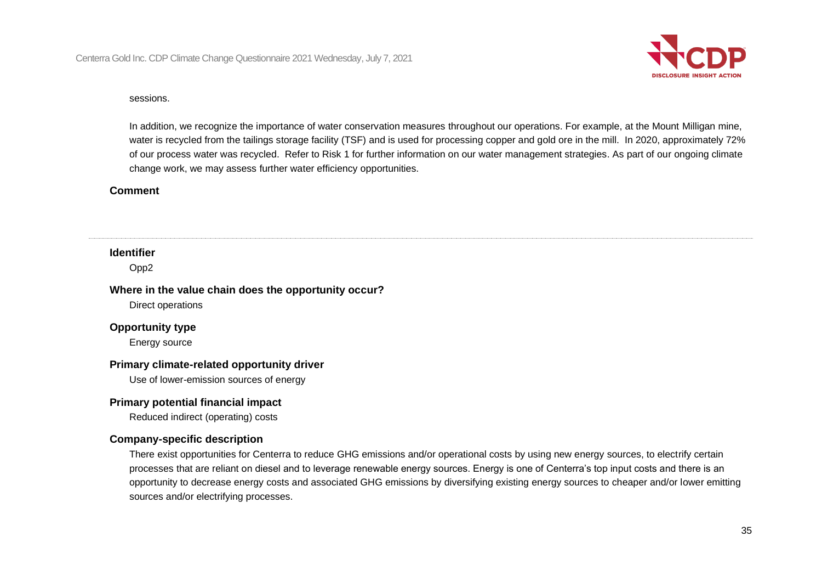

#### sessions.

In addition, we recognize the importance of water conservation measures throughout our operations. For example, at the Mount Milligan mine, water is recycled from the tailings storage facility (TSF) and is used for processing copper and gold ore in the mill. In 2020, approximately 72% of our process water was recycled. Refer to Risk 1 for further information on our water management strategies. As part of our ongoing climate change work, we may assess further water efficiency opportunities.

#### **Comment**

#### **Identifier**

Opp2

#### **Where in the value chain does the opportunity occur?**

Direct operations

#### **Opportunity type**

Energy source

#### **Primary climate-related opportunity driver**

Use of lower-emission sources of energy

#### **Primary potential financial impact**

Reduced indirect (operating) costs

#### **Company-specific description**

There exist opportunities for Centerra to reduce GHG emissions and/or operational costs by using new energy sources, to electrify certain processes that are reliant on diesel and to leverage renewable energy sources. Energy is one of Centerra's top input costs and there is an opportunity to decrease energy costs and associated GHG emissions by diversifying existing energy sources to cheaper and/or lower emitting sources and/or electrifying processes.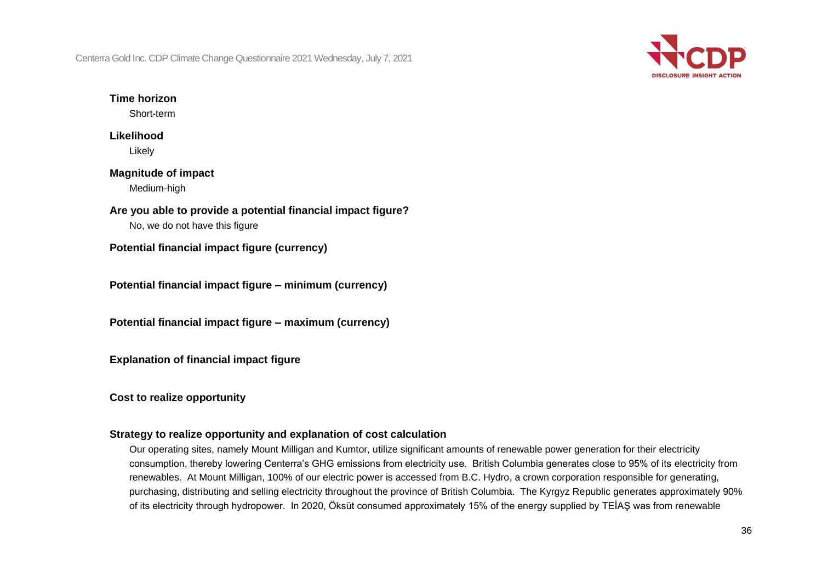

## **Time horizon**

Short-term

## **Likelihood** Likely

## **Magnitude of impact** Medium-high

**Are you able to provide a potential financial impact figure?**

No, we do not have this figure

**Potential financial impact figure (currency)**

**Potential financial impact figure – minimum (currency)**

**Potential financial impact figure – maximum (currency)**

**Explanation of financial impact figure**

**Cost to realize opportunity**

## **Strategy to realize opportunity and explanation of cost calculation**

Our operating sites, namely Mount Milligan and Kumtor, utilize significant amounts of renewable power generation for their electricity consumption, thereby lowering Centerra's GHG emissions from electricity use. British Columbia generates close to 95% of its electricity from renewables. At Mount Milligan, 100% of our electric power is accessed from B.C. Hydro, a crown corporation responsible for generating, purchasing, distributing and selling electricity throughout the province of British Columbia. The Kyrgyz Republic generates approximately 90% of its electricity through hydropower. In 2020, Öksüt consumed approximately 15% of the energy supplied by TEİAŞ was from renewable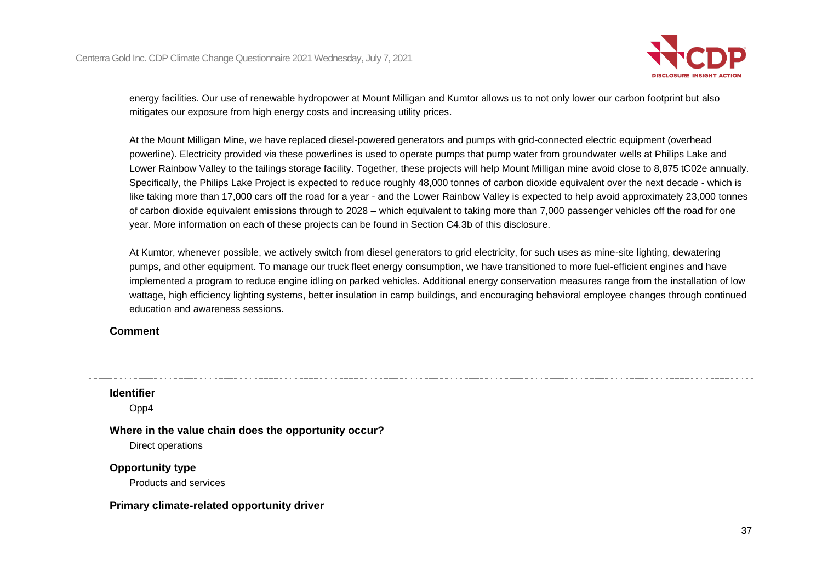

energy facilities. Our use of renewable hydropower at Mount Milligan and Kumtor allows us to not only lower our carbon footprint but also mitigates our exposure from high energy costs and increasing utility prices.

At the Mount Milligan Mine, we have replaced diesel-powered generators and pumps with grid-connected electric equipment (overhead powerline). Electricity provided via these powerlines is used to operate pumps that pump water from groundwater wells at Philips Lake and Lower Rainbow Valley to the tailings storage facility. Together, these projects will help Mount Milligan mine avoid close to 8,875 tC02e annually. Specifically, the Philips Lake Project is expected to reduce roughly 48,000 tonnes of carbon dioxide equivalent over the next decade - which is like taking more than 17,000 cars off the road for a year - and the Lower Rainbow Valley is expected to help avoid approximately 23,000 tonnes of carbon dioxide equivalent emissions through to 2028 – which equivalent to taking more than 7,000 passenger vehicles off the road for one year. More information on each of these projects can be found in Section C4.3b of this disclosure.

At Kumtor, whenever possible, we actively switch from diesel generators to grid electricity, for such uses as mine-site lighting, dewatering pumps, and other equipment. To manage our truck fleet energy consumption, we have transitioned to more fuel-efficient engines and have implemented a program to reduce engine idling on parked vehicles. Additional energy conservation measures range from the installation of low wattage, high efficiency lighting systems, better insulation in camp buildings, and encouraging behavioral employee changes through continued education and awareness sessions.

### **Comment**

### **Identifier**

Opp4

### **Where in the value chain does the opportunity occur?**

Direct operations

### **Opportunity type**

Products and services

### **Primary climate-related opportunity driver**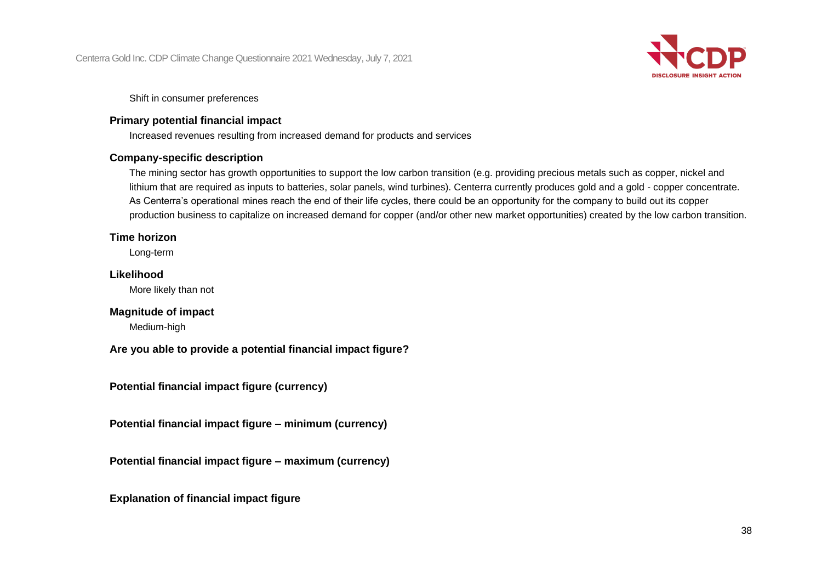

Shift in consumer preferences

### **Primary potential financial impact**

Increased revenues resulting from increased demand for products and services

### **Company-specific description**

The mining sector has growth opportunities to support the low carbon transition (e.g. providing precious metals such as copper, nickel and lithium that are required as inputs to batteries, solar panels, wind turbines). Centerra currently produces gold and a gold - copper concentrate. As Centerra's operational mines reach the end of their life cycles, there could be an opportunity for the company to build out its copper production business to capitalize on increased demand for copper (and/or other new market opportunities) created by the low carbon transition.

### **Time horizon**

Long-term

### **Likelihood**

More likely than not

### **Magnitude of impact**

Medium-high

**Are you able to provide a potential financial impact figure?**

**Potential financial impact figure (currency)**

**Potential financial impact figure – minimum (currency)**

**Potential financial impact figure – maximum (currency)**

**Explanation of financial impact figure**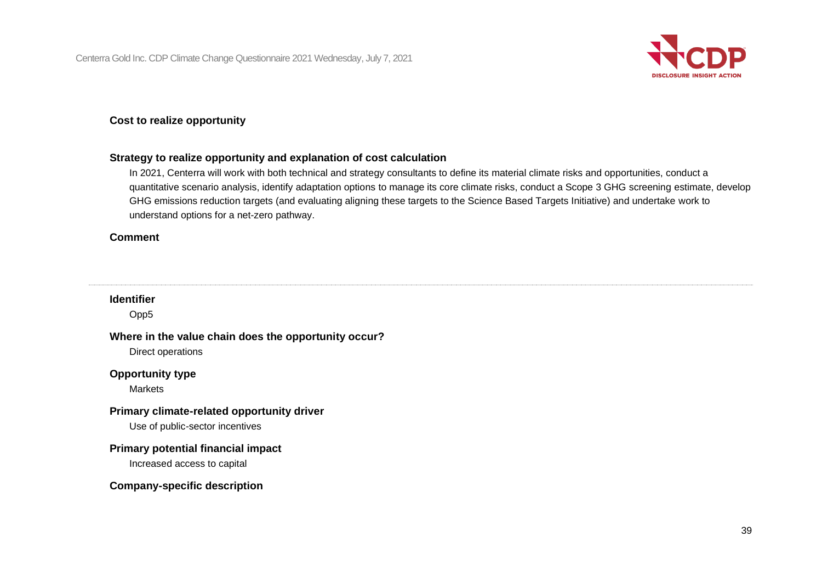

### **Cost to realize opportunity**

#### **Strategy to realize opportunity and explanation of cost calculation**

In 2021, Centerra will work with both technical and strategy consultants to define its material climate risks and opportunities, conduct a quantitative scenario analysis, identify adaptation options to manage its core climate risks, conduct a Scope 3 GHG screening estimate, develop GHG emissions reduction targets (and evaluating aligning these targets to the Science Based Targets Initiative) and undertake work to understand options for a net-zero pathway.

#### **Comment**

### **Identifier**

Opp5

#### **Where in the value chain does the opportunity occur?**

Direct operations

### **Opportunity type**

**Markets** 

#### **Primary climate-related opportunity driver**

Use of public-sector incentives

#### **Primary potential financial impact**

Increased access to capital

#### **Company-specific description**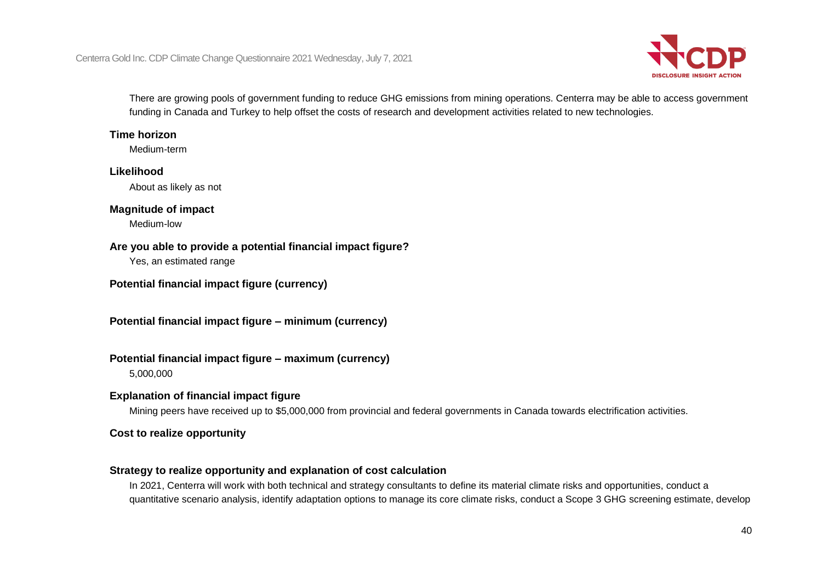

There are growing pools of government funding to reduce GHG emissions from mining operations. Centerra may be able to access government funding in Canada and Turkey to help offset the costs of research and development activities related to new technologies.

### **Time horizon**

Medium-term

### **Likelihood**

About as likely as not

### **Magnitude of impact**

Medium-low

### **Are you able to provide a potential financial impact figure?**

Yes, an estimated range

### **Potential financial impact figure (currency)**

**Potential financial impact figure – minimum (currency)**

### **Potential financial impact figure – maximum (currency)**

5,000,000

### **Explanation of financial impact figure**

Mining peers have received up to \$5,000,000 from provincial and federal governments in Canada towards electrification activities.

### **Cost to realize opportunity**

### **Strategy to realize opportunity and explanation of cost calculation**

In 2021, Centerra will work with both technical and strategy consultants to define its material climate risks and opportunities, conduct a quantitative scenario analysis, identify adaptation options to manage its core climate risks, conduct a Scope 3 GHG screening estimate, develop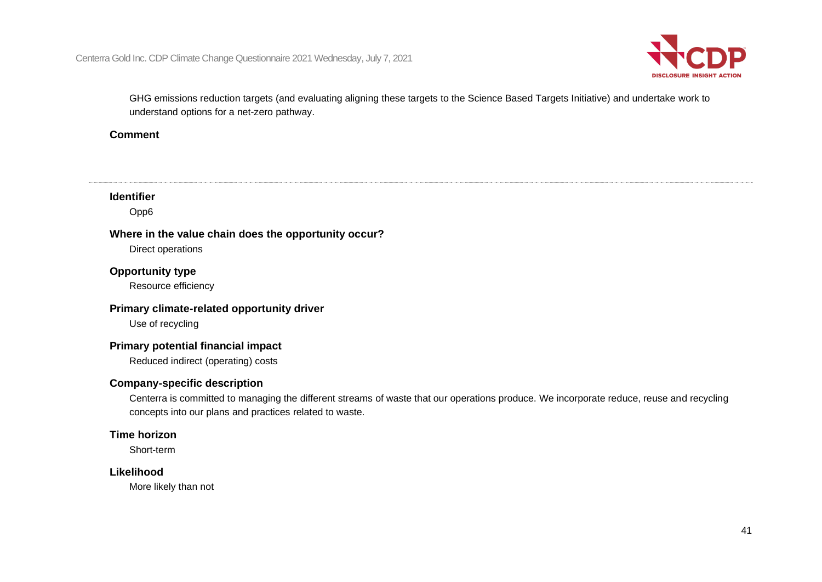

GHG emissions reduction targets (and evaluating aligning these targets to the Science Based Targets Initiative) and undertake work to understand options for a net-zero pathway.

### **Comment**

### **Identifier**

Opp6

### **Where in the value chain does the opportunity occur?**

Direct operations

### **Opportunity type**

Resource efficiency

### **Primary climate-related opportunity driver**

Use of recycling

### **Primary potential financial impact**

Reduced indirect (operating) costs

### **Company-specific description**

Centerra is committed to managing the different streams of waste that our operations produce. We incorporate reduce, reuse and recycling concepts into our plans and practices related to waste.

### **Time horizon**

Short-term

### **Likelihood**

More likely than not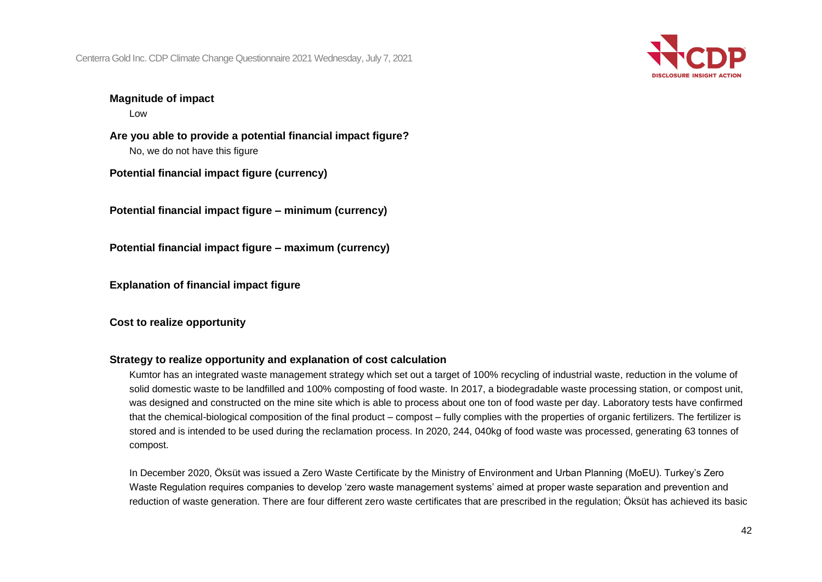

### **Magnitude of impact**

Low

**Are you able to provide a potential financial impact figure?** No, we do not have this figure

**Potential financial impact figure (currency)**

**Potential financial impact figure – minimum (currency)**

**Potential financial impact figure – maximum (currency)**

**Explanation of financial impact figure**

**Cost to realize opportunity**

### **Strategy to realize opportunity and explanation of cost calculation**

Kumtor has an integrated waste management strategy which set out a target of 100% recycling of industrial waste, reduction in the volume of solid domestic waste to be landfilled and 100% composting of food waste. In 2017, a biodegradable waste processing station, or compost unit, was designed and constructed on the mine site which is able to process about one ton of food waste per day. Laboratory tests have confirmed that the chemical-biological composition of the final product – compost – fully complies with the properties of organic fertilizers. The fertilizer is stored and is intended to be used during the reclamation process. In 2020, 244, 040kg of food waste was processed, generating 63 tonnes of compost.

In December 2020, Öksüt was issued a Zero Waste Certificate by the Ministry of Environment and Urban Planning (MoEU). Turkey's Zero Waste Regulation requires companies to develop 'zero waste management systems' aimed at proper waste separation and prevention and reduction of waste generation. There are four different zero waste certificates that are prescribed in the regulation; Öksüt has achieved its basic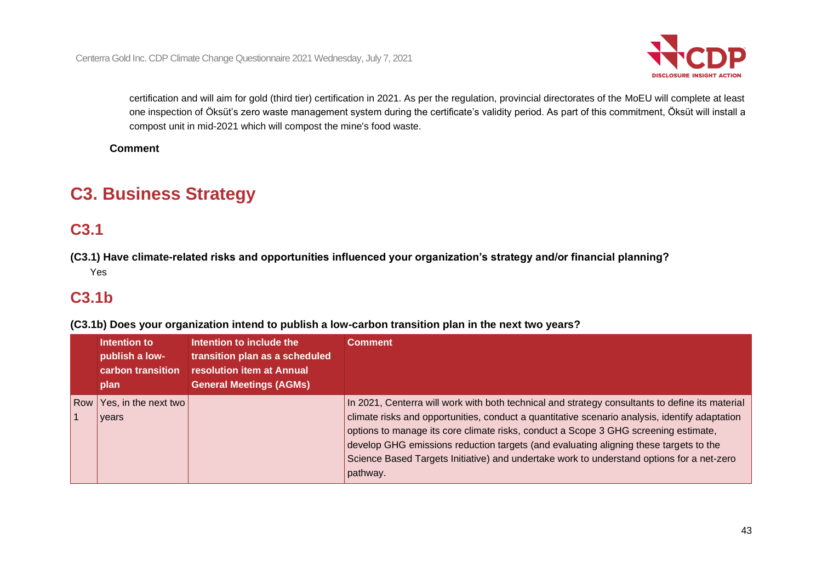

certification and will aim for gold (third tier) certification in 2021. As per the regulation, provincial directorates of the MoEU will complete at least one inspection of Öksüt's zero waste management system during the certificate's validity period. As part of this commitment, Öksüt will install a compost unit in mid-2021 which will compost the mine's food waste.

**Comment**

# **C3. Business Strategy**

# **C3.1**

**(C3.1) Have climate-related risks and opportunities influenced your organization's strategy and/or financial planning?** Yes

### **C3.1b**

**(C3.1b) Does your organization intend to publish a low-carbon transition plan in the next two years?**

|            | Intention to<br>publish a low-<br>carbon transition<br>plan | Intention to include the<br>transition plan as a scheduled<br>resolution item at Annual<br><b>General Meetings (AGMs)</b> | Comment                                                                                                                                                                                                                                                                                                                                                                                                                                                                                    |  |
|------------|-------------------------------------------------------------|---------------------------------------------------------------------------------------------------------------------------|--------------------------------------------------------------------------------------------------------------------------------------------------------------------------------------------------------------------------------------------------------------------------------------------------------------------------------------------------------------------------------------------------------------------------------------------------------------------------------------------|--|
| <b>Row</b> | Yes, in the next two<br>years                               |                                                                                                                           | In 2021, Centerra will work with both technical and strategy consultants to define its material<br>climate risks and opportunities, conduct a quantitative scenario analysis, identify adaptation<br>options to manage its core climate risks, conduct a Scope 3 GHG screening estimate,<br>develop GHG emissions reduction targets (and evaluating aligning these targets to the<br>Science Based Targets Initiative) and undertake work to understand options for a net-zero<br>pathway. |  |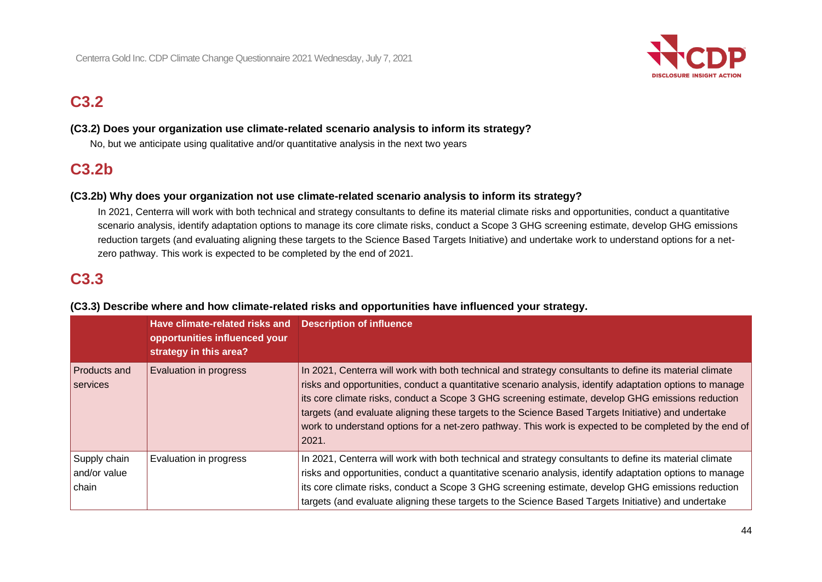

# **C3.2**

### **(C3.2) Does your organization use climate-related scenario analysis to inform its strategy?**

No, but we anticipate using qualitative and/or quantitative analysis in the next two years

### **C3.2b**

### **(C3.2b) Why does your organization not use climate-related scenario analysis to inform its strategy?**

In 2021, Centerra will work with both technical and strategy consultants to define its material climate risks and opportunities, conduct a quantitative scenario analysis, identify adaptation options to manage its core climate risks, conduct a Scope 3 GHG screening estimate, develop GHG emissions reduction targets (and evaluating aligning these targets to the Science Based Targets Initiative) and undertake work to understand options for a netzero pathway. This work is expected to be completed by the end of 2021.

### **C3.3**

|                                       | Have climate-related risks and<br>opportunities influenced your<br>strategy in this area? | <b>Description of influence</b>                                                                                                                                                                                                                                                                                                                                                                                                                                                                                                                    |
|---------------------------------------|-------------------------------------------------------------------------------------------|----------------------------------------------------------------------------------------------------------------------------------------------------------------------------------------------------------------------------------------------------------------------------------------------------------------------------------------------------------------------------------------------------------------------------------------------------------------------------------------------------------------------------------------------------|
| Products and<br>services              | Evaluation in progress                                                                    | In 2021, Centerra will work with both technical and strategy consultants to define its material climate<br>risks and opportunities, conduct a quantitative scenario analysis, identify adaptation options to manage<br>its core climate risks, conduct a Scope 3 GHG screening estimate, develop GHG emissions reduction<br>targets (and evaluate aligning these targets to the Science Based Targets Initiative) and undertake<br>work to understand options for a net-zero pathway. This work is expected to be completed by the end of<br>2021. |
| Supply chain<br>and/or value<br>chain | Evaluation in progress                                                                    | In 2021, Centerra will work with both technical and strategy consultants to define its material climate<br>risks and opportunities, conduct a quantitative scenario analysis, identify adaptation options to manage<br>its core climate risks, conduct a Scope 3 GHG screening estimate, develop GHG emissions reduction<br>targets (and evaluate aligning these targets to the Science Based Targets Initiative) and undertake                                                                                                                    |

### **(C3.3) Describe where and how climate-related risks and opportunities have influenced your strategy.**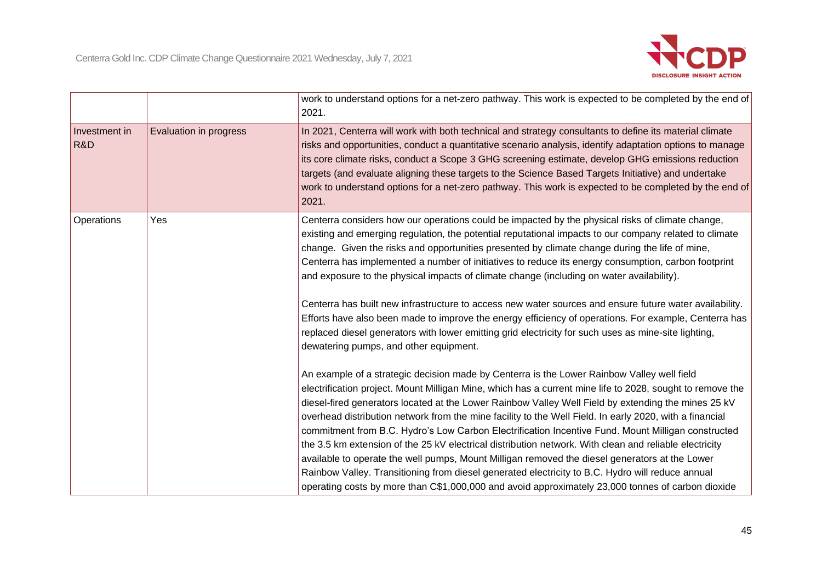

|                      |                               | work to understand options for a net-zero pathway. This work is expected to be completed by the end of<br>2021.                                                                                                                                                                                                                                                                                                                                                                                                                                                                                                                                                                                                                                                                                                                                                                                                                                      |  |
|----------------------|-------------------------------|------------------------------------------------------------------------------------------------------------------------------------------------------------------------------------------------------------------------------------------------------------------------------------------------------------------------------------------------------------------------------------------------------------------------------------------------------------------------------------------------------------------------------------------------------------------------------------------------------------------------------------------------------------------------------------------------------------------------------------------------------------------------------------------------------------------------------------------------------------------------------------------------------------------------------------------------------|--|
| Investment in<br>R&D | <b>Evaluation in progress</b> | In 2021, Centerra will work with both technical and strategy consultants to define its material climate<br>risks and opportunities, conduct a quantitative scenario analysis, identify adaptation options to manage<br>its core climate risks, conduct a Scope 3 GHG screening estimate, develop GHG emissions reduction<br>targets (and evaluate aligning these targets to the Science Based Targets Initiative) and undertake<br>work to understand options for a net-zero pathway. This work is expected to be completed by the end of<br>2021.                                                                                                                                                                                                                                                                                                                                                                                                   |  |
| Operations           | Yes                           | Centerra considers how our operations could be impacted by the physical risks of climate change,<br>existing and emerging regulation, the potential reputational impacts to our company related to climate<br>change. Given the risks and opportunities presented by climate change during the life of mine,<br>Centerra has implemented a number of initiatives to reduce its energy consumption, carbon footprint<br>and exposure to the physical impacts of climate change (including on water availability).                                                                                                                                                                                                                                                                                                                                                                                                                                     |  |
|                      |                               | Centerra has built new infrastructure to access new water sources and ensure future water availability.<br>Efforts have also been made to improve the energy efficiency of operations. For example, Centerra has<br>replaced diesel generators with lower emitting grid electricity for such uses as mine-site lighting,<br>dewatering pumps, and other equipment.                                                                                                                                                                                                                                                                                                                                                                                                                                                                                                                                                                                   |  |
|                      |                               | An example of a strategic decision made by Centerra is the Lower Rainbow Valley well field<br>electrification project. Mount Milligan Mine, which has a current mine life to 2028, sought to remove the<br>diesel-fired generators located at the Lower Rainbow Valley Well Field by extending the mines 25 kV<br>overhead distribution network from the mine facility to the Well Field. In early 2020, with a financial<br>commitment from B.C. Hydro's Low Carbon Electrification Incentive Fund. Mount Milligan constructed<br>the 3.5 km extension of the 25 kV electrical distribution network. With clean and reliable electricity<br>available to operate the well pumps, Mount Milligan removed the diesel generators at the Lower<br>Rainbow Valley. Transitioning from diesel generated electricity to B.C. Hydro will reduce annual<br>operating costs by more than C\$1,000,000 and avoid approximately 23,000 tonnes of carbon dioxide |  |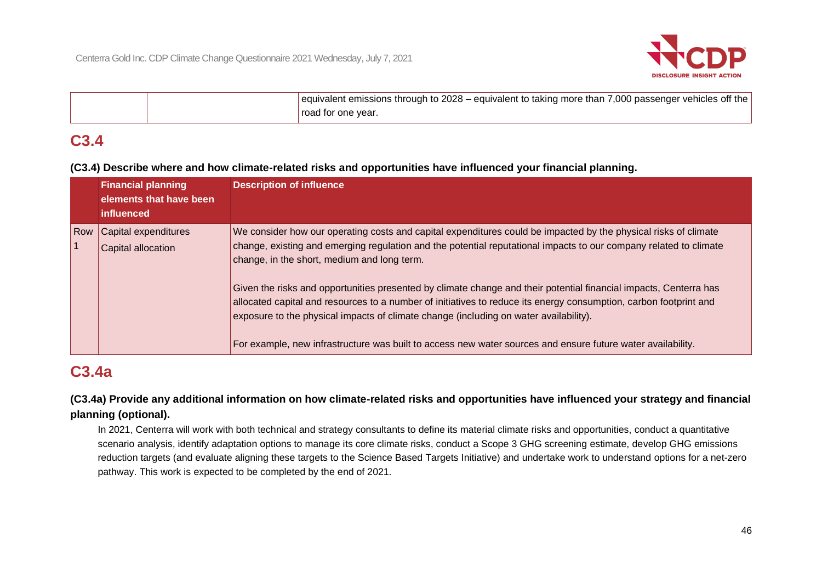

| equivalent emissions through to 2028 – equivalent to taking more than 7,000 passenger vehicles off the |
|--------------------------------------------------------------------------------------------------------|
| road for one vear.                                                                                     |

### **C3.4**

**(C3.4) Describe where and how climate-related risks and opportunities have influenced your financial planning.**

|     | <b>Financial planning</b><br>elements that have been<br>influenced | <b>Description of influence</b>                                                                                                                                                                                                                                                                                                                                                                                                                                                                                                                                                                                                                                                                                                       |
|-----|--------------------------------------------------------------------|---------------------------------------------------------------------------------------------------------------------------------------------------------------------------------------------------------------------------------------------------------------------------------------------------------------------------------------------------------------------------------------------------------------------------------------------------------------------------------------------------------------------------------------------------------------------------------------------------------------------------------------------------------------------------------------------------------------------------------------|
| Row | Capital expenditures<br>Capital allocation                         | We consider how our operating costs and capital expenditures could be impacted by the physical risks of climate<br>change, existing and emerging regulation and the potential reputational impacts to our company related to climate<br>change, in the short, medium and long term.<br>Given the risks and opportunities presented by climate change and their potential financial impacts, Centerra has<br>allocated capital and resources to a number of initiatives to reduce its energy consumption, carbon footprint and<br>exposure to the physical impacts of climate change (including on water availability).<br>For example, new infrastructure was built to access new water sources and ensure future water availability. |

# **C3.4a**

### **(C3.4a) Provide any additional information on how climate-related risks and opportunities have influenced your strategy and financial planning (optional).**

In 2021, Centerra will work with both technical and strategy consultants to define its material climate risks and opportunities, conduct a quantitative scenario analysis, identify adaptation options to manage its core climate risks, conduct a Scope 3 GHG screening estimate, develop GHG emissions reduction targets (and evaluate aligning these targets to the Science Based Targets Initiative) and undertake work to understand options for a net-zero pathway. This work is expected to be completed by the end of 2021.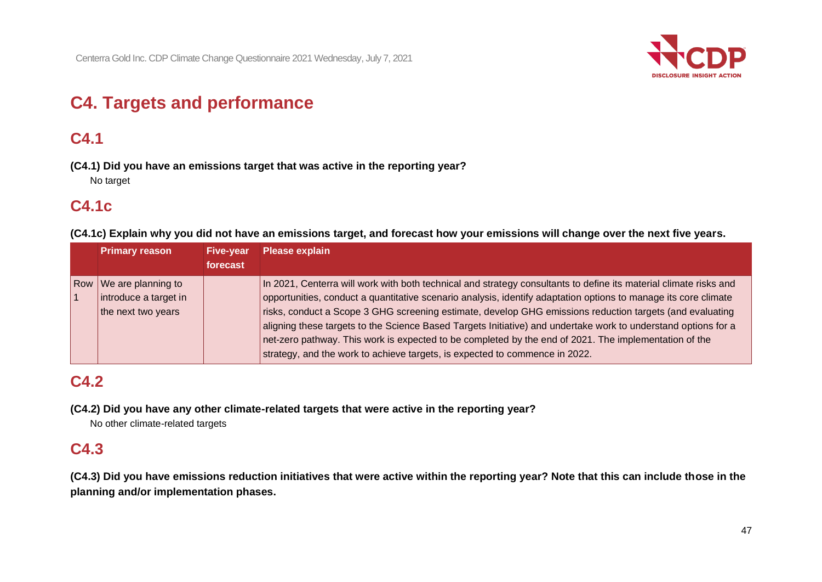

# **C4. Targets and performance**

# **C4.1**

**(C4.1) Did you have an emissions target that was active in the reporting year?** No target

### **C4.1c**

**(C4.1c) Explain why you did not have an emissions target, and forecast how your emissions will change over the next five years.**

|     | <b>Primary reason</b>                   | <b>Five-year</b> | <b>Please explain</b>                                                                                             |
|-----|-----------------------------------------|------------------|-------------------------------------------------------------------------------------------------------------------|
|     |                                         | forecast         |                                                                                                                   |
| Row | $\sqrt{\phantom{a}}$ We are planning to |                  | In 2021, Centerra will work with both technical and strategy consultants to define its material climate risks and |
|     | introduce a target in                   |                  | opportunities, conduct a quantitative scenario analysis, identify adaptation options to manage its core climate   |
|     | the next two years                      |                  | risks, conduct a Scope 3 GHG screening estimate, develop GHG emissions reduction targets (and evaluating          |
|     |                                         |                  | aligning these targets to the Science Based Targets Initiative) and undertake work to understand options for a    |
|     |                                         |                  | net-zero pathway. This work is expected to be completed by the end of 2021. The implementation of the             |
|     |                                         |                  | strategy, and the work to achieve targets, is expected to commence in 2022.                                       |

# **C4.2**

**(C4.2) Did you have any other climate-related targets that were active in the reporting year?**

No other climate-related targets

## **C4.3**

**(C4.3) Did you have emissions reduction initiatives that were active within the reporting year? Note that this can include those in the planning and/or implementation phases.**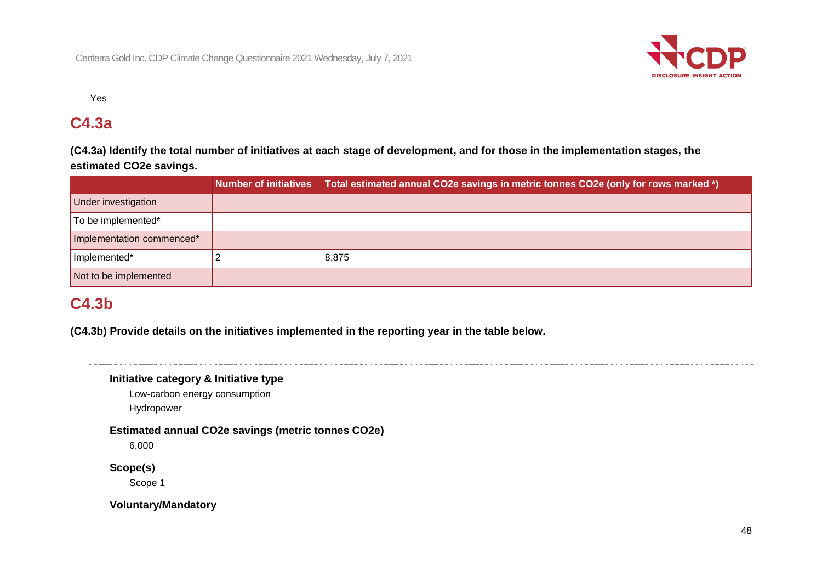

Yes

### **C4.3a**

**(C4.3a) Identify the total number of initiatives at each stage of development, and for those in the implementation stages, the estimated CO2e savings.**

|                           |  | Number of initiatives Total estimated annual CO2e savings in metric tonnes CO2e (only for rows marked *) |  |
|---------------------------|--|----------------------------------------------------------------------------------------------------------|--|
| Under investigation       |  |                                                                                                          |  |
| To be implemented*        |  |                                                                                                          |  |
| Implementation commenced* |  |                                                                                                          |  |
| Implemented*              |  | 8,875                                                                                                    |  |
| Not to be implemented     |  |                                                                                                          |  |

### **C4.3b**

**(C4.3b) Provide details on the initiatives implemented in the reporting year in the table below.**

### **Initiative category & Initiative type**

Low-carbon energy consumption Hydropower

**Estimated annual CO2e savings (metric tonnes CO2e)**

6,000

### **Scope(s)**

Scope 1

**Voluntary/Mandatory**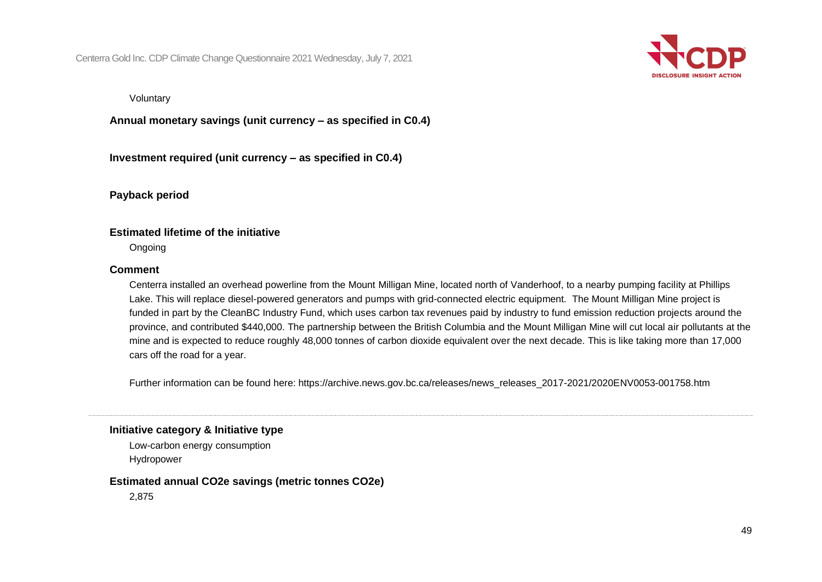

Voluntary

**Annual monetary savings (unit currency – as specified in C0.4)**

**Investment required (unit currency – as specified in C0.4)**

**Payback period**

### **Estimated lifetime of the initiative**

Ongoing

### **Comment**

Centerra installed an overhead powerline from the Mount Milligan Mine, located north of Vanderhoof, to a nearby pumping facility at Phillips Lake. This will replace diesel-powered generators and pumps with grid-connected electric equipment. The Mount Milligan Mine project is funded in part by the CleanBC Industry Fund, which uses carbon tax revenues paid by industry to fund emission reduction projects around the province, and contributed \$440,000. The partnership between the British Columbia and the Mount Milligan Mine will cut local air pollutants at the mine and is expected to reduce roughly 48,000 tonnes of carbon dioxide equivalent over the next decade. This is like taking more than 17,000 cars off the road for a year.

Further information can be found here: https://archive.news.gov.bc.ca/releases/news\_releases\_2017-2021/2020ENV0053-001758.htm

#### **Initiative category & Initiative type**

Low-carbon energy consumption Hydropower

#### **Estimated annual CO2e savings (metric tonnes CO2e)**

2,875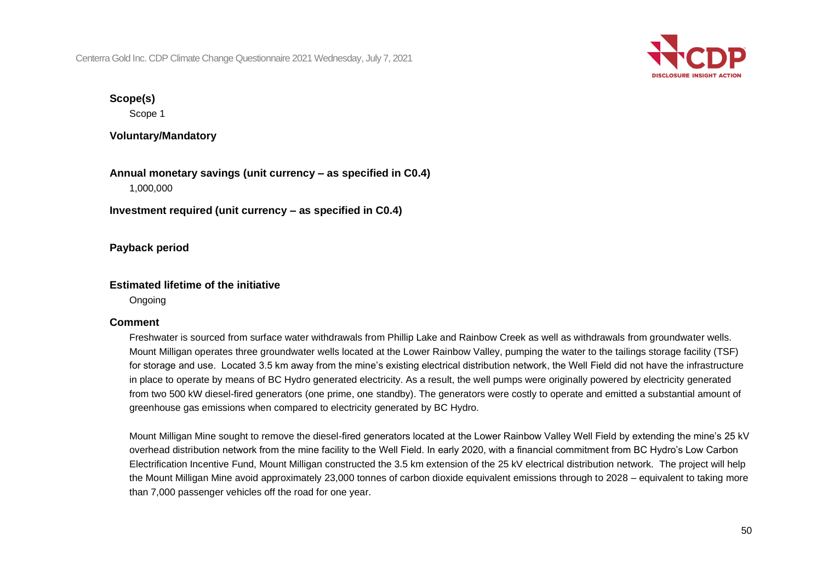

### **Scope(s)**

Scope 1

**Voluntary/Mandatory**

**Annual monetary savings (unit currency – as specified in C0.4)** 1,000,000

**Investment required (unit currency – as specified in C0.4)**

**Payback period**

### **Estimated lifetime of the initiative**

Ongoing

### **Comment**

Freshwater is sourced from surface water withdrawals from Phillip Lake and Rainbow Creek as well as withdrawals from groundwater wells. Mount Milligan operates three groundwater wells located at the Lower Rainbow Valley, pumping the water to the tailings storage facility (TSF) for storage and use. Located 3.5 km away from the mine's existing electrical distribution network, the Well Field did not have the infrastructure in place to operate by means of BC Hydro generated electricity. As a result, the well pumps were originally powered by electricity generated from two 500 kW diesel-fired generators (one prime, one standby). The generators were costly to operate and emitted a substantial amount of greenhouse gas emissions when compared to electricity generated by BC Hydro.

Mount Milligan Mine sought to remove the diesel-fired generators located at the Lower Rainbow Valley Well Field by extending the mine's 25 kV overhead distribution network from the mine facility to the Well Field. In early 2020, with a financial commitment from BC Hydro's Low Carbon Electrification Incentive Fund, Mount Milligan constructed the 3.5 km extension of the 25 kV electrical distribution network. The project will help the Mount Milligan Mine avoid approximately 23,000 tonnes of carbon dioxide equivalent emissions through to 2028 – equivalent to taking more than 7,000 passenger vehicles off the road for one year.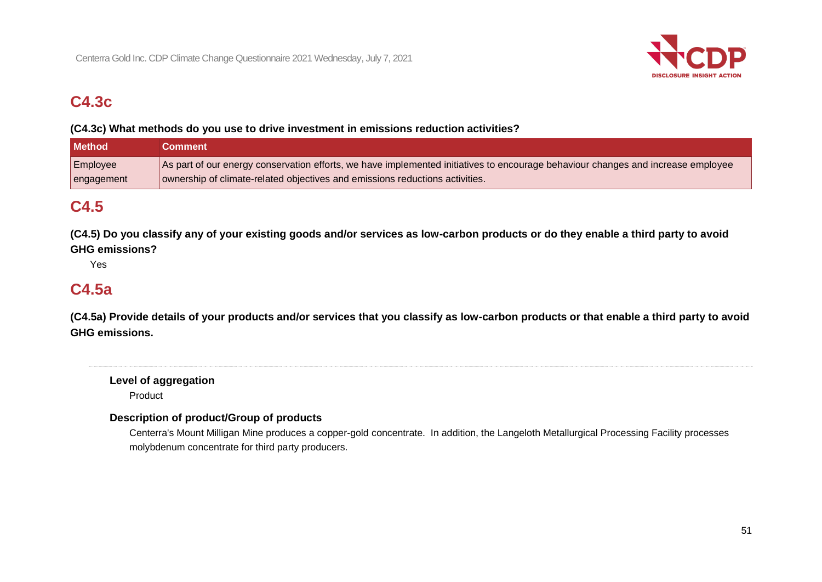

# **C4.3c**

### **(C4.3c) What methods do you use to drive investment in emissions reduction activities?**

| <b>Method</b> | Comment                                                                                                                          |
|---------------|----------------------------------------------------------------------------------------------------------------------------------|
| Employee      | As part of our energy conservation efforts, we have implemented initiatives to encourage behaviour changes and increase employee |
| engagement    | ownership of climate-related objectives and emissions reductions activities.                                                     |

### **C4.5**

**(C4.5) Do you classify any of your existing goods and/or services as low-carbon products or do they enable a third party to avoid GHG emissions?**

Yes

### **C4.5a**

**(C4.5a) Provide details of your products and/or services that you classify as low-carbon products or that enable a third party to avoid GHG emissions.**

**Level of aggregation** Product

### **Description of product/Group of products**

Centerra's Mount Milligan Mine produces a copper-gold concentrate. In addition, the Langeloth Metallurgical Processing Facility processes molybdenum concentrate for third party producers.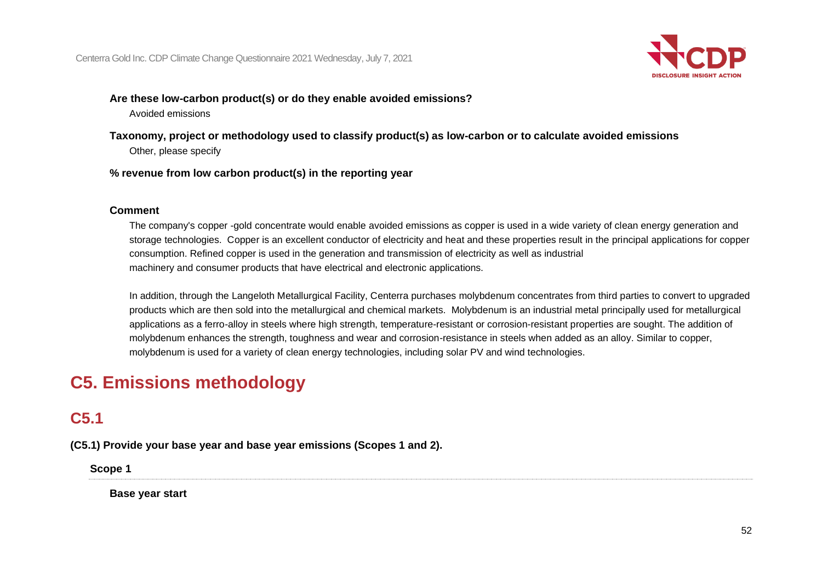

### **Are these low-carbon product(s) or do they enable avoided emissions?**

Avoided emissions

- **Taxonomy, project or methodology used to classify product(s) as low-carbon or to calculate avoided emissions** Other, please specify
- **% revenue from low carbon product(s) in the reporting year**

### **Comment**

The company's copper -gold concentrate would enable avoided emissions as copper is used in a wide variety of clean energy generation and storage technologies. Copper is an excellent conductor of electricity and heat and these properties result in the principal applications for copper consumption. Refined copper is used in the generation and transmission of electricity as well as industrial machinery and consumer products that have electrical and electronic applications.

In addition, through the Langeloth Metallurgical Facility, Centerra purchases molybdenum concentrates from third parties to convert to upgraded products which are then sold into the metallurgical and chemical markets. Molybdenum is an industrial metal principally used for metallurgical applications as a ferro-alloy in steels where high strength, temperature-resistant or corrosion-resistant properties are sought. The addition of molybdenum enhances the strength, toughness and wear and corrosion-resistance in steels when added as an alloy. Similar to copper, molybdenum is used for a variety of clean energy technologies, including solar PV and wind technologies.

# **C5. Emissions methodology**

# **C5.1**

**(C5.1) Provide your base year and base year emissions (Scopes 1 and 2).**

**Scope 1**

**Base year start**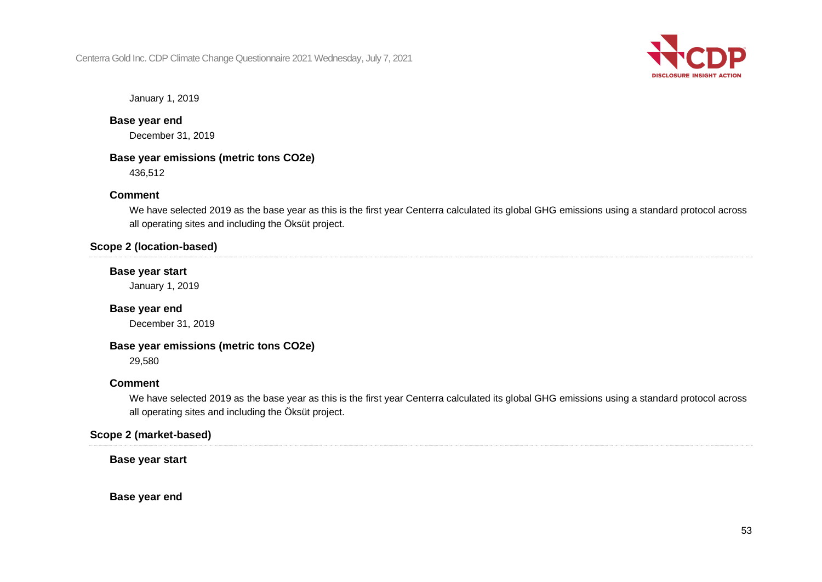

January 1, 2019

### **Base year end**

December 31, 2019

### **Base year emissions (metric tons CO2e)**

436,512

### **Comment**

We have selected 2019 as the base year as this is the first year Centerra calculated its global GHG emissions using a standard protocol across all operating sites and including the Öksüt project.

### **Scope 2 (location-based)**

### **Base year start**

January 1, 2019

### **Base year end**

December 31, 2019

### **Base year emissions (metric tons CO2e)**

29,580

### **Comment**

We have selected 2019 as the base year as this is the first year Centerra calculated its global GHG emissions using a standard protocol across all operating sites and including the Öksüt project.

### **Scope 2 (market-based)**

**Base year start**

**Base year end**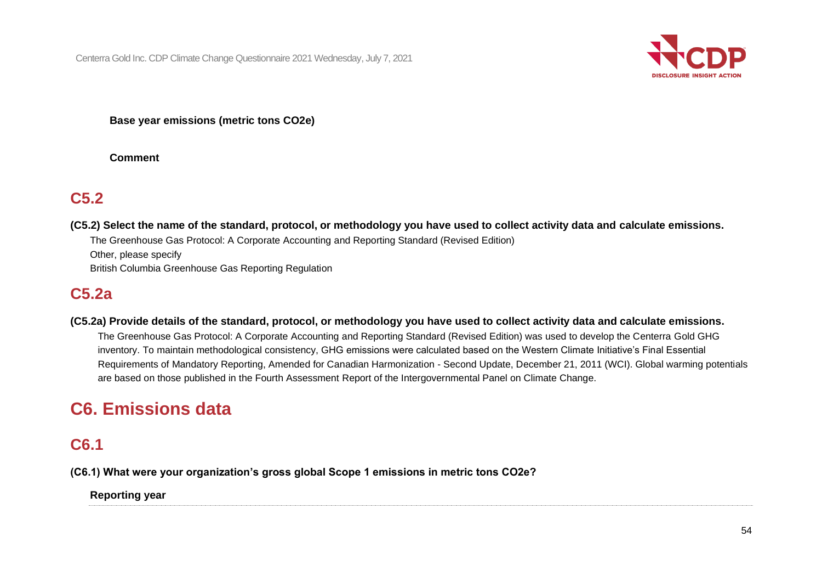

### **Base year emissions (metric tons CO2e)**

**Comment**

### **C5.2**

**(C5.2) Select the name of the standard, protocol, or methodology you have used to collect activity data and calculate emissions.** The Greenhouse Gas Protocol: A Corporate Accounting and Reporting Standard (Revised Edition) Other, please specify

British Columbia Greenhouse Gas Reporting Regulation

### **C5.2a**

**(C5.2a) Provide details of the standard, protocol, or methodology you have used to collect activity data and calculate emissions.**

The Greenhouse Gas Protocol: A Corporate Accounting and Reporting Standard (Revised Edition) was used to develop the Centerra Gold GHG inventory. To maintain methodological consistency, GHG emissions were calculated based on the Western Climate Initiative's Final Essential Requirements of Mandatory Reporting, Amended for Canadian Harmonization - Second Update, December 21, 2011 (WCI). Global warming potentials are based on those published in the Fourth Assessment Report of the Intergovernmental Panel on Climate Change.

# **C6. Emissions data**

### **C6.1**

**(C6.1) What were your organization's gross global Scope 1 emissions in metric tons CO2e?**

**Reporting year**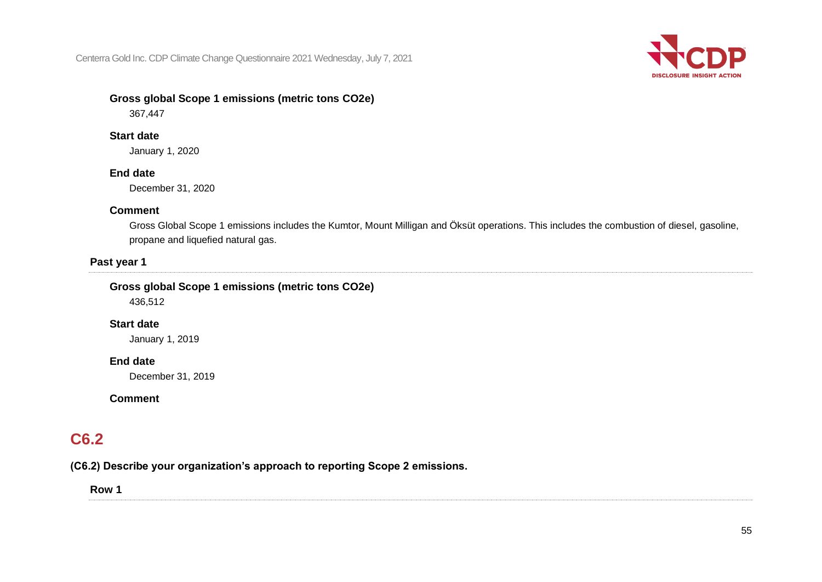

### **Gross global Scope 1 emissions (metric tons CO2e)**

367,447

### **Start date**

January 1, 2020

### **End date**

December 31, 2020

### **Comment**

Gross Global Scope 1 emissions includes the Kumtor, Mount Milligan and Öksüt operations. This includes the combustion of diesel, gasoline, propane and liquefied natural gas.

### **Past year 1**

### **Gross global Scope 1 emissions (metric tons CO2e)**

436,512

### **Start date**

January 1, 2019

### **End date**

December 31, 2019

### **Comment**

# **C6.2**

**(C6.2) Describe your organization's approach to reporting Scope 2 emissions.**

**Row 1**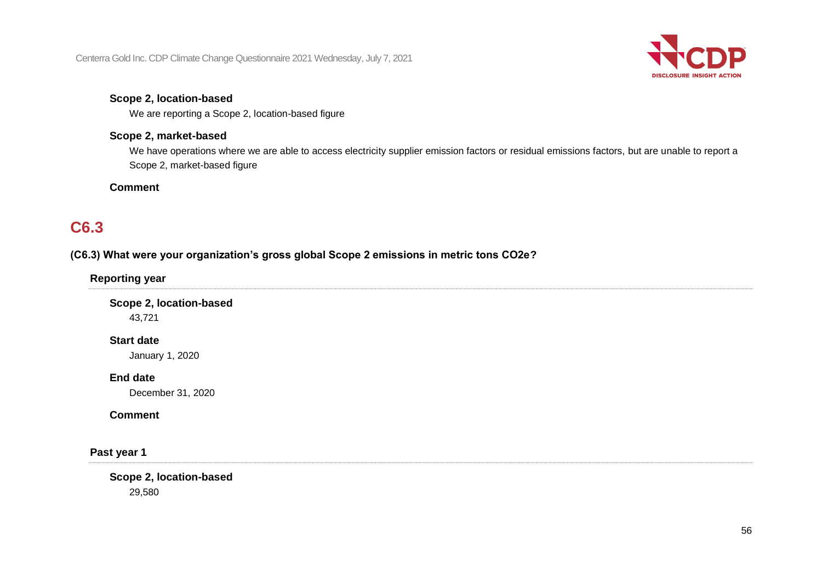

### **Scope 2, location-based**

We are reporting a Scope 2, location-based figure

### **Scope 2, market-based**

We have operations where we are able to access electricity supplier emission factors or residual emissions factors, but are unable to report a Scope 2, market-based figure

### **Comment**

## **C6.3**

### **(C6.3) What were your organization's gross global Scope 2 emissions in metric tons CO2e?**

**Reporting year**

**Scope 2, location-based** 43,721

### **Start date**

January 1, 2020

**End date**

December 31, 2020

### **Comment**

**Past year 1**

**Scope 2, location-based** 29,580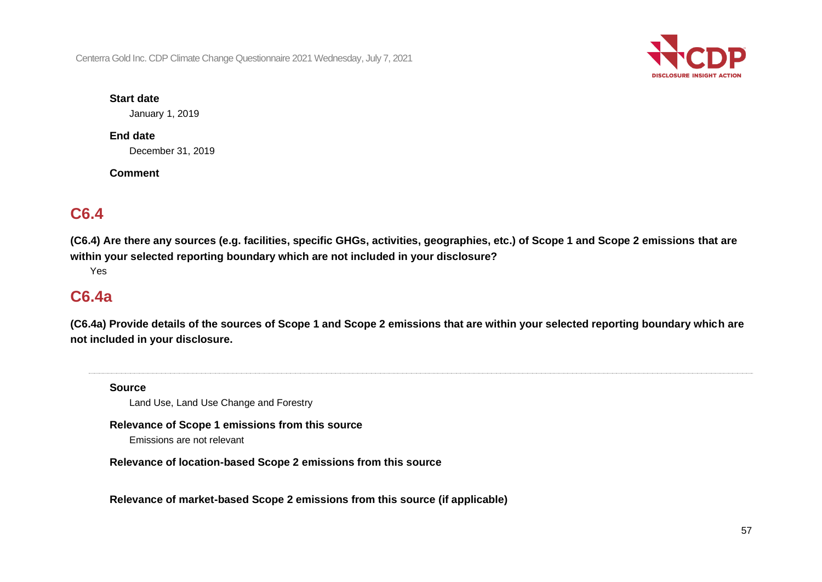

### **Start date**

January 1, 2019

### **End date**

December 31, 2019

**Comment**

### **C6.4**

**(C6.4) Are there any sources (e.g. facilities, specific GHGs, activities, geographies, etc.) of Scope 1 and Scope 2 emissions that are within your selected reporting boundary which are not included in your disclosure?**

Yes

### **C6.4a**

**(C6.4a) Provide details of the sources of Scope 1 and Scope 2 emissions that are within your selected reporting boundary which are not included in your disclosure.**

**Source**

Land Use, Land Use Change and Forestry

### **Relevance of Scope 1 emissions from this source**

Emissions are not relevant

**Relevance of location-based Scope 2 emissions from this source**

**Relevance of market-based Scope 2 emissions from this source (if applicable)**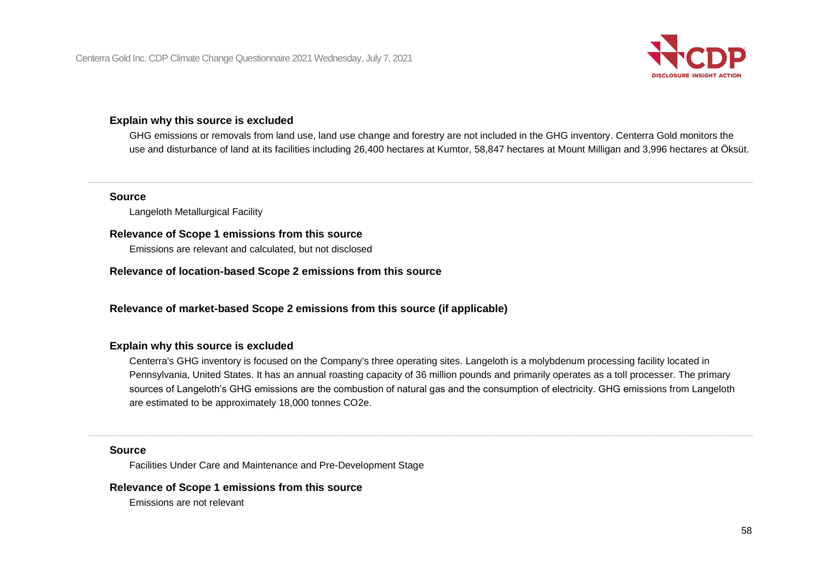

### **Explain why this source is excluded**

GHG emissions or removals from land use, land use change and forestry are not included in the GHG inventory. Centerra Gold monitors the use and disturbance of land at its facilities including 26,400 hectares at Kumtor, 58,847 hectares at Mount Milligan and 3,996 hectares at Öksüt.

#### **Source**

Langeloth Metallurgical Facility

### **Relevance of Scope 1 emissions from this source**

Emissions are relevant and calculated, but not disclosed

### **Relevance of location-based Scope 2 emissions from this source**

### **Relevance of market-based Scope 2 emissions from this source (if applicable)**

### **Explain why this source is excluded**

Centerra's GHG inventory is focused on the Company's three operating sites. Langeloth is a molybdenum processing facility located in Pennsylvania, United States. It has an annual roasting capacity of 36 million pounds and primarily operates as a toll processer. The primary sources of Langeloth's GHG emissions are the combustion of natural gas and the consumption of electricity. GHG emissions from Langeloth are estimated to be approximately 18,000 tonnes CO2e.

#### **Source**

Facilities Under Care and Maintenance and Pre-Development Stage

#### **Relevance of Scope 1 emissions from this source**

Emissions are not relevant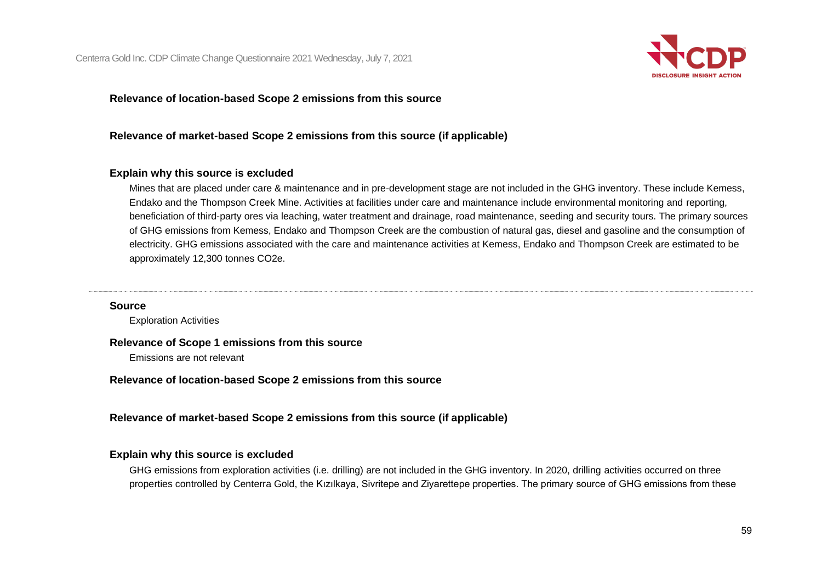

### **Relevance of location-based Scope 2 emissions from this source**

### **Relevance of market-based Scope 2 emissions from this source (if applicable)**

### **Explain why this source is excluded**

Mines that are placed under care & maintenance and in pre-development stage are not included in the GHG inventory. These include Kemess, Endako and the Thompson Creek Mine. Activities at facilities under care and maintenance include environmental monitoring and reporting, beneficiation of third-party ores via leaching, water treatment and drainage, road maintenance, seeding and security tours. The primary sources of GHG emissions from Kemess, Endako and Thompson Creek are the combustion of natural gas, diesel and gasoline and the consumption of electricity. GHG emissions associated with the care and maintenance activities at Kemess, Endako and Thompson Creek are estimated to be approximately 12,300 tonnes CO2e.

#### **Source**

Exploration Activities

#### **Relevance of Scope 1 emissions from this source**

Emissions are not relevant

**Relevance of location-based Scope 2 emissions from this source**

**Relevance of market-based Scope 2 emissions from this source (if applicable)**

### **Explain why this source is excluded**

GHG emissions from exploration activities (i.e. drilling) are not included in the GHG inventory. In 2020, drilling activities occurred on three properties controlled by Centerra Gold, the Kızılkaya, Sivritepe and Ziyarettepe properties. The primary source of GHG emissions from these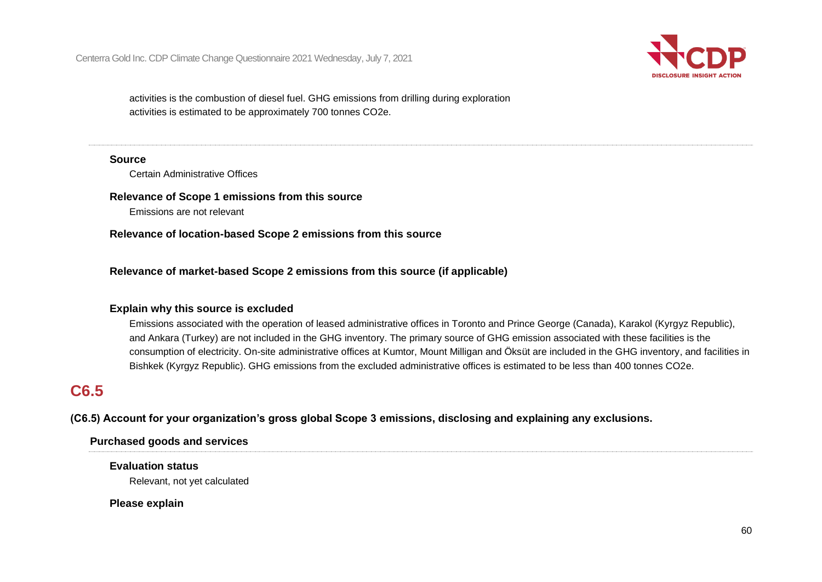

activities is the combustion of diesel fuel. GHG emissions from drilling during exploration activities is estimated to be approximately 700 tonnes CO2e.

#### **Source**

Certain Administrative Offices

**Relevance of Scope 1 emissions from this source**

Emissions are not relevant

**Relevance of location-based Scope 2 emissions from this source**

**Relevance of market-based Scope 2 emissions from this source (if applicable)**

### **Explain why this source is excluded**

Emissions associated with the operation of leased administrative offices in Toronto and Prince George (Canada), Karakol (Kyrgyz Republic), and Ankara (Turkey) are not included in the GHG inventory. The primary source of GHG emission associated with these facilities is the consumption of electricity. On-site administrative offices at Kumtor, Mount Milligan and Öksüt are included in the GHG inventory, and facilities in Bishkek (Kyrgyz Republic). GHG emissions from the excluded administrative offices is estimated to be less than 400 tonnes CO2e.

# **C6.5**

**(C6.5) Account for your organization's gross global Scope 3 emissions, disclosing and explaining any exclusions.**

### **Purchased goods and services**

### **Evaluation status**

Relevant, not yet calculated

**Please explain**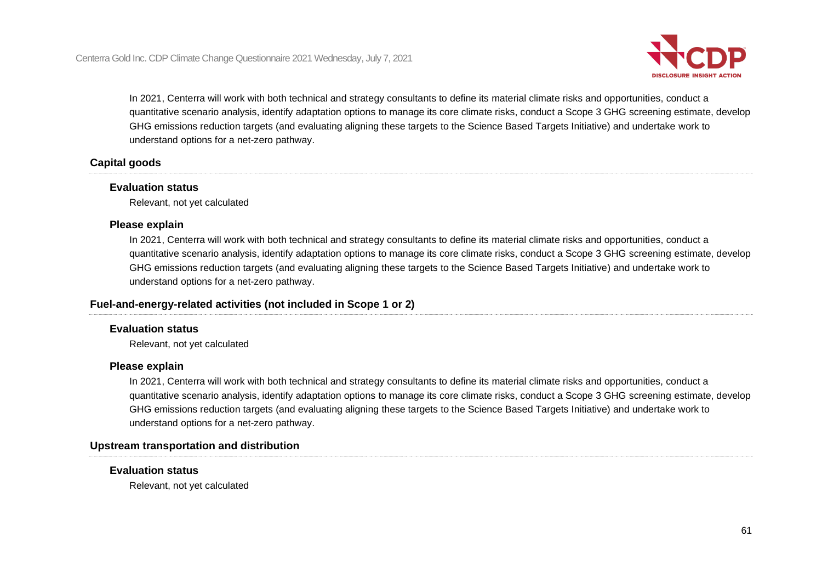

In 2021, Centerra will work with both technical and strategy consultants to define its material climate risks and opportunities, conduct a quantitative scenario analysis, identify adaptation options to manage its core climate risks, conduct a Scope 3 GHG screening estimate, develop GHG emissions reduction targets (and evaluating aligning these targets to the Science Based Targets Initiative) and undertake work to understand options for a net-zero pathway.

### **Capital goods**

### **Evaluation status**

Relevant, not yet calculated

### **Please explain**

In 2021, Centerra will work with both technical and strategy consultants to define its material climate risks and opportunities, conduct a quantitative scenario analysis, identify adaptation options to manage its core climate risks, conduct a Scope 3 GHG screening estimate, develop GHG emissions reduction targets (and evaluating aligning these targets to the Science Based Targets Initiative) and undertake work to understand options for a net-zero pathway.

### **Fuel-and-energy-related activities (not included in Scope 1 or 2)**

### **Evaluation status**

Relevant, not yet calculated

### **Please explain**

In 2021, Centerra will work with both technical and strategy consultants to define its material climate risks and opportunities, conduct a quantitative scenario analysis, identify adaptation options to manage its core climate risks, conduct a Scope 3 GHG screening estimate, develop GHG emissions reduction targets (and evaluating aligning these targets to the Science Based Targets Initiative) and undertake work to understand options for a net-zero pathway.

### **Upstream transportation and distribution**

### **Evaluation status**

Relevant, not yet calculated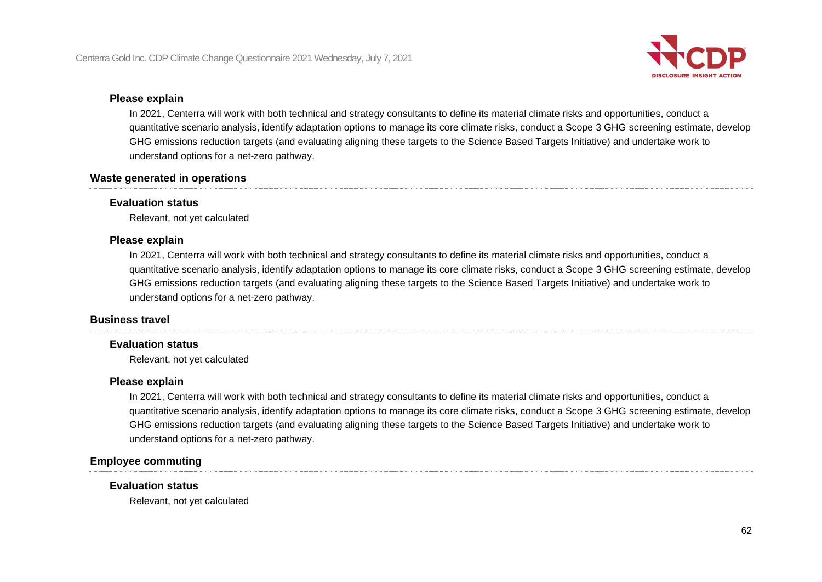

### **Please explain**

In 2021, Centerra will work with both technical and strategy consultants to define its material climate risks and opportunities, conduct a quantitative scenario analysis, identify adaptation options to manage its core climate risks, conduct a Scope 3 GHG screening estimate, develop GHG emissions reduction targets (and evaluating aligning these targets to the Science Based Targets Initiative) and undertake work to understand options for a net-zero pathway.

### **Waste generated in operations**

### **Evaluation status**

Relevant, not yet calculated

### **Please explain**

In 2021, Centerra will work with both technical and strategy consultants to define its material climate risks and opportunities, conduct a quantitative scenario analysis, identify adaptation options to manage its core climate risks, conduct a Scope 3 GHG screening estimate, develop GHG emissions reduction targets (and evaluating aligning these targets to the Science Based Targets Initiative) and undertake work to understand options for a net-zero pathway.

### **Business travel**

### **Evaluation status**

Relevant, not yet calculated

### **Please explain**

In 2021, Centerra will work with both technical and strategy consultants to define its material climate risks and opportunities, conduct a quantitative scenario analysis, identify adaptation options to manage its core climate risks, conduct a Scope 3 GHG screening estimate, develop GHG emissions reduction targets (and evaluating aligning these targets to the Science Based Targets Initiative) and undertake work to understand options for a net-zero pathway.

### **Employee commuting**

### **Evaluation status**

Relevant, not yet calculated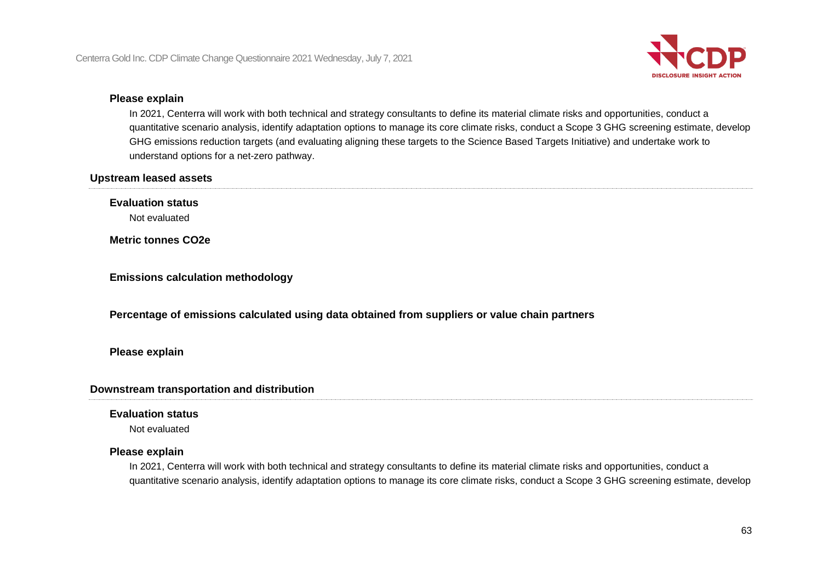

### **Please explain**

In 2021, Centerra will work with both technical and strategy consultants to define its material climate risks and opportunities, conduct a quantitative scenario analysis, identify adaptation options to manage its core climate risks, conduct a Scope 3 GHG screening estimate, develop GHG emissions reduction targets (and evaluating aligning these targets to the Science Based Targets Initiative) and undertake work to understand options for a net-zero pathway.

### **Upstream leased assets**

**Evaluation status**

Not evaluated

**Metric tonnes CO2e**

**Emissions calculation methodology**

**Percentage of emissions calculated using data obtained from suppliers or value chain partners**

### **Please explain**

### **Downstream transportation and distribution**

### **Evaluation status**

Not evaluated

### **Please explain**

In 2021, Centerra will work with both technical and strategy consultants to define its material climate risks and opportunities, conduct a quantitative scenario analysis, identify adaptation options to manage its core climate risks, conduct a Scope 3 GHG screening estimate, develop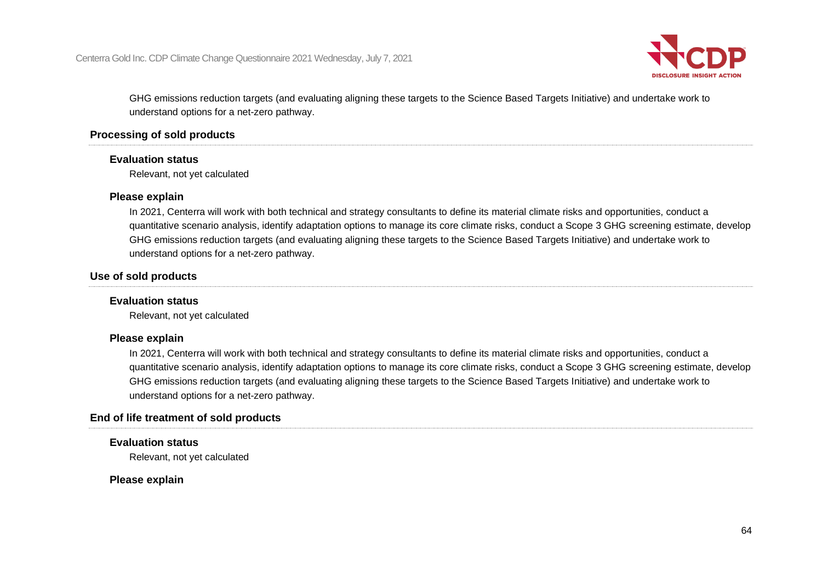

GHG emissions reduction targets (and evaluating aligning these targets to the Science Based Targets Initiative) and undertake work to understand options for a net-zero pathway.

### **Processing of sold products**

### **Evaluation status**

Relevant, not yet calculated

### **Please explain**

In 2021, Centerra will work with both technical and strategy consultants to define its material climate risks and opportunities, conduct a quantitative scenario analysis, identify adaptation options to manage its core climate risks, conduct a Scope 3 GHG screening estimate, develop GHG emissions reduction targets (and evaluating aligning these targets to the Science Based Targets Initiative) and undertake work to understand options for a net-zero pathway.

### **Use of sold products**

### **Evaluation status**

Relevant, not yet calculated

### **Please explain**

In 2021, Centerra will work with both technical and strategy consultants to define its material climate risks and opportunities, conduct a quantitative scenario analysis, identify adaptation options to manage its core climate risks, conduct a Scope 3 GHG screening estimate, develop GHG emissions reduction targets (and evaluating aligning these targets to the Science Based Targets Initiative) and undertake work to understand options for a net-zero pathway.

### **End of life treatment of sold products**

### **Evaluation status**

Relevant, not yet calculated

### **Please explain**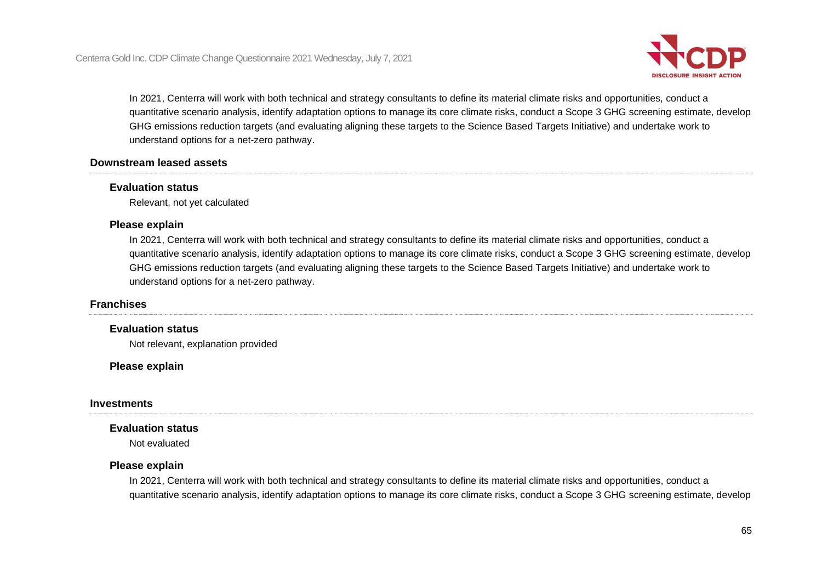

In 2021, Centerra will work with both technical and strategy consultants to define its material climate risks and opportunities, conduct a quantitative scenario analysis, identify adaptation options to manage its core climate risks, conduct a Scope 3 GHG screening estimate, develop GHG emissions reduction targets (and evaluating aligning these targets to the Science Based Targets Initiative) and undertake work to understand options for a net-zero pathway.

### **Downstream leased assets**

### **Evaluation status**

Relevant, not yet calculated

### **Please explain**

In 2021, Centerra will work with both technical and strategy consultants to define its material climate risks and opportunities, conduct a quantitative scenario analysis, identify adaptation options to manage its core climate risks, conduct a Scope 3 GHG screening estimate, develop GHG emissions reduction targets (and evaluating aligning these targets to the Science Based Targets Initiative) and undertake work to understand options for a net-zero pathway.

### **Franchises**

### **Evaluation status**

Not relevant, explanation provided

**Please explain**

### **Investments**

### **Evaluation status**

Not evaluated

### **Please explain**

In 2021, Centerra will work with both technical and strategy consultants to define its material climate risks and opportunities, conduct a quantitative scenario analysis, identify adaptation options to manage its core climate risks, conduct a Scope 3 GHG screening estimate, develop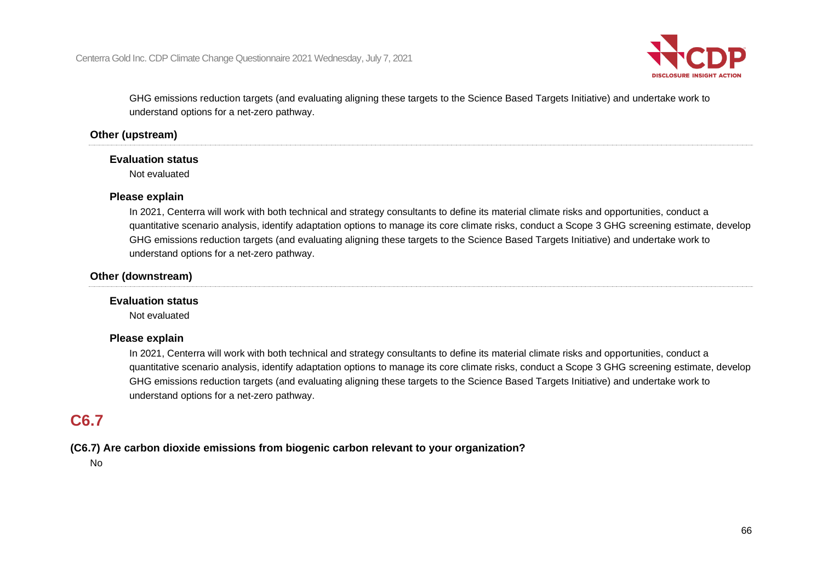

GHG emissions reduction targets (and evaluating aligning these targets to the Science Based Targets Initiative) and undertake work to understand options for a net-zero pathway.

### **Other (upstream)**

### **Evaluation status**

Not evaluated

### **Please explain**

In 2021, Centerra will work with both technical and strategy consultants to define its material climate risks and opportunities, conduct a quantitative scenario analysis, identify adaptation options to manage its core climate risks, conduct a Scope 3 GHG screening estimate, develop GHG emissions reduction targets (and evaluating aligning these targets to the Science Based Targets Initiative) and undertake work to understand options for a net-zero pathway.

### **Other (downstream)**

### **Evaluation status**

Not evaluated

### **Please explain**

In 2021, Centerra will work with both technical and strategy consultants to define its material climate risks and opportunities, conduct a quantitative scenario analysis, identify adaptation options to manage its core climate risks, conduct a Scope 3 GHG screening estimate, develop GHG emissions reduction targets (and evaluating aligning these targets to the Science Based Targets Initiative) and undertake work to understand options for a net-zero pathway.

### **C6.7**

### **(C6.7) Are carbon dioxide emissions from biogenic carbon relevant to your organization?**

No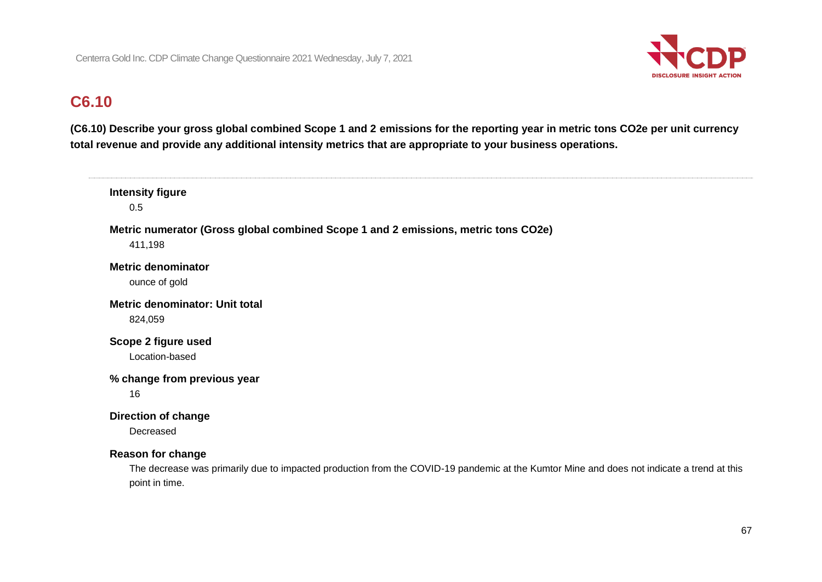

# **C6.10**

**(C6.10) Describe your gross global combined Scope 1 and 2 emissions for the reporting year in metric tons CO2e per unit currency total revenue and provide any additional intensity metrics that are appropriate to your business operations.**

| <b>Intensity figure</b><br>0.5                                                                                                                                                          |
|-----------------------------------------------------------------------------------------------------------------------------------------------------------------------------------------|
| Metric numerator (Gross global combined Scope 1 and 2 emissions, metric tons CO2e)<br>411,198                                                                                           |
| <b>Metric denominator</b><br>ounce of gold                                                                                                                                              |
| <b>Metric denominator: Unit total</b><br>824,059                                                                                                                                        |
| Scope 2 figure used<br>Location-based                                                                                                                                                   |
| % change from previous year<br>16                                                                                                                                                       |
| <b>Direction of change</b><br>Decreased                                                                                                                                                 |
| <b>Reason for change</b><br>The decrease was primarily due to impacted production from the COVID-19 pandemic at the Kumtor Mine and does not indicate a trend at this<br>point in time. |
|                                                                                                                                                                                         |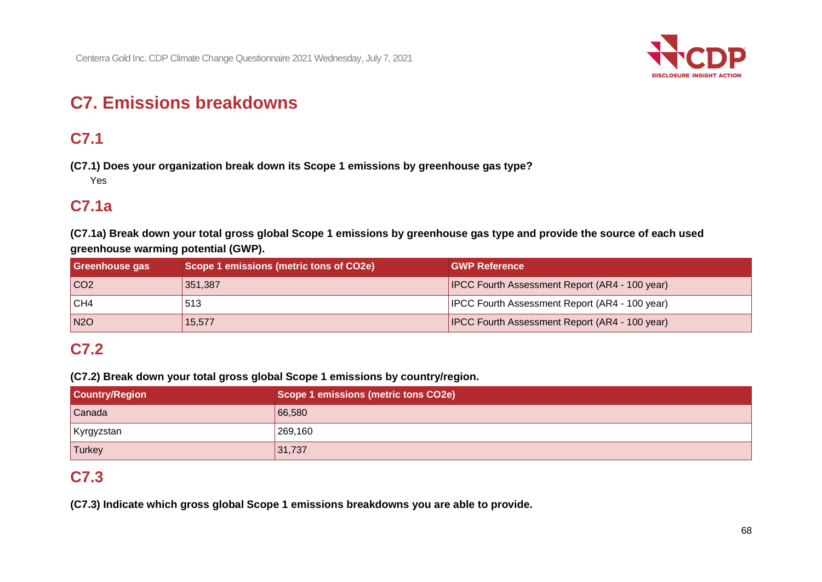

# **C7. Emissions breakdowns**

# **C7.1**

**(C7.1) Does your organization break down its Scope 1 emissions by greenhouse gas type?**

Yes

### **C7.1a**

**(C7.1a) Break down your total gross global Scope 1 emissions by greenhouse gas type and provide the source of each used greenhouse warming potential (GWP).**

| <b>Greenhouse gas</b> | Scope 1 emissions (metric tons of CO2e) | <b>GWP Reference</b>                                  |
|-----------------------|-----------------------------------------|-------------------------------------------------------|
| CO <sub>2</sub>       | 351,387                                 | <b>IPCC Fourth Assessment Report (AR4 - 100 year)</b> |
| CH4                   | 513                                     | <b>IPCC Fourth Assessment Report (AR4 - 100 year)</b> |
| N2O                   | 15,577                                  | <b>IPCC Fourth Assessment Report (AR4 - 100 year)</b> |

## **C7.2**

**(C7.2) Break down your total gross global Scope 1 emissions by country/region.**

| <b>Country/Region</b> | Scope 1 emissions (metric tons CO2e) |
|-----------------------|--------------------------------------|
| Canada                | 66,580                               |
| Kyrgyzstan            | 269,160                              |
| <b>Turkey</b>         | 31,737                               |

## **C7.3**

**(C7.3) Indicate which gross global Scope 1 emissions breakdowns you are able to provide.**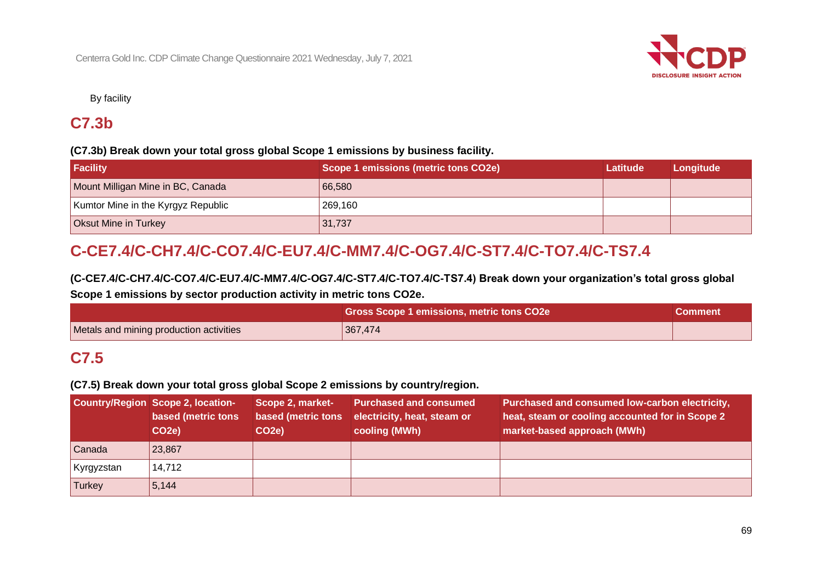

By facility

# **C7.3b**

### **(C7.3b) Break down your total gross global Scope 1 emissions by business facility.**

| Facility                           | Scope 1 emissions (metric tons CO2e) | <b>Latitude</b> | Longitude |
|------------------------------------|--------------------------------------|-----------------|-----------|
| Mount Milligan Mine in BC, Canada  | 66,580                               |                 |           |
| Kumtor Mine in the Kyrgyz Republic | 269,160                              |                 |           |
| <b>Oksut Mine in Turkey</b>        | 31,737                               |                 |           |

# **C-CE7.4/C-CH7.4/C-CO7.4/C-EU7.4/C-MM7.4/C-OG7.4/C-ST7.4/C-TO7.4/C-TS7.4**

**(C-CE7.4/C-CH7.4/C-CO7.4/C-EU7.4/C-MM7.4/C-OG7.4/C-ST7.4/C-TO7.4/C-TS7.4) Break down your organization's total gross global Scope 1 emissions by sector production activity in metric tons CO2e.**

|                                         | Gross Scope 1 emissions, metric tons CO2e | <b>Comment</b> |
|-----------------------------------------|-------------------------------------------|----------------|
| Metals and mining production activities | 367.474                                   |                |

## **C7.5**

### **(C7.5) Break down your total gross global Scope 2 emissions by country/region.**

|               | Country/Region Scope 2, location-<br>based (metric tons<br>CO <sub>2</sub> e) | Scope 2, market-<br>based (metric tons<br>CO <sub>2</sub> e) | <b>Purchased and consumed</b><br>electricity, heat, steam or<br>cooling (MWh) | Purchased and consumed low-carbon electricity,<br>heat, steam or cooling accounted for in Scope 2<br>market-based approach (MWh) |
|---------------|-------------------------------------------------------------------------------|--------------------------------------------------------------|-------------------------------------------------------------------------------|----------------------------------------------------------------------------------------------------------------------------------|
| Canada        | 23,867                                                                        |                                                              |                                                                               |                                                                                                                                  |
| Kyrgyzstan    | 14,712                                                                        |                                                              |                                                                               |                                                                                                                                  |
| <b>Turkey</b> | 5, 144                                                                        |                                                              |                                                                               |                                                                                                                                  |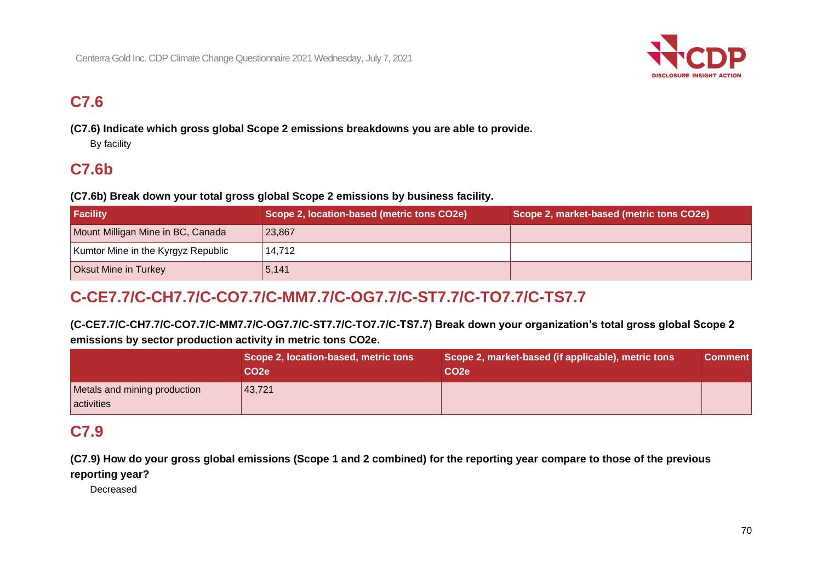

# **C7.6**

**(C7.6) Indicate which gross global Scope 2 emissions breakdowns you are able to provide.**

By facility

# **C7.6b**

**(C7.6b) Break down your total gross global Scope 2 emissions by business facility.**

| <b>Facility</b>                    | Scope 2, location-based (metric tons CO2e) | Scope 2, market-based (metric tons CO2e) |
|------------------------------------|--------------------------------------------|------------------------------------------|
| Mount Milligan Mine in BC, Canada  | 23,867                                     |                                          |
| Kumtor Mine in the Kyrgyz Republic | 14.712                                     |                                          |
| <b>Oksut Mine in Turkey</b>        | 5,141                                      |                                          |

# **C-CE7.7/C-CH7.7/C-CO7.7/C-MM7.7/C-OG7.7/C-ST7.7/C-TO7.7/C-TS7.7**

**(C-CE7.7/C-CH7.7/C-CO7.7/C-MM7.7/C-OG7.7/C-ST7.7/C-TO7.7/C-TS7.7) Break down your organization's total gross global Scope 2 emissions by sector production activity in metric tons CO2e.**

|                                            | Scope 2, location-based, metric tons<br>CO <sub>2e</sub> | Scope 2, market-based (if applicable), metric tons<br>CO <sub>2e</sub> | <b>Comment</b> |
|--------------------------------------------|----------------------------------------------------------|------------------------------------------------------------------------|----------------|
| Metals and mining production<br>activities | 43,721                                                   |                                                                        |                |

## **C7.9**

**(C7.9) How do your gross global emissions (Scope 1 and 2 combined) for the reporting year compare to those of the previous reporting year?**

Decreased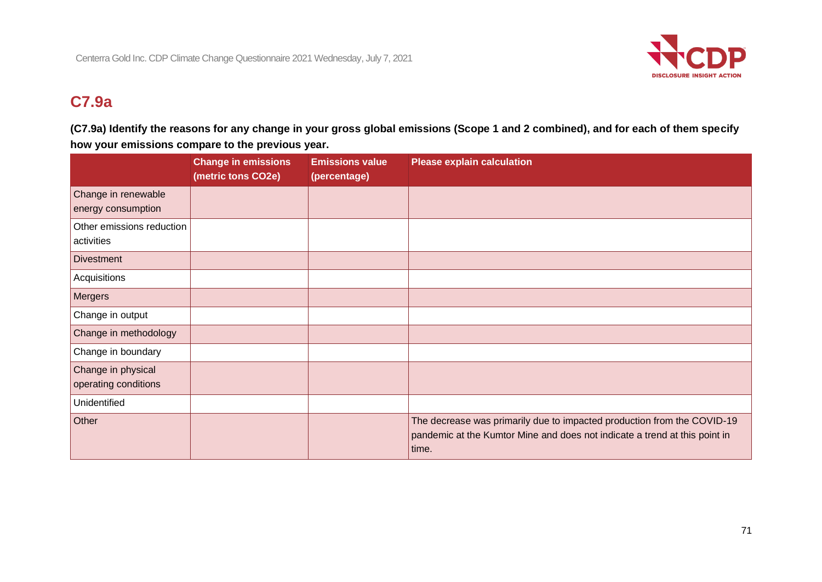

# **C7.9a**

**(C7.9a) Identify the reasons for any change in your gross global emissions (Scope 1 and 2 combined), and for each of them specify how your emissions compare to the previous year.**

|                                            | <b>Change in emissions</b><br>(metric tons CO2e) | <b>Emissions value</b><br>(percentage) | <b>Please explain calculation</b>                                                                                                                              |
|--------------------------------------------|--------------------------------------------------|----------------------------------------|----------------------------------------------------------------------------------------------------------------------------------------------------------------|
| Change in renewable<br>energy consumption  |                                                  |                                        |                                                                                                                                                                |
| Other emissions reduction<br>activities    |                                                  |                                        |                                                                                                                                                                |
| <b>Divestment</b>                          |                                                  |                                        |                                                                                                                                                                |
| Acquisitions                               |                                                  |                                        |                                                                                                                                                                |
| Mergers                                    |                                                  |                                        |                                                                                                                                                                |
| Change in output                           |                                                  |                                        |                                                                                                                                                                |
| Change in methodology                      |                                                  |                                        |                                                                                                                                                                |
| Change in boundary                         |                                                  |                                        |                                                                                                                                                                |
| Change in physical<br>operating conditions |                                                  |                                        |                                                                                                                                                                |
| Unidentified                               |                                                  |                                        |                                                                                                                                                                |
| Other                                      |                                                  |                                        | The decrease was primarily due to impacted production from the COVID-19<br>pandemic at the Kumtor Mine and does not indicate a trend at this point in<br>time. |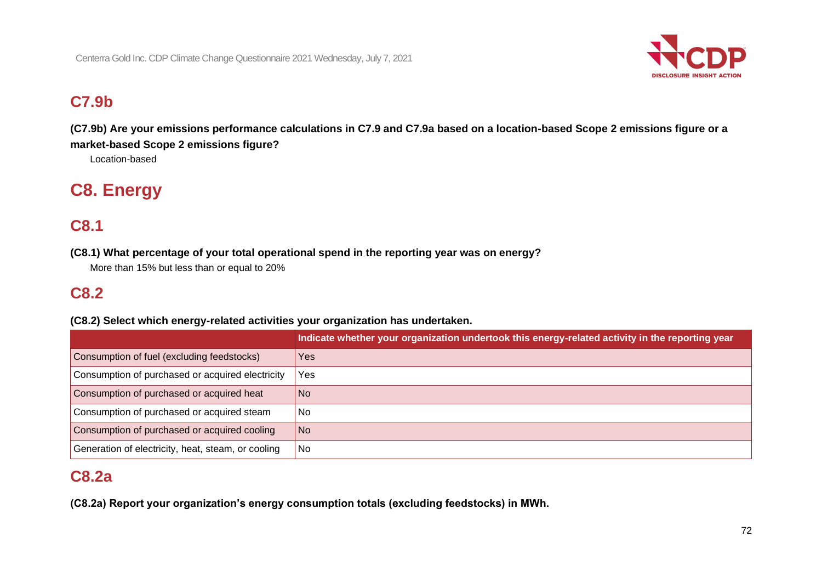

# **C7.9b**

**(C7.9b) Are your emissions performance calculations in C7.9 and C7.9a based on a location-based Scope 2 emissions figure or a market-based Scope 2 emissions figure?**

Location-based

# **C8. Energy**

# **C8.1**

**(C8.1) What percentage of your total operational spend in the reporting year was on energy?**

More than 15% but less than or equal to 20%

# **C8.2**

**(C8.2) Select which energy-related activities your organization has undertaken.**

|                                                    | Indicate whether your organization undertook this energy-related activity in the reporting year |
|----------------------------------------------------|-------------------------------------------------------------------------------------------------|
| Consumption of fuel (excluding feedstocks)         | Yes                                                                                             |
| Consumption of purchased or acquired electricity   | <b>Yes</b>                                                                                      |
| Consumption of purchased or acquired heat          | No.                                                                                             |
| Consumption of purchased or acquired steam         | No                                                                                              |
| Consumption of purchased or acquired cooling       | No.                                                                                             |
| Generation of electricity, heat, steam, or cooling | l No                                                                                            |

# **C8.2a**

**(C8.2a) Report your organization's energy consumption totals (excluding feedstocks) in MWh.**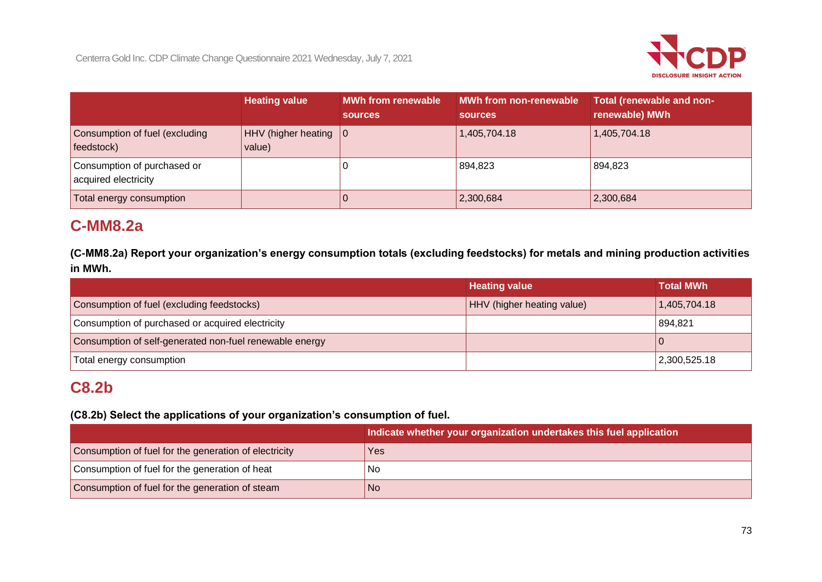

|                                                     | <b>Heating value</b>                        | <b>MWh from renewable</b><br><b>sources</b> | MWh from non-renewable<br><b>sources</b> | Total (renewable and non-<br>renewable) MWh |
|-----------------------------------------------------|---------------------------------------------|---------------------------------------------|------------------------------------------|---------------------------------------------|
| Consumption of fuel (excluding<br>feedstock)        | $HHV$ (higher heating $ 0\rangle$<br>value) |                                             | 1,405,704.18                             | 1,405,704.18                                |
| Consumption of purchased or<br>acquired electricity |                                             |                                             | 894,823                                  | 894,823                                     |
| Total energy consumption                            |                                             | O                                           | 2,300,684                                | 2,300,684                                   |

### **C-MM8.2a**

**(C-MM8.2a) Report your organization's energy consumption totals (excluding feedstocks) for metals and mining production activities in MWh.**

|                                                         | <b>Heating value</b>       | <b>Total MWh</b> |
|---------------------------------------------------------|----------------------------|------------------|
| Consumption of fuel (excluding feedstocks)              | HHV (higher heating value) | 1,405,704.18     |
| Consumption of purchased or acquired electricity        |                            | 894,821          |
| Consumption of self-generated non-fuel renewable energy |                            |                  |
| Total energy consumption                                |                            | 2,300,525.18     |

### **C8.2b**

**(C8.2b) Select the applications of your organization's consumption of fuel.**

|                                                       | Indicate whether your organization undertakes this fuel application |
|-------------------------------------------------------|---------------------------------------------------------------------|
| Consumption of fuel for the generation of electricity | Yes                                                                 |
| Consumption of fuel for the generation of heat        | No                                                                  |
| Consumption of fuel for the generation of steam       | l No                                                                |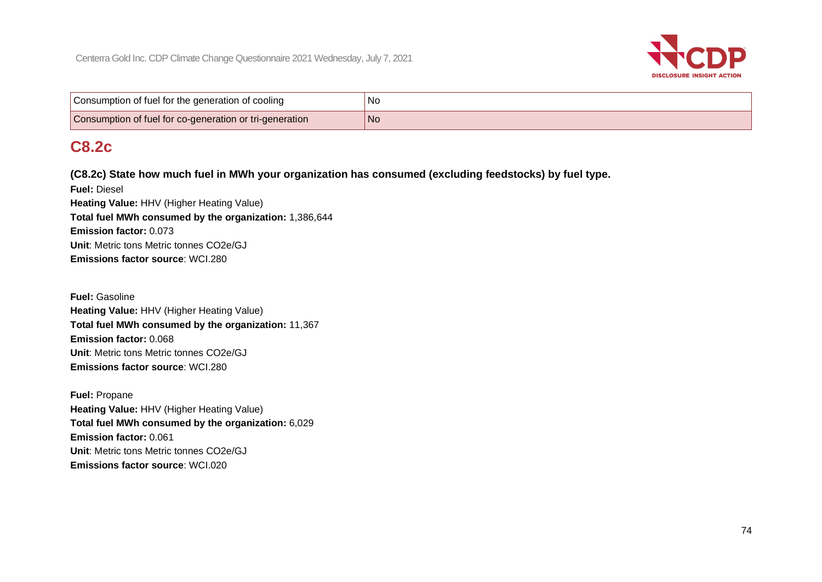

| Consumption of fuel for the generation of cooling       | 'No |
|---------------------------------------------------------|-----|
| Consumption of fuel for co-generation or tri-generation | 'No |

### **C8.2c**

**(C8.2c) State how much fuel in MWh your organization has consumed (excluding feedstocks) by fuel type.**

**Fuel:** Diesel **Heating Value:** HHV (Higher Heating Value) **Total fuel MWh consumed by the organization:** 1,386,644 **Emission factor:** 0.073 **Unit**: Metric tons Metric tonnes CO2e/GJ **Emissions factor source**: WCI.280

**Fuel:** Gasoline **Heating Value:** HHV (Higher Heating Value) **Total fuel MWh consumed by the organization:** 11,367 **Emission factor:** 0.068 **Unit**: Metric tons Metric tonnes CO2e/GJ **Emissions factor source**: WCI.280

**Fuel:** Propane **Heating Value:** HHV (Higher Heating Value) **Total fuel MWh consumed by the organization:** 6,029 **Emission factor:** 0.061 **Unit**: Metric tons Metric tonnes CO2e/GJ **Emissions factor source**: WCI.020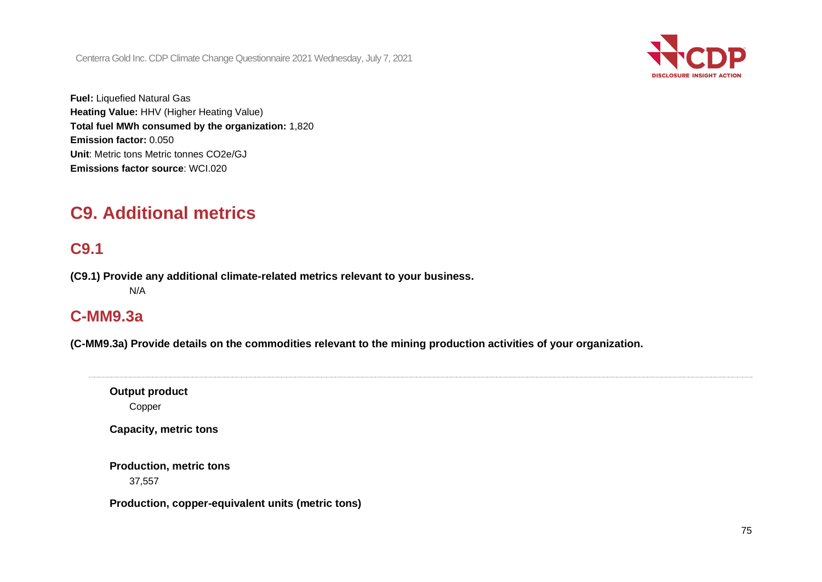

**Fuel:** Liquefied Natural Gas **Heating Value:** HHV (Higher Heating Value) **Total fuel MWh consumed by the organization:** 1,820 **Emission factor:** 0.050 **Unit**: Metric tons Metric tonnes CO2e/GJ **Emissions factor source**: WCI.020

## **C9. Additional metrics**

### **C9.1**

**(C9.1) Provide any additional climate-related metrics relevant to your business.**

N/A

### **C-MM9.3a**

**(C-MM9.3a) Provide details on the commodities relevant to the mining production activities of your organization.**

**Output product** Copper

**Capacity, metric tons**

**Production, metric tons** 37,557

**Production, copper-equivalent units (metric tons)**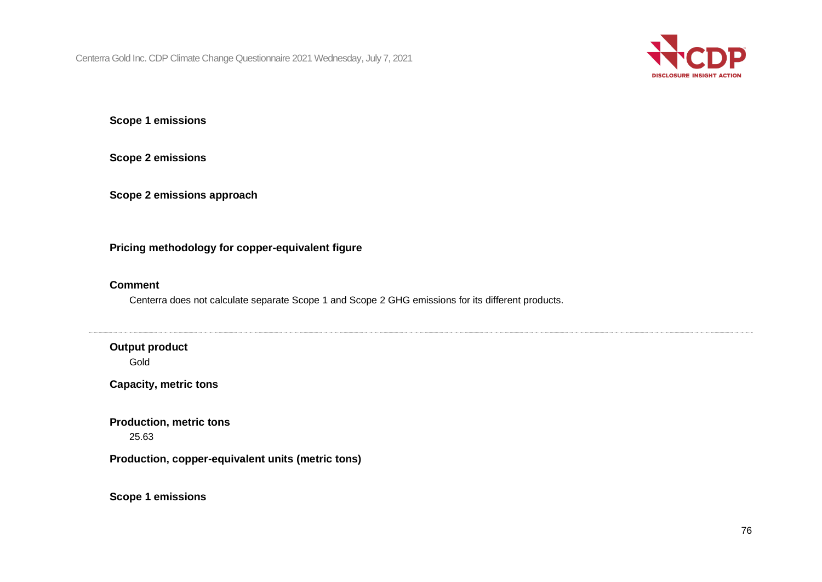

**Scope 1 emissions**

**Scope 2 emissions**

**Scope 2 emissions approach**

**Pricing methodology for copper-equivalent figure**

#### **Comment**

Centerra does not calculate separate Scope 1 and Scope 2 GHG emissions for its different products.

**Output product**

Gold

**Capacity, metric tons**

**Production, metric tons** 25.63

**Production, copper-equivalent units (metric tons)**

**Scope 1 emissions**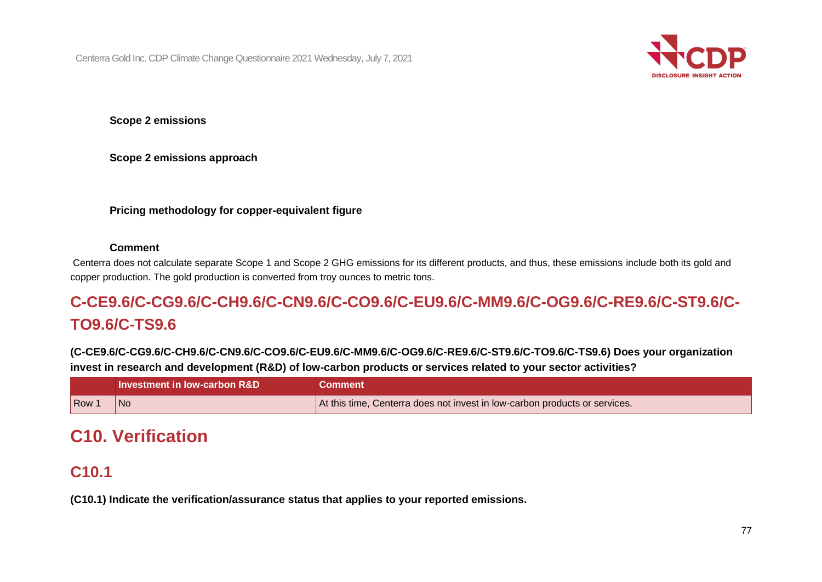

**Scope 2 emissions**

**Scope 2 emissions approach**

#### **Pricing methodology for copper-equivalent figure**

#### **Comment**

Centerra does not calculate separate Scope 1 and Scope 2 GHG emissions for its different products, and thus, these emissions include both its gold and copper production. The gold production is converted from troy ounces to metric tons.

## **C-CE9.6/C-CG9.6/C-CH9.6/C-CN9.6/C-CO9.6/C-EU9.6/C-MM9.6/C-OG9.6/C-RE9.6/C-ST9.6/C-TO9.6/C-TS9.6**

**(C-CE9.6/C-CG9.6/C-CH9.6/C-CN9.6/C-CO9.6/C-EU9.6/C-MM9.6/C-OG9.6/C-RE9.6/C-ST9.6/C-TO9.6/C-TS9.6) Does your organization invest in research and development (R&D) of low-carbon products or services related to your sector activities?**

|                  | <b>Investment in low-carbon R&amp;D</b> | Comment                                                                    |
|------------------|-----------------------------------------|----------------------------------------------------------------------------|
| Row <sup>-</sup> | No                                      | At this time, Centerra does not invest in low-carbon products or services. |

## **C10. Verification**

### **C10.1**

**(C10.1) Indicate the verification/assurance status that applies to your reported emissions.**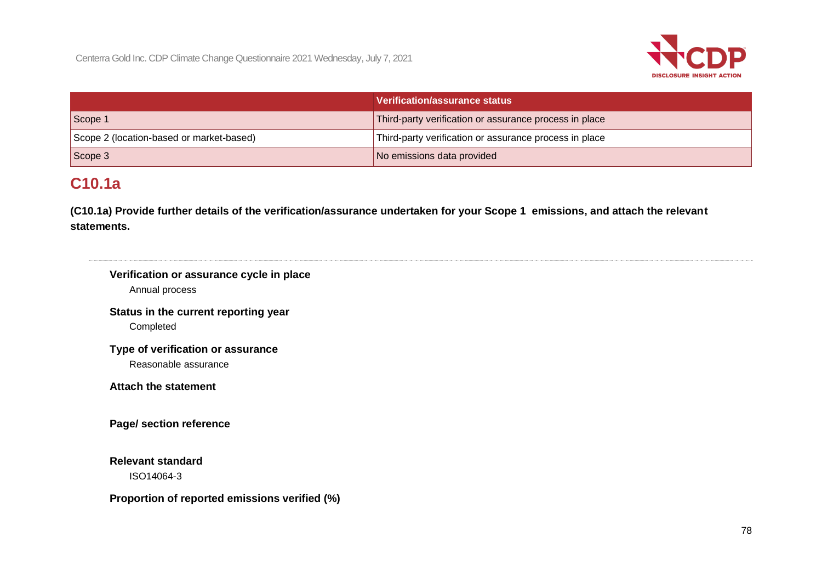

|                                          | Verification/assurance status                          |
|------------------------------------------|--------------------------------------------------------|
| Scope 1                                  | Third-party verification or assurance process in place |
| Scope 2 (location-based or market-based) | Third-party verification or assurance process in place |
| Scope 3                                  | No emissions data provided                             |

## **C10.1a**

**(C10.1a) Provide further details of the verification/assurance undertaken for your Scope 1 emissions, and attach the relevant statements.**

| Verification or assurance cycle in place<br>Annual process |  |  |
|------------------------------------------------------------|--|--|
| Status in the current reporting year                       |  |  |
| Completed                                                  |  |  |
| Type of verification or assurance                          |  |  |
| Reasonable assurance                                       |  |  |
| <b>Attach the statement</b>                                |  |  |
| Page/ section reference                                    |  |  |
| <b>Relevant standard</b>                                   |  |  |
| ISO14064-3                                                 |  |  |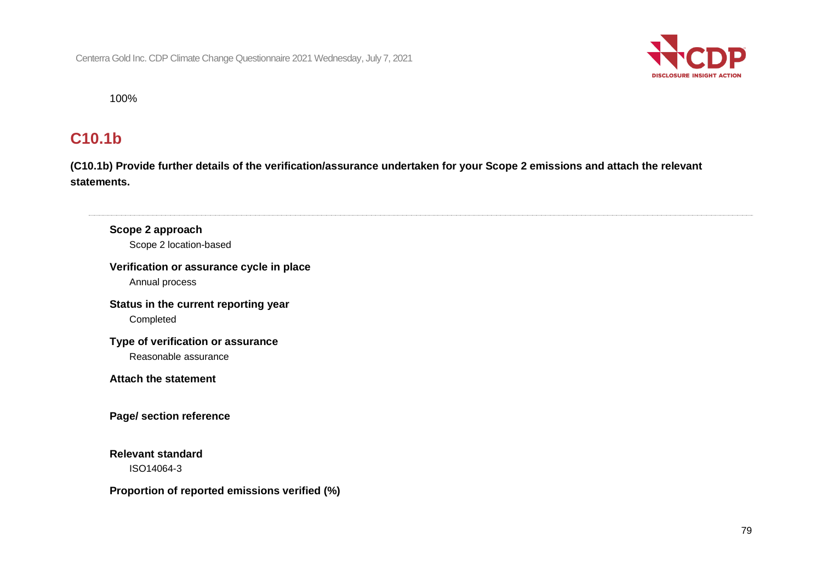

100%

### **C10.1b**

**(C10.1b) Provide further details of the verification/assurance undertaken for your Scope 2 emissions and attach the relevant statements.**

**Scope 2 approach** Scope 2 location-based **Verification or assurance cycle in place** Annual process **Status in the current reporting year** Completed **Type of verification or assurance** Reasonable assurance **Attach the statement Page/ section reference Relevant standard** ISO14064-3 **Proportion of reported emissions verified (%)**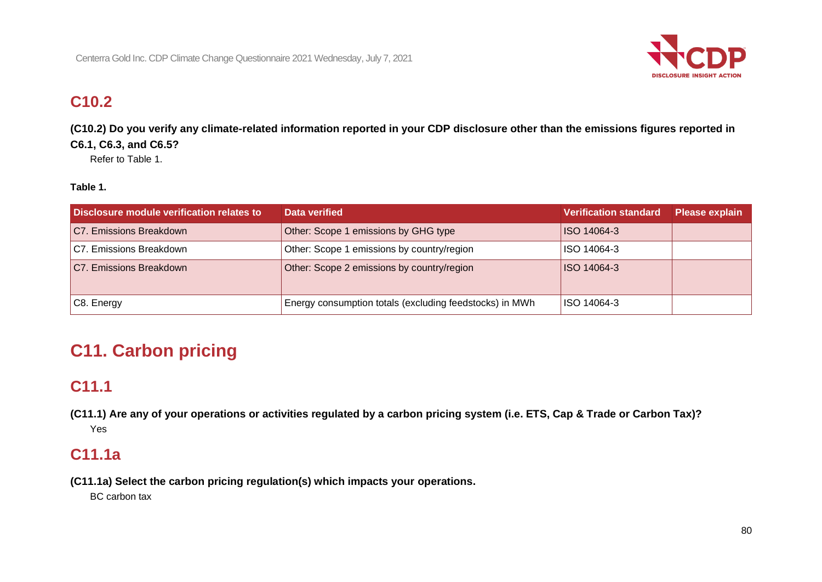

## **C10.2**

**(C10.2) Do you verify any climate-related information reported in your CDP disclosure other than the emissions figures reported in C6.1, C6.3, and C6.5?**

Refer to Table 1.

### **Table 1.**

| Disclosure module verification relates to | Data verified                                           | <b>Verification standard</b> | Please explain |
|-------------------------------------------|---------------------------------------------------------|------------------------------|----------------|
| C7. Emissions Breakdown                   | Other: Scope 1 emissions by GHG type                    | <b>ISO 14064-3</b>           |                |
| C7. Emissions Breakdown                   | Other: Scope 1 emissions by country/region              | ISO 14064-3                  |                |
| C7. Emissions Breakdown                   | Other: Scope 2 emissions by country/region              | ISO 14064-3                  |                |
| C8. Energy                                | Energy consumption totals (excluding feedstocks) in MWh | ISO 14064-3                  |                |

# **C11. Carbon pricing**

### **C11.1**

**(C11.1) Are any of your operations or activities regulated by a carbon pricing system (i.e. ETS, Cap & Trade or Carbon Tax)?** Yes

### **C11.1a**

**(C11.1a) Select the carbon pricing regulation(s) which impacts your operations.**

BC carbon tax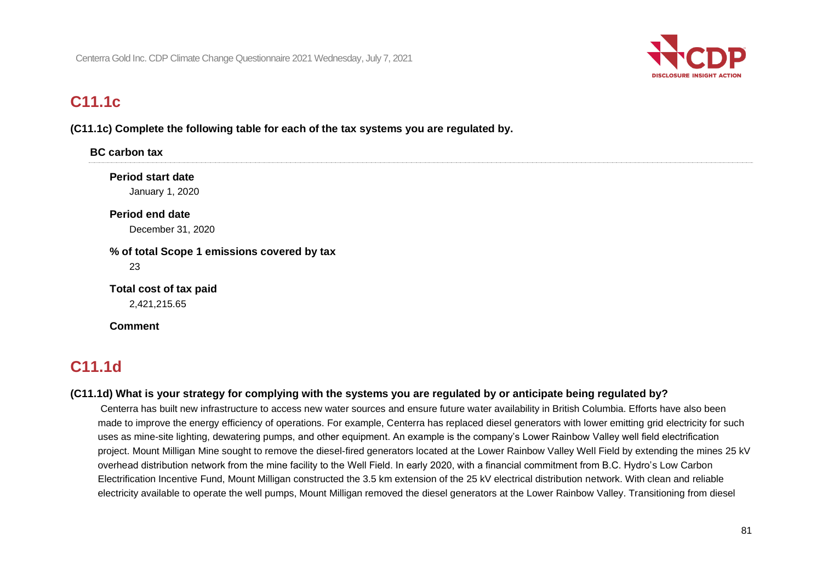

### **C11.1c**

**(C11.1c) Complete the following table for each of the tax systems you are regulated by.**

| <b>BC</b> carbon tax                        |                                             |  |  |
|---------------------------------------------|---------------------------------------------|--|--|
| <b>Period start date</b><br>January 1, 2020 |                                             |  |  |
| <b>Period end date</b><br>December 31, 2020 |                                             |  |  |
|                                             | % of total Scope 1 emissions covered by tax |  |  |
| 23<br>Total cost of tax paid                |                                             |  |  |
| 2,421,215.65<br><b>Comment</b>              |                                             |  |  |

## **C11.1d**

#### **(C11.1d) What is your strategy for complying with the systems you are regulated by or anticipate being regulated by?**

Centerra has built new infrastructure to access new water sources and ensure future water availability in British Columbia. Efforts have also been made to improve the energy efficiency of operations. For example, Centerra has replaced diesel generators with lower emitting grid electricity for such uses as mine-site lighting, dewatering pumps, and other equipment. An example is the company's Lower Rainbow Valley well field electrification project. Mount Milligan Mine sought to remove the diesel-fired generators located at the Lower Rainbow Valley Well Field by extending the mines 25 kV overhead distribution network from the mine facility to the Well Field. In early 2020, with a financial commitment from B.C. Hydro's Low Carbon Electrification Incentive Fund, Mount Milligan constructed the 3.5 km extension of the 25 kV electrical distribution network. With clean and reliable electricity available to operate the well pumps, Mount Milligan removed the diesel generators at the Lower Rainbow Valley. Transitioning from diesel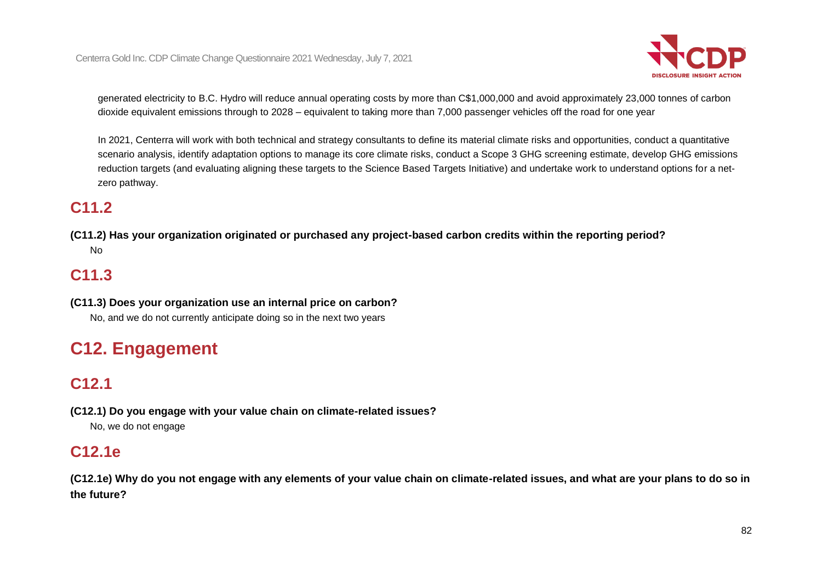

generated electricity to B.C. Hydro will reduce annual operating costs by more than C\$1,000,000 and avoid approximately 23,000 tonnes of carbon dioxide equivalent emissions through to 2028 – equivalent to taking more than 7,000 passenger vehicles off the road for one year

In 2021, Centerra will work with both technical and strategy consultants to define its material climate risks and opportunities, conduct a quantitative scenario analysis, identify adaptation options to manage its core climate risks, conduct a Scope 3 GHG screening estimate, develop GHG emissions reduction targets (and evaluating aligning these targets to the Science Based Targets Initiative) and undertake work to understand options for a netzero pathway.

## **C11.2**

**(C11.2) Has your organization originated or purchased any project-based carbon credits within the reporting period?** No

## **C11.3**

**(C11.3) Does your organization use an internal price on carbon?** No, and we do not currently anticipate doing so in the next two years

# **C12. Engagement**

## **C12.1**

**(C12.1) Do you engage with your value chain on climate-related issues?** No, we do not engage

### **C12.1e**

**(C12.1e) Why do you not engage with any elements of your value chain on climate-related issues, and what are your plans to do so in the future?**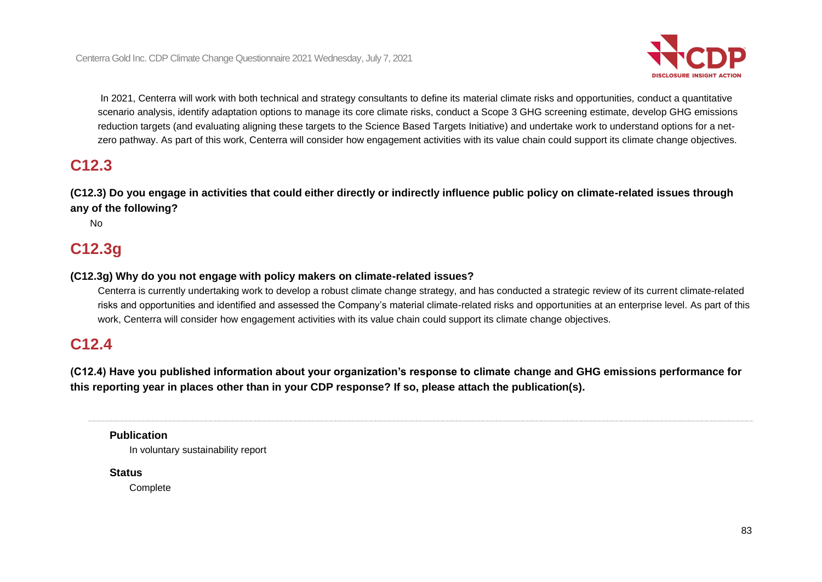

In 2021, Centerra will work with both technical and strategy consultants to define its material climate risks and opportunities, conduct a quantitative scenario analysis, identify adaptation options to manage its core climate risks, conduct a Scope 3 GHG screening estimate, develop GHG emissions reduction targets (and evaluating aligning these targets to the Science Based Targets Initiative) and undertake work to understand options for a netzero pathway. As part of this work, Centerra will consider how engagement activities with its value chain could support its climate change objectives.

### **C12.3**

**(C12.3) Do you engage in activities that could either directly or indirectly influence public policy on climate-related issues through any of the following?**

No

### **C12.3g**

#### **(C12.3g) Why do you not engage with policy makers on climate-related issues?**

Centerra is currently undertaking work to develop a robust climate change strategy, and has conducted a strategic review of its current climate-related risks and opportunities and identified and assessed the Company's material climate-related risks and opportunities at an enterprise level. As part of this work, Centerra will consider how engagement activities with its value chain could support its climate change objectives.

### **C12.4**

**(C12.4) Have you published information about your organization's response to climate change and GHG emissions performance for this reporting year in places other than in your CDP response? If so, please attach the publication(s).**

#### **Publication**

In voluntary sustainability report

#### **Status**

**Complete**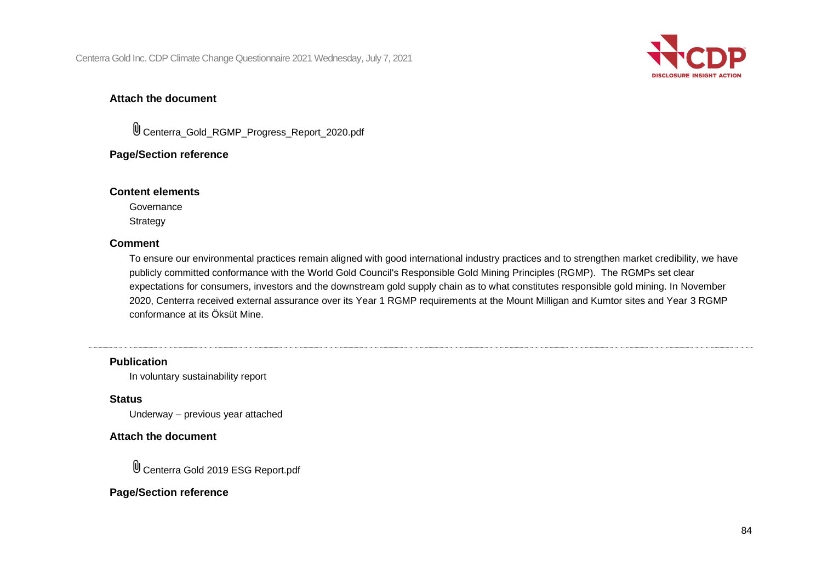

#### **Attach the document**

Centerra\_Gold\_RGMP\_Progress\_Report\_2020.pdf

#### **Page/Section reference**

#### **Content elements**

Governance **Strategy** 

#### **Comment**

To ensure our environmental practices remain aligned with good international industry practices and to strengthen market credibility, we have publicly committed conformance with the World Gold Council's Responsible Gold Mining Principles (RGMP). The RGMPs set clear expectations for consumers, investors and the downstream gold supply chain as to what constitutes responsible gold mining. In November 2020, Centerra received external assurance over its Year 1 RGMP requirements at the Mount Milligan and Kumtor sites and Year 3 RGMP conformance at its Öksüt Mine.

#### **Publication**

In voluntary sustainability report

**Status**

Underway – previous year attached

#### **Attach the document**

Centerra Gold 2019 ESG Report.pdf

#### **Page/Section reference**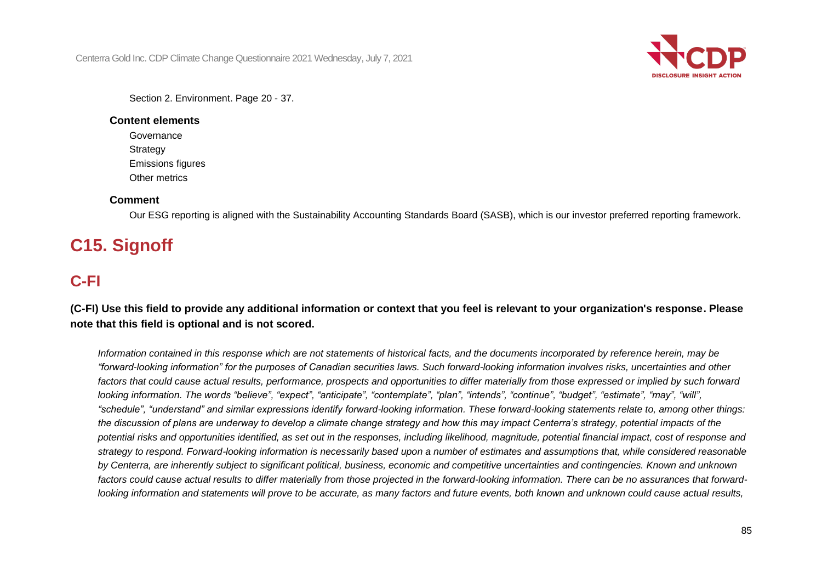

Section 2. Environment. Page 20 - 37.

#### **Content elements**

Governance **Strategy** Emissions figures Other metrics

### **Comment**

Our ESG reporting is aligned with the Sustainability Accounting Standards Board (SASB), which is our investor preferred reporting framework.

# **C15. Signoff**

## **C-FI**

**(C-FI) Use this field to provide any additional information or context that you feel is relevant to your organization's response. Please note that this field is optional and is not scored.**

*Information contained in this response which are not statements of historical facts, and the documents incorporated by reference herein, may be "forward-looking information" for the purposes of Canadian securities laws. Such forward-looking information involves risks, uncertainties and other*  factors that could cause actual results, performance, prospects and opportunities to differ materially from those expressed or implied by such forward *looking information. The words "believe", "expect", "anticipate", "contemplate", "plan", "intends", "continue", "budget", "estimate", "may", "will", "schedule", "understand" and similar expressions identify forward-looking information. These forward-looking statements relate to, among other things: the discussion of plans are underway to develop a climate change strategy and how this may impact Centerra's strategy, potential impacts of the potential risks and opportunities identified, as set out in the responses, including likelihood, magnitude, potential financial impact, cost of response and strategy to respond. Forward-looking information is necessarily based upon a number of estimates and assumptions that, while considered reasonable*  by Centerra, are inherently subject to significant political, business, economic and competitive uncertainties and contingencies. Known and unknown *factors could cause actual results to differ materially from those projected in the forward-looking information. There can be no assurances that forwardlooking information and statements will prove to be accurate, as many factors and future events, both known and unknown could cause actual results,*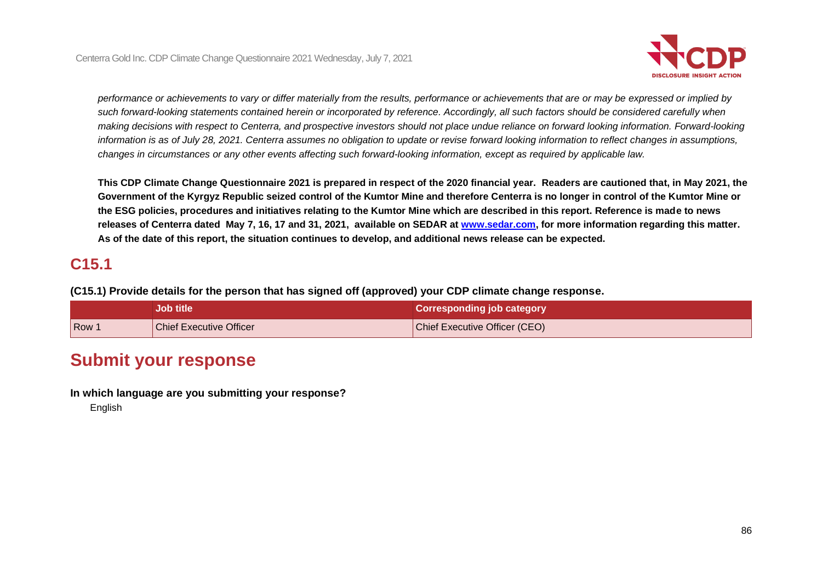

*performance or achievements to vary or differ materially from the results, performance or achievements that are or may be expressed or implied by such forward-looking statements contained herein or incorporated by reference. Accordingly, all such factors should be considered carefully when*  making decisions with respect to Centerra, and prospective investors should not place undue reliance on forward looking information. Forward-looking *information is as of July 28, 2021. Centerra assumes no obligation to update or revise forward looking information to reflect changes in assumptions, changes in circumstances or any other events affecting such forward-looking information, except as required by applicable law.*

**This CDP Climate Change Questionnaire 2021 is prepared in respect of the 2020 financial year. Readers are cautioned that, in May 2021, the Government of the Kyrgyz Republic seized control of the Kumtor Mine and therefore Centerra is no longer in control of the Kumtor Mine or the ESG policies, procedures and initiatives relating to the Kumtor Mine which are described in this report. Reference is made to news releases of Centerra dated May 7, 16, 17 and 31, 2021, available on SEDAR at [www.sedar.com,](https://apc01.safelinks.protection.outlook.com/?url=http%3A%2F%2Fwww.sedar.com%2F&data=04%7C01%7Cmarina.proskurovsky%40centerragold.com%7C4a2bad7198e347e65f5408d931d5aa5f%7Ca39be4db39244953bd7d7ee7b48ecae9%7C1%7C0%7C637595616031382230%7CUnknown%7CTWFpbGZsb3d8eyJWIjoiMC4wLjAwMDAiLCJQIjoiV2luMzIiLCJBTiI6Ik1haWwiLCJXVCI6Mn0%3D%7C1000&sdata=vR6w4rZjmnsqXIlfHijlPvN6L7ZQ3hwNqhbKO2FTiYA%3D&reserved=0) for more information regarding this matter. As of the date of this report, the situation continues to develop, and additional news release can be expected.** 

### **C15.1**

**(C15.1) Provide details for the person that has signed off (approved) your CDP climate change response.**

|       | Job title                      | <b>Corresponding job category</b>    |
|-------|--------------------------------|--------------------------------------|
| Row 1 | <b>Chief Executive Officer</b> | <b>Chief Executive Officer (CEO)</b> |

## **Submit your response**

**In which language are you submitting your response?**

English